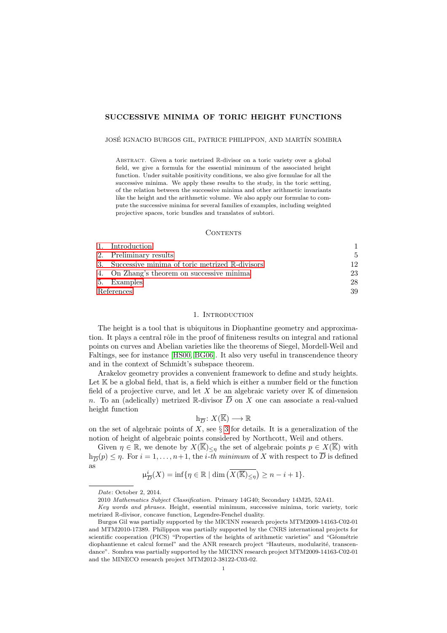## SUCCESSIVE MINIMA OF TORIC HEIGHT FUNCTIONS

JOSÉ IGNACIO BURGOS GIL, PATRICE PHILIPPON, AND MARTÍN SOMBRA

ABSTRACT. Given a toric metrized R-divisor on a toric variety over a global field, we give a formula for the essential minimum of the associated height function. Under suitable positivity conditions, we also give formulae for all the successive minima. We apply these results to the study, in the toric setting, of the relation between the successive minima and other arithmetic invariants like the height and the arithmetic volume. We also apply our formulae to compute the successive minima for several families of examples, including weighted projective spaces, toric bundles and translates of subtori.

### CONTENTS

|            | 1. Introduction                                   |     |
|------------|---------------------------------------------------|-----|
|            | 2. Preliminary results                            | 5.  |
|            | 3. Successive minima of toric metrized R-divisors | 19. |
|            | 4. On Zhang's theorem on successive minima        | 23  |
|            | 5. Examples                                       | 28  |
| References |                                                   | 39  |

## 1. INTRODUCTION

<span id="page-0-0"></span>The height is a tool that is ubiquitous in Diophantine geometry and approximation. It plays a central rôle in the proof of finiteness results on integral and rational points on curves and Abelian varieties like the theorems of Siegel, Mordell-Weil and Faltings, see for instance [\[HS00,](#page-38-1) [BG06\]](#page-38-2). It also very useful in transcendence theory and in the context of Schmidt's subspace theorem.

Arakelov geometry provides a convenient framework to define and study heights. Let  $K$  be a global field, that is, a field which is either a number field or the function field of a projective curve, and let X be an algebraic variety over  $K$  of dimension n. To an (adelically) metrized R-divisor  $\overline{D}$  on X one can associate a real-valued height function

$$
h_{\overline{D}}\colon X(\overline{\mathbb{K}})\longrightarrow \mathbb{R}
$$

on the set of algebraic points of  $X$ , see  $\S$  [3](#page-11-0) for details. It is a generalization of the notion of height of algebraic points considered by Northcott, Weil and others.

Given  $\eta \in \mathbb{R}$ , we denote by  $X(\overline{\mathbb{K}})_{\leq \eta}$  the set of algebraic points  $p \in X(\overline{\mathbb{K}})$  with  $h_{\overline{D}}(p) \leq \eta$ . For  $i = 1, \ldots, n+1$ , the *i*-th minimum of X with respect to  $\overline{D}$  is defined as

$$
\mu_{\overline{D}}^i(X) = \inf \{ \eta \in \mathbb{R} \mid \dim \left( \overline{X(\overline{\mathbb{K}})_{\leq \eta}} \right) \geq n - i + 1 \}.
$$

Date: October 2, 2014.

2010 Mathematics Subject Classification. Primary 14G40; Secondary 14M25, 52A41.

Key words and phrases. Height, essential minimum, successive minima, toric variety, toric metrized R-divisor, concave function, Legendre-Fenchel duality.

Burgos Gil was partially supported by the MICINN research projects MTM2009-14163-C02-01 and MTM2010-17389. Philippon was partially supported by the CNRS international projects for scientific cooperation (PICS) "Properties of the heights of arithmetic varieties" and "Géométrie diophantienne et calcul formel" and the ANR research project "Hauteurs, modularité, transcendance". Sombra was partially supported by the MICINN research project MTM2009-14163-C02-01 and the MINECO research project MTM2012-38122-C03-02.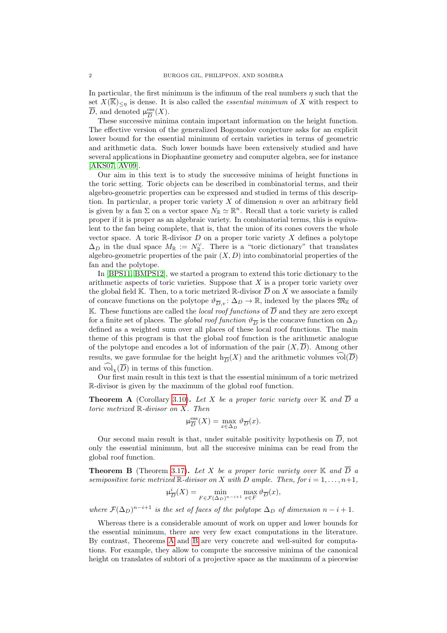In particular, the first minimum is the infimum of the real numbers  $\eta$  such that the set  $X(\overline{\mathbb{K}})_{\leq \eta}$  is dense. It is also called the *essential minimum* of X with respect to  $\overline{D}$ , and denoted  $\mu_{\overline{D}}^{\text{ess}}$  $\frac{\text{ess}}{D}(X).$ 

These successive minima contain important information on the height function. The effective version of the generalized Bogomolov conjecture asks for an explicit lower bound for the essential minimum of certain varieties in terms of geometric and arithmetic data. Such lower bounds have been extensively studied and have several applications in Diophantine geometry and computer algebra, see for instance [\[AKS07,](#page-38-3) [AV09\]](#page-38-4).

Our aim in this text is to study the successive minima of height functions in the toric setting. Toric objects can be described in combinatorial terms, and their algebro-geometric properties can be expressed and studied in terms of this description. In particular, a proper toric variety  $X$  of dimension  $n$  over an arbitrary field is given by a fan  $\Sigma$  on a vector space  $N_{\mathbb{R}} \simeq \mathbb{R}^n$ . Recall that a toric variety is called proper if it is proper as an algebraic variety. In combinatorial terms, this is equivalent to the fan being complete, that is, that the union of its cones covers the whole vector space. A toric R-divisor D on a proper toric variety X defines a polytope  $\Delta_D$  in the dual space  $M_{\mathbb{R}} := N_{\mathbb{R}}^{\vee}$ . There is a "toric dictionary" that translates algebro-geometric properties of the pair  $(X, D)$  into combinatorial properties of the fan and the polytope.

In [\[BPS11,](#page-38-5) [BMPS12\]](#page-38-6), we started a program to extend this toric dictionary to the arithmetic aspects of toric varieties. Suppose that  $X$  is a proper toric variety over the global field K. Then, to a toric metrized R-divisor  $\overline{D}$  on X we associate a family of concave functions on the polytope  $\vartheta_{\overline{D},v} : \Delta_D \to \mathbb{R}$ , indexed by the places  $\mathfrak{M}_{\mathbb{K}}$  of K. These functions are called the *local roof functions* of  $\overline{D}$  and they are zero except for a finite set of places. The global roof function  $\vartheta_{\overline{D}}$  is the concave function on  $\Delta_D$ defined as a weighted sum over all places of these local roof functions. The main theme of this program is that the global roof function is the arithmetic analogue of the polytope and encodes a lot of information of the pair  $(X,\overline{D})$ . Among other results, we gave formulae for the height  $h_{\overline{D}}(X)$  and the arithmetic volumes vol $(\overline{D})$ and  $\widehat{\text{vol}_{\infty}(\overline{D})}$  in terms of this function.

Our first main result in this text is that the essential minimum of a toric metrized R-divisor is given by the maximum of the global roof function.

<span id="page-1-0"></span>**Theorem A** (Corollary [3.10\)](#page-18-0). Let X be a proper toric variety over  $\mathbb K$  and  $\overline{D}$  a toric metrized R-divisor on X. Then

$$
\mu_{\overline{D}}^{\text{ess}}(X) = \max_{x \in \Delta_D} \vartheta_{\overline{D}}(x).
$$

Our second main result is that, under suitable positivity hypothesis on  $\overline{D}$ , not only the essential minimum, but all the succesive minima can be read from the global roof function.

<span id="page-1-1"></span>**Theorem B** (Theorem [3.17\)](#page-21-0). Let X be a proper toric variety over  $\mathbb{K}$  and  $\overline{D}$  a semipositive toric metrized  $\mathbb R$ -divisor on X with D ample. Then, for  $i = 1, \ldots, n+1$ ,

$$
\mu_{\overline{D}}^{i}(X) = \min_{F \in \mathcal{F}(\Delta_D)^{n-i+1}} \max_{x \in F} \vartheta_{\overline{D}}(x),
$$

where  $\mathcal{F}(\Delta_D)^{n-i+1}$  is the set of faces of the polytope  $\Delta_D$  of dimension  $n-i+1$ .

Whereas there is a considerable amount of work on upper and lower bounds for the essential minimum, there are very few exact computations in the literature. By contrast, Theorems [A](#page-1-0) and [B](#page-1-1) are very concrete and well-suited for computations. For example, they allow to compute the successive minima of the canonical height on translates of subtori of a projective space as the maximum of a piecewise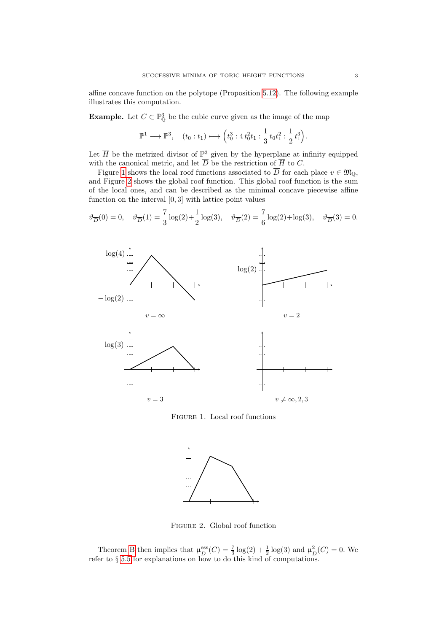affine concave function on the polytope (Proposition [5.12\)](#page-34-0). The following example illustrates this computation.

**Example.** Let  $C \subset \mathbb{P}_{\mathbb{Q}}^3$  be the cubic curve given as the image of the map

$$
\mathbb{P}^1 \longrightarrow \mathbb{P}^3, \quad (t_0 : t_1) \longmapsto \left(t_0^3 : 4 t_0^2 t_1 : \frac{1}{3} t_0 t_1^2 : \frac{1}{2} t_1^3\right).
$$

Let  $\overline{H}$  be the metrized divisor of  $\mathbb{P}^3$  given by the hyperplane at infinity equipped with the canonical metric, and let  $D$  be the restriction of  $H$  to  $C$ .

Figure [1](#page-2-0) shows the local roof functions associated to  $\overline{D}$  for each place  $v \in \mathfrak{M}_{0}$ , and Figure [2](#page-2-1) shows the global roof function. This global roof function is the sum of the local ones, and can be described as the minimal concave piecewise affine function on the interval  $[0,3]$  with lattice point values

$$
\vartheta_{\overline{D}}(0) = 0
$$
,  $\vartheta_{\overline{D}}(1) = \frac{7}{3}\log(2) + \frac{1}{2}\log(3)$ ,  $\vartheta_{\overline{D}}(2) = \frac{7}{6}\log(2) + \log(3)$ ,  $\vartheta_{\overline{D}}(3) = 0$ .

<span id="page-2-0"></span>

<span id="page-2-1"></span>Figure 1. Local roof functions



Figure 2. Global roof function

Theorem [B](#page-1-1) then implies that  $\mu_{\overline{D}}^{\text{ess}}$  $\frac{\text{ess}}{D}(C) = \frac{7}{3}\log(2) + \frac{1}{2}\log(3)$  and  $\mu_{\overline{I}}^2$  $\frac{2}{D}(C) = 0.$  We refer to § [5.5](#page-34-1) for explanations on how to do this kind of computations.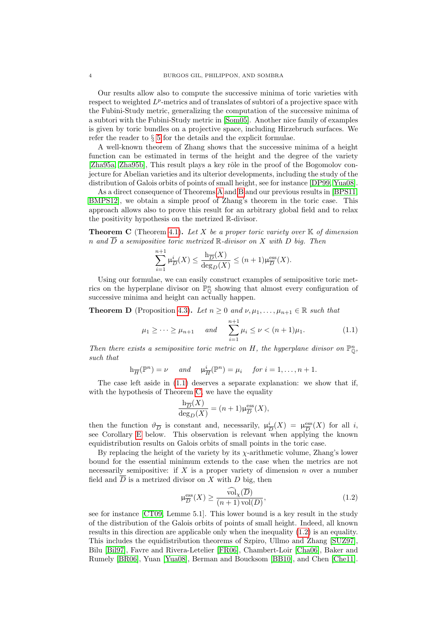Our results allow also to compute the successive minima of toric varieties with respect to weighted  $L^p$ -metrics and of translates of subtori of a projective space with the Fubini-Study metric, generalizing the computation of the successive minima of a subtori with the Fubini-Study metric in [\[Som05\]](#page-38-7). Another nice family of examples is given by toric bundles on a projective space, including Hirzebruch surfaces. We refer the reader to § [5](#page-27-0) for the details and the explicit formulae.

A well-known theorem of Zhang shows that the successive minima of a height function can be estimated in terms of the height and the degree of the variety [\[Zha95a,](#page-39-0) [Zha95b\]](#page-39-1), This result plays a key rôle in the proof of the Bogomolov conjecture for Abelian varieties and its ulterior developments, including the study of the distribution of Galois orbits of points of small height, see for instance [\[DP99,](#page-38-8) [Yua08\]](#page-39-2).

As a direct consequence of Theorems [A](#page-1-0) and [B](#page-1-1) and our previous results in [\[BPS11,](#page-38-5) [BMPS12\]](#page-38-6), we obtain a simple proof of Zhang's theorem in the toric case. This approach allows also to prove this result for an arbitrary global field and to relax the positivity hypothesis on the metrized R-divisor.

<span id="page-3-1"></span>**Theorem C** (Theorem [4.1\)](#page-22-1). Let X be a proper toric variety over  $\mathbb{K}$  of dimension n and  $\overline{D}$  a semipositive toric metrized R-divisor on X with D big. Then

$$
\sum_{i=1}^{n+1}\mu_{\overline{D}}^{i}(X)\leq\frac{\mathsf{h}_{\overline{D}}(X)}{\deg_{D}(X)}\leq (n+1)\mu_{\overline{D}}^{\mathrm{ess}}(X).
$$

Using our formulae, we can easily construct examples of semipositive toric metrics on the hyperplane divisor on  $\mathbb{P}^n_{\mathbb{O}}$  showing that almost every configuration of successive minima and height can actually happen.

**Theorem D** (Proposition [4.3\)](#page-24-0). Let  $n \geq 0$  and  $\nu, \mu_1, \ldots, \mu_{n+1} \in \mathbb{R}$  such that

<span id="page-3-0"></span>
$$
\mu_1 \geq \cdots \geq \mu_{n+1}
$$
 and  $\sum_{i=1}^{n+1} \mu_i \leq \nu < (n+1)\mu_1.$  (1.1)

Then there exists a semipositive toric metric on H, the hyperplane divisor on  $\mathbb{P}^n_{\mathbb{Q}}$ , such that

> $h_{\overline{H}}(\mathbb{P}^n) = \nu$  and  $\mu_{\overline{I}}^i$  $\frac{i}{H}(\mathbb{P}^n) = \mu_i$  for  $i = 1, \ldots, n + 1$ .

The case left aside in [\(1.1\)](#page-3-0) deserves a separate explanation: we show that if, with the hypothesis of Theorem [C,](#page-3-1) we have the equality

$$
\frac{\mathbf{h}_{\overline{D}}(X)}{\deg_D(X)} = (n+1)\mu_{\overline{D}}^{\text{ess}}(X),
$$

then the function  $\vartheta_{\overline{D}}$  is constant and, necessarily,  $\mu_{\overline{j}}^i$  $\frac{i}{D}(X) = \mu_{\overline{D}}^{\text{ess}}$  $\frac{\text{ess}}{D}(X)$  for all i, see Corollary [E](#page-4-1) below. This observation is relevant when applying the known equidistribution results on Galois orbits of small points in the toric case.

By replacing the height of the variety by its  $\chi$ -arithmetic volume, Zhang's lower bound for the essential minimum extends to the case when the metrics are not necessarily semipositive: if  $X$  is a proper variety of dimension  $n$  over a number field and  $\overline{D}$  is a metrized divisor on X with D big, then

<span id="page-3-2"></span>
$$
\mu_{\overline{D}}^{\text{ess}}(X) \ge \frac{\text{vol}_{\chi}(\overline{D})}{(n+1)\,\text{vol}(D)},\tag{1.2}
$$

see for instance [\[CT09,](#page-38-9) Lemme 5.1]. This lower bound is a key result in the study of the distribution of the Galois orbits of points of small height. Indeed, all known results in this direction are applicable only when the inequality [\(1.2\)](#page-3-2) is an equality. This includes the equidistribution theorems of Szpiro, Ullmo and Zhang [\[SUZ97\]](#page-39-3), Bilu [\[Bil97\]](#page-38-10), Favre and Rivera-Letelier [\[FR06\]](#page-38-11), Chambert-Loir [\[Cha06\]](#page-38-12), Baker and Rumely [\[BR06\]](#page-38-13), Yuan [\[Yua08\]](#page-39-2), Berman and Boucksom [\[BB10\]](#page-38-14), and Chen [\[Che11\]](#page-38-15).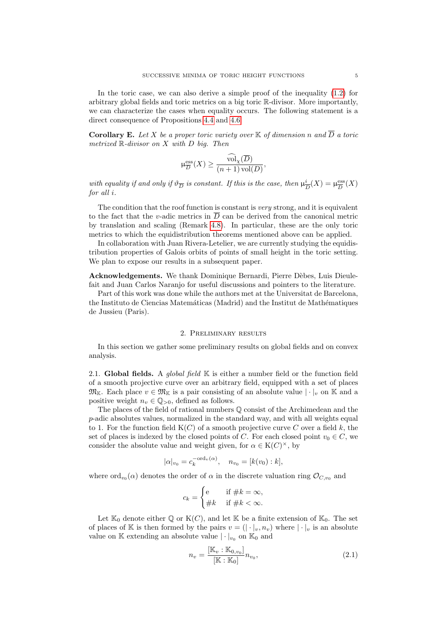In the toric case, we can also derive a simple proof of the inequality [\(1.2\)](#page-3-2) for arbitrary global fields and toric metrics on a big toric R-divisor. More importantly, we can characterize the cases when equality occurs. The following statement is a direct consequence of Propositions [4.4](#page-24-1) and [4.6.](#page-26-0)

<span id="page-4-1"></span>**Corollary E.** Let X be a proper toric variety over  $\mathbb K$  of dimension n and  $\overline{D}$  a toric metrized  $\mathbb{R}$ -divisor on X with D big. Then

$$
\mu_{\overline{D}}^{\text{ess}}(X) \ge \frac{\text{vol}_{\chi}(\overline{D})}{(n+1)\,\text{vol}(D)},
$$

with equality if and only if  $\vartheta_{\overline{D}}$  is constant. If this is the case, then  $\mu_{\overline{i}}$  $\frac{i}{D}(X) = \mu_{\overline{D}}^{\text{ess}}$  $\frac{\operatorname{ess}}{D}(X)$ for all i.

The condition that the roof function is constant is *very* strong, and it is equivalent to the fact that the v-adic metrics in  $\overline{D}$  can be derived from the canonical metric by translation and scaling (Remark [4.8\)](#page-27-1). In particular, these are the only toric metrics to which the equidistribution theorems mentioned above can be applied.

In collaboration with Juan Rivera-Letelier, we are currently studying the equidistribution properties of Galois orbits of points of small height in the toric setting. We plan to expose our results in a subsequent paper.

Acknowledgements. We thank Dominique Bernardi, Pierre Dèbes, Luis Dieulefait and Juan Carlos Naranjo for useful discussions and pointers to the literature.

Part of this work was done while the authors met at the Universitat de Barcelona, the Instituto de Ciencias Matemáticas (Madrid) and the Institut de Mathématiques de Jussieu (Paris).

### 2. Preliminary results

<span id="page-4-0"></span>In this section we gather some preliminary results on global fields and on convex analysis.

2.1. Global fields. A *global field*  $\mathbb K$  is either a number field or the function field of a smooth projective curve over an arbitrary field, equipped with a set of places  $\mathfrak{M}_{\mathbb{K}}$ . Each place  $v \in \mathfrak{M}_{\mathbb{K}}$  is a pair consisting of an absolute value  $|\cdot|_v$  on K and a positive weight  $n_v \in \mathbb{Q}_{>0}$ , defined as follows.

The places of the field of rational numbers Q consist of the Archimedean and the  $p$ -adic absolutes values, normalized in the standard way, and with all weights equal to 1. For the function field  $K(C)$  of a smooth projective curve C over a field k, the set of places is indexed by the closed points of C. For each closed point  $v_0 \in C$ , we consider the absolute value and weight given, for  $\alpha \in K(C)^{\times}$ , by

$$
|\alpha|_{v_0} = c_k^{-\text{ord}_v(\alpha)}, \quad n_{v_0} = [k(v_0) : k],
$$

where  $\text{ord}_{v_0}(\alpha)$  denotes the order of  $\alpha$  in the discrete valuation ring  $\mathcal{O}_{C,v_0}$  and

$$
c_k = \begin{cases} e & \text{if } \#k = \infty, \\ \#k & \text{if } \#k < \infty. \end{cases}
$$

Let  $\mathbb{K}_0$  denote either  $\mathbb{Q}$  or  $K(C)$ , and let  $\mathbb{K}$  be a finite extension of  $\mathbb{K}_0$ . The set of places of K is then formed by the pairs  $v = (|\cdot|_v, n_v)$  where  $|\cdot|_v$  is an absolute value on K extending an absolute value  $|\cdot|_{v_0}$  on K<sub>0</sub> and

<span id="page-4-2"></span>
$$
n_v = \frac{[\mathbb{K}_v : \mathbb{K}_{0,v_0}]}{[\mathbb{K} : \mathbb{K}_0]} n_{v_0},
$$
\n(2.1)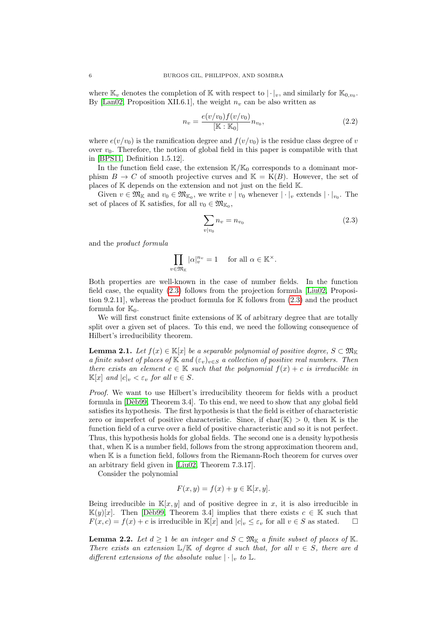where  $\mathbb{K}_v$  denotes the completion of  $\mathbb{K}$  with respect to  $|\cdot|_v$ , and similarly for  $\mathbb{K}_{0,v_0}$ . By [\[Lan02,](#page-38-16) Proposition XII.6.1], the weight  $n_v$  can be also written as

<span id="page-5-2"></span>
$$
n_v = \frac{e(v/v_0)f(v/v_0)}{[\mathbb{K} : \mathbb{K}_0]} n_{v_0},
$$
\n(2.2)

where  $e(v/v_0)$  is the ramification degree and  $f(v/v_0)$  is the residue class degree of v over  $v_0$ . Therefore, the notion of global field in this paper is compatible with that in [\[BPS11,](#page-38-5) Definition 1.5.12].

In the function field case, the extension  $\mathbb{K}/\mathbb{K}_0$  corresponds to a dominant morphism  $B \to C$  of smooth projective curves and  $\mathbb{K} = \mathcal{K}(B)$ . However, the set of places of K depends on the extension and not just on the field K.

Given  $v \in \mathfrak{M}_{\mathbb{K}}$  and  $v_0 \in \mathfrak{M}_{\mathbb{K}_0}$ , we write  $v \mid v_0$  whenever  $\vert \cdot \vert_v$  extends  $\vert \cdot \vert_{v_0}$ . The set of places of K satisfies, for all  $v_0 \in \mathfrak{M}_{\mathbb{K}_0}$ ,

<span id="page-5-0"></span>
$$
\sum_{v|v_0} n_v = n_{v_0} \tag{2.3}
$$

and the product formula

$$
\prod_{v \in \mathfrak{M}_{\mathbb{K}}} |\alpha|_v^{n_v} = 1 \quad \text{ for all } \alpha \in \mathbb{K}^\times.
$$

Both properties are well-known in the case of number fields. In the function field case, the equality [\(2.3\)](#page-5-0) follows from the projection formula [\[Liu02,](#page-38-17) Proposition 9.2.11], whereas the product formula for K follows from [\(2.3\)](#page-5-0) and the product formula for  $\mathbb{K}_0$ .

We will first construct finite extensions of  $K$  of arbitrary degree that are totally split over a given set of places. To this end, we need the following consequence of Hilbert's irreducibility theorem.

<span id="page-5-1"></span>**Lemma 2.1.** Let  $f(x) \in \mathbb{K}[x]$  be a separable polynomial of positive degree,  $S \subset \mathfrak{M}_{\mathbb{K}}$ a finite subset of places of K and  $(\varepsilon_v)_{v\in S}$  a collection of positive real numbers. Then there exists an element  $c \in \mathbb{K}$  such that the polynomial  $f(x) + c$  is irreducible in  $\mathbb{K}[x]$  and  $|c|_v < \varepsilon_v$  for all  $v \in S$ .

Proof. We want to use Hilbert's irreducibility theorem for fields with a product formula in  $[Dèb99, Theorem 3.4]$ . To this end, we need to show that any global field satisfies its hypothesis. The first hypothesis is that the field is either of characteristic zero or imperfect of positive characteristic. Since, if char( $\mathbb{K}$ ) > 0, then  $\mathbb{K}$  is the function field of a curve over a field of positive characteristic and so it is not perfect. Thus, this hypothesis holds for global fields. The second one is a density hypothesis that, when K is a number field, follows from the strong approximation theorem and, when K is a function field, follows from the Riemann-Roch theorem for curves over an arbitrary field given in [\[Liu02,](#page-38-17) Theorem 7.3.17].

Consider the polynomial

$$
F(x, y) = f(x) + y \in \mathbb{K}[x, y].
$$

Being irreducible in  $\mathbb{K}[x, y]$  and of positive degree in x, it is also irreducible in  $\mathbb{K}(y)[x]$ . Then [Dèb99, Theorem 3.4] implies that there exists  $c \in \mathbb{K}$  such that  $F(x, c) = f(x) + c$  is irreducible in  $\mathbb{K}[x]$  and  $|c|_v \leq \varepsilon_v$  for all  $v \in S$  as stated.  $\square$ 

<span id="page-5-3"></span>**Lemma 2.2.** Let  $d \geq 1$  be an integer and  $S \subset \mathfrak{M}_{\mathbb{K}}$  a finite subset of places of K. There exists an extension  $\mathbb{L}/\mathbb{K}$  of degree d such that, for all  $v \in S$ , there are d different extensions of the absolute value  $|\cdot|_v$  to L.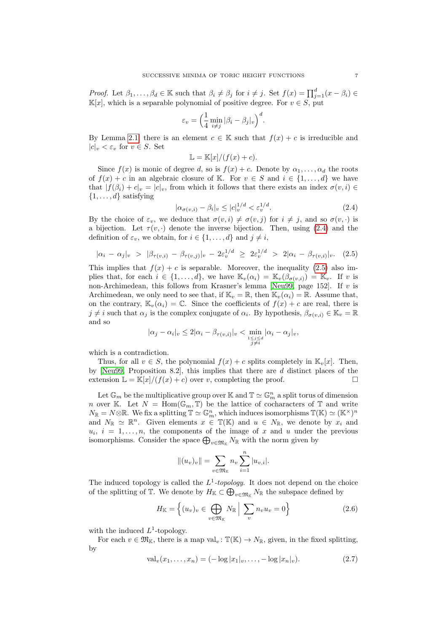*Proof.* Let  $\beta_1, \ldots, \beta_d \in \mathbb{K}$  such that  $\beta_i \neq \beta_j$  for  $i \neq j$ . Set  $f(x) = \prod_{j=1}^d (x - \beta_i) \in$  $\mathbb{K}[x]$ , which is a separable polynomial of positive degree. For  $v \in S$ , put

$$
\varepsilon_v = \left(\frac{1}{4} \min_{i \neq j} |\beta_i - \beta_j|_v\right)^d.
$$

By Lemma [2.1,](#page-5-1) there is an element  $c \in \mathbb{K}$  such that  $f(x) + c$  is irreducible and  $|c|_v < \varepsilon_v$  for  $v \in S$ . Set

$$
\mathbb{L} = \mathbb{K}[x]/(f(x) + c).
$$

Since  $f(x)$  is monic of degree d, so is  $f(x) + c$ . Denote by  $\alpha_1, \ldots, \alpha_d$  the roots of  $f(x) + c$  in an algebraic closure of K. For  $v \in S$  and  $i \in \{1, ..., d\}$  we have that  $|f(\beta_i) + c|_v = |c|_v$ , from which it follows that there exists an index  $\sigma(v, i) \in$  $\{1, \ldots, d\}$  satisfying

<span id="page-6-1"></span><span id="page-6-0"></span>
$$
|\alpha_{\sigma(v,i)} - \beta_i|_v \le |c|_v^{1/d} < \varepsilon_v^{1/d}.\tag{2.4}
$$

By the choice of  $\varepsilon_v$ , we deduce that  $\sigma(v, i) \neq \sigma(v, j)$  for  $i \neq j$ , and so  $\sigma(v, \cdot)$  is a bijection. Let  $\tau(v, \cdot)$  denote the inverse bijection. Then, using [\(2.4\)](#page-6-0) and the definition of  $\varepsilon_v$ , we obtain, for  $i \in \{1, \ldots, d\}$  and  $j \neq i$ ,

$$
|\alpha_i - \alpha_j|_v > |\beta_{\tau(v,i)} - \beta_{\tau(v,j)}|_v - 2\varepsilon_v^{1/d} \ge 2\varepsilon_v^{1/d} > 2|\alpha_i - \beta_{\tau(v,i)}|_v. \quad (2.5)
$$

This implies that  $f(x) + c$  is separable. Moreover, the inequality [\(2.5\)](#page-6-1) also implies that, for each  $i \in \{1, \ldots, d\}$ , we have  $\mathbb{K}_v(\alpha_i) = \mathbb{K}_v(\beta_{\sigma(v,i)}) = \mathbb{K}_v$ . If v is non-Archimedean, this follows from Krasner's lemma [\[Neu99,](#page-38-19) page 152]. If v is Archimedean, we only need to see that, if  $\mathbb{K}_v = \mathbb{R}$ , then  $\mathbb{K}_v(\alpha_i) = \mathbb{R}$ . Assume that, on the contrary,  $\mathbb{K}_v(\alpha_i) = \mathbb{C}$ . Since the coefficients of  $f(x) + c$  are real, there is  $j \neq i$  such that  $\alpha_j$  is the complex conjugate of  $\alpha_i$ . By hypothesis,  $\beta_{\sigma(v,i)} \in \mathbb{K}_v = \mathbb{R}$ and so

$$
|\alpha_j - \alpha_i|_v \le 2|\alpha_i - \beta_{\tau(v,i)}|_v < \min_{\substack{1 \le j \le d \\ j \ne i}} |\alpha_i - \alpha_j|_v,
$$

which is a contradiction.

Thus, for all  $v \in S$ , the polynomial  $f(x) + c$  splits completely in  $\mathbb{K}_v[x]$ . Then, by [\[Neu99,](#page-38-19) Proposition 8.2], this implies that there are d distinct places of the extension  $\mathbb{L} = \mathbb{K}[x]/(f(x) + c)$  over v, completing the proof.

Let  $\mathbb{G}_m$  be the multiplicative group over  $\mathbb{K}$  and  $\mathbb{T} \simeq \mathbb{G}_m^n$  a split torus of dimension n over K. Let  $N = \text{Hom}(\mathbb{G}_m, \mathbb{T})$  be the lattice of cocharacters of  $\mathbb{T}$  and write  $N_{\mathbb{R}} = N \otimes \mathbb{R}$ . We fix a splitting  $\mathbb{T} \simeq \mathbb{G}_m^n$ , which induces isomorphisms  $\mathbb{T}(\mathbb{K}) \simeq (\mathbb{K}^\times)^n$ and  $N_{\mathbb{R}} \simeq \mathbb{R}^n$ . Given elements  $x \in \mathbb{T}(\mathbb{K})$  and  $u \in N_{\mathbb{R}}$ , we denote by  $x_i$  and  $u_i, i = 1, \ldots, n$ , the components of the image of x and u under the previous isomorphisms. Consider the space  $\bigoplus_{v \in \mathfrak{M}_{\mathbb{K}}} N_{\mathbb{R}}$  with the norm given by

$$
||(u_v)_v|| = \sum_{v \in \mathfrak{M}_{\mathbb{K}}} n_v \sum_{i=1}^n |u_{v,i}|.
$$

The induced topology is called the  $L^1$ -topology. It does not depend on the choice of the splitting of T. We denote by  $H_{\mathbb{K}} \subset \bigoplus_{v \in \mathfrak{M}_{\mathbb{K}}} N_{\mathbb{R}}$  the subspace defined by

<span id="page-6-3"></span>
$$
H_{\mathbb{K}} = \left\{ (u_v)_v \in \bigoplus_{v \in \mathfrak{M}_{\mathbb{K}}} N_{\mathbb{R}} \middle| \sum_v n_v u_v = 0 \right\}
$$
 (2.6)

with the induced  $L^1$ -topology.

For each  $v \in \mathfrak{M}_{\mathbb{K}}$ , there is a map val<sub>v</sub>:  $\mathbb{T}(\mathbb{K}) \to N_{\mathbb{R}}$ , given, in the fixed splitting, by

<span id="page-6-2"></span>
$$
\text{val}_v(x_1, \dots, x_n) = (-\log |x_1|_v, \dots, -\log |x_n|_v). \tag{2.7}
$$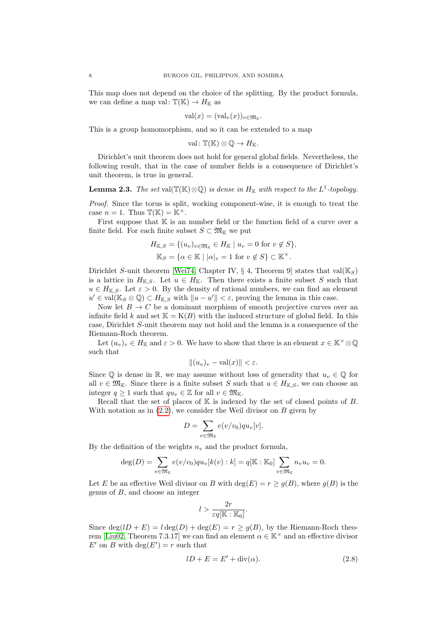This map does not depend on the choice of the splitting. By the product formula, we can define a map val:  $\mathbb{T}(\mathbb{K}) \to H_{\mathbb{K}}$  as

$$
\mathrm{val}(x) = (\mathrm{val}_v(x))_{v \in \mathfrak{M}_{\mathbb{K}}}.
$$

This is a group homomorphism, and so it can be extended to a map

val:  $\mathbb{T}(\mathbb{K})\otimes\mathbb{Q}\to H_{\mathbb{K}}$ .

Dirichlet's unit theorem does not hold for general global fields. Nevertheless, the following result, that in the case of number fields is a consequence of Dirichlet's unit theorem, is true in general.

# <span id="page-7-1"></span>**Lemma 2.3.** The set val( $\mathbb{T}(\mathbb{K})\otimes\mathbb{Q}$ ) is dense in  $H_{\mathbb{K}}$  with respect to the  $L^1$ -topology.

Proof. Since the torus is split, working component-wise, it is enough to treat the case  $n = 1$ . Thus  $\mathbb{T}(\mathbb{K}) = \mathbb{K}^{\times}$ .

First suppose that  $K$  is an number field or the function field of a curve over a finite field. For each finite subset  $S \subset \mathfrak{M}_{\mathbb{K}}$  we put

$$
H_{\mathbb{K},S} = \{ (u_v)_{v \in \mathfrak{M}_{\mathbb{K}}} \in H_{\mathbb{K}} \mid u_v = 0 \text{ for } v \notin S \},\
$$
  

$$
\mathbb{K}_S = \{ \alpha \in \mathbb{K} \mid |\alpha|_v = 1 \text{ for } v \notin S \} \subset \mathbb{K}^{\times}.
$$

Dirichlet S-unit theorem [\[Wei74,](#page-39-4) Chapter IV, § 4, Theorem 9] states that val $(\mathbb{K}_{S})$ is a lattice in  $H_{K,S}$ . Let  $u \in H_K$ . Then there exists a finite subset S such that  $u \in H_{K,S}$ . Let  $\varepsilon > 0$ . By the density of rational numbers, we can find an element  $u' \in \text{val}(\mathbb{K}_{S} \otimes \mathbb{Q}) \subset H_{\mathbb{K},S}$  with  $||u - u'|| < \varepsilon$ , proving the lemma in this case.

Now let  $B \to C$  be a dominant morphism of smooth projective curves over an infinite field k and set  $\mathbb{K} = \mathcal{K}(B)$  with the induced structure of global field. In this case, Dirichlet S-unit theorem may not hold and the lemma is a consequence of the Riemann-Roch theorem.

Let  $(u_v)_v \in H_{\mathbb{K}}$  and  $\varepsilon > 0$ . We have to show that there is an element  $x \in \mathbb{K}^{\times} \otimes \mathbb{Q}$ such that

$$
||(u_v)_v - \text{val}(x)|| < \varepsilon.
$$

Since  $\mathbb Q$  is dense in R, we may assume without loss of generality that  $u_v \in \mathbb Q$  for all  $v \in \mathfrak{M}_{\mathbb{K}}$ . Since there is a finite subset S such that  $u \in H_{\mathbb{K},S}$ , we can choose an integer  $q \geq 1$  such that  $qu_v \in \mathbb{Z}$  for all  $v \in \mathfrak{M}_{\mathbb{K}}$ .

Recall that the set of places of  $K$  is indexed by the set of closed points of  $B$ . With notation as in  $(2.2)$ , we consider the Weil divisor on B given by

$$
D = \sum_{v \in \mathfrak{M}_{\mathbb{K}}} e(v/v_0)qu_v[v].
$$

By the definition of the weights  $n_v$  and the product formula,

$$
\deg(D) = \sum_{v \in \mathfrak{M}_{\mathbb{K}}} e(v/v_0)qu_v[k(v):k] = q[\mathbb{K}:\mathbb{K}_0] \sum_{v \in \mathfrak{M}_{\mathbb{K}}} n_v u_v = 0.
$$

Let E be an effective Weil divisor on B with  $deg(E) = r \ge g(B)$ , where  $g(B)$  is the genus of B, and choose an integer

$$
l > \frac{2r}{\varepsilon q[\mathbb{K} : \mathbb{K}_0]}.
$$

Since  $\deg(1D + E) = l \deg(D) + \deg(E) = r \geq g(B)$ , by the Riemann-Roch theo-rem [\[Liu02,](#page-38-17) Theorem 7.3.17] we can find an element  $\alpha \in \mathbb{K}^{\times}$  and an effective divisor E' on B with  $deg(E') = r$  such that

<span id="page-7-0"></span>
$$
lD + E = E' + \text{div}(\alpha). \tag{2.8}
$$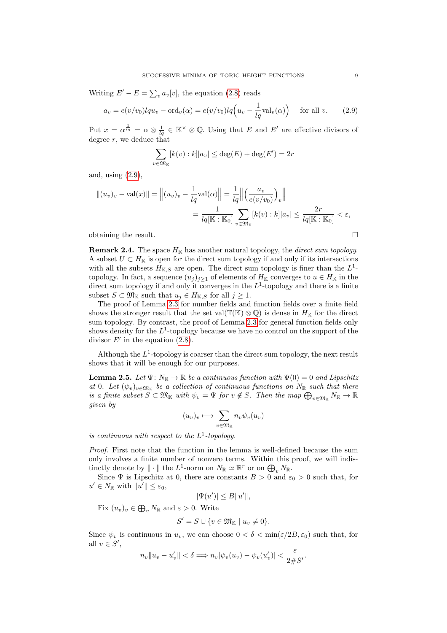Writing  $E'-E=\sum_{v} a_v[v]$ , the equation [\(2.8\)](#page-7-0) reads

<span id="page-8-0"></span>
$$
a_v = e(v/v_0)lqu_v - \text{ord}_v(\alpha) = e(v/v_0)lq\left(u_v - \frac{1}{lq}\text{val}_v(\alpha)\right) \quad \text{for all } v. \tag{2.9}
$$

Put  $x = \alpha^{\frac{1}{l_q}} = \alpha \otimes \frac{1}{l_q} \in \mathbb{K}^\times \otimes \mathbb{Q}$ . Using that E and E' are effective divisors of degree  $r$ , we deduce that

$$
\sum_{v \in \mathfrak{M}_{\mathbb{K}}} [k(v) : k] |a_v| \leq \deg(E) + \deg(E') = 2r
$$

and, using [\(2.9\)](#page-8-0),

$$
||(u_v)_v - \text{val}(x)|| = \left||(u_v)_v - \frac{1}{lq}\text{val}(\alpha)\right|| = \frac{1}{lq} \left\| \left(\frac{a_v}{e(v/v_0)}\right)_v \right\|
$$
  

$$
= \frac{1}{lq[\mathbb{K} : \mathbb{K}_0]} \sum_{v \in \mathfrak{M}_{\mathbb{K}}} [k(v) : k]|a_v| \le \frac{2r}{lq[\mathbb{K} : \mathbb{K}_0]} < \varepsilon,
$$

obtaining the result.

**Remark 2.4.** The space  $H_{\mathbb{K}}$  has another natural topology, the *direct sum topology*. A subset  $U \subset H_{\mathbb{K}}$  is open for the direct sum topology if and only if its intersections with all the subsets  $H_{\mathbb{K},S}$  are open. The direct sum topology is finer than the  $L^1$ topology. In fact, a sequence  $(u_i)_{i\geq 1}$  of elements of  $H_{\mathbb{K}}$  converges to  $u \in H_{\mathbb{K}}$  in the direct sum topology if and only it converges in the  $L^1$ -topology and there is a finite subset  $S \subset \mathfrak{M}_{\mathbb{K}}$  such that  $u_j \in H_{\mathbb{K},S}$  for all  $j \geq 1$ .

The proof of Lemma [2.3](#page-7-1) for number fields and function fields over a finite field shows the stronger result that the set val( $\mathbb{T}(\mathbb{K})\otimes\mathbb{Q}$ ) is dense in  $H_{\mathbb{K}}$  for the direct sum topology. By contrast, the proof of Lemma [2.3](#page-7-1) for general function fields only shows density for the  $L^1$ -topology because we have no control on the support of the divisor  $E'$  in the equation  $(2.8)$ .

Although the  $L^1$ -topology is coarser than the direct sum topology, the next result shows that it will be enough for our purposes.

<span id="page-8-1"></span>**Lemma 2.5.** Let  $\Psi: N_{\mathbb{R}} \to \mathbb{R}$  be a continuous function with  $\Psi(0) = 0$  and Lipschitz at 0. Let  $(\psi_v)_{v \in \mathfrak{M}_{\mathbb{K}}}$  be a collection of continuous functions on  $N_{\mathbb{R}}$  such that there is a finite subset  $S \subset \mathfrak{M}_{\mathbb{K}}$  with  $\psi_v = \Psi$  for  $v \notin S$ . Then the map  $\bigoplus_{v \in \mathfrak{M}_{\mathbb{K}}} N_{\mathbb{R}} \to \mathbb{R}$ given by

$$
(u_v)_v \longmapsto \sum_{v \in \mathfrak{M}_{\mathbb{K}}} n_v \psi_v(u_v)
$$

is continuous with respect to the  $L^1$ -topology.

Proof. First note that the function in the lemma is well-defined because the sum only involves a finite number of nonzero terms. Within this proof, we will indistinctly denote by  $\|\cdot\|$  the  $L^1$ -norm on  $N_{\mathbb{R}} \simeq \mathbb{R}^r$  or on  $\bigoplus_{v} N_{\mathbb{R}}$ .

Since  $\Psi$  is Lipschitz at 0, there are constants  $B > 0$  and  $\varepsilon_0 > 0$  such that, for  $u' \in N_{\mathbb{R}}$  with  $||u'|| \leq \varepsilon_0$ ,

$$
|\Psi(u')| \leq B||u'||,
$$

Fix  $(u_v)_v \in \bigoplus_{v} N_{\mathbb{R}}$  and  $\varepsilon > 0$ . Write

$$
S' = S \cup \{v \in \mathfrak{M}_{\mathbb{K}} \mid u_v \neq 0\}.
$$

Since  $\psi_v$  is continuous in  $u_v$ , we can choose  $0 < \delta < \min(\varepsilon/2B, \varepsilon_0)$  such that, for all  $v \in S'$ ,

$$
n_v \|u_v - u'_v\| < \delta \Longrightarrow n_v |\psi_v(u_v) - \psi_v(u'_v)| < \frac{\varepsilon}{2\#S'}.
$$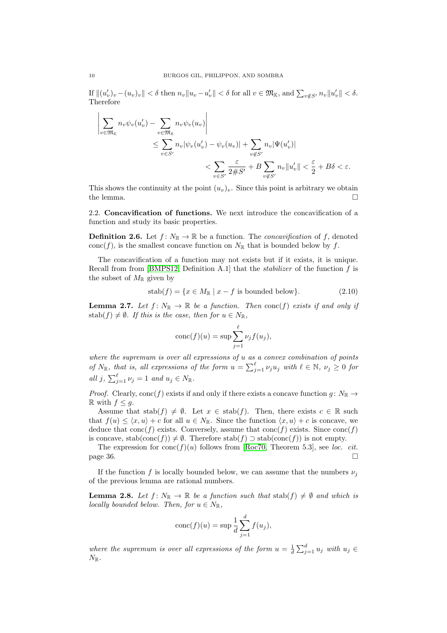If  $||(u'_v)_v - (u_v)_v|| < \delta$  then  $n_v ||u_v - u'_v|| < \delta$  for all  $v \in \mathfrak{M}_{\mathbb{K}}$ , and  $\sum_{v \notin S'} n_v ||u'_v|| < \delta$ . Therefore

$$
\left| \sum_{v \in \mathfrak{M}_{\mathbb{K}}} n_v \psi_v(u'_v) - \sum_{v \in \mathfrak{M}_{\mathbb{K}}} n_v \psi_v(u_v) \right|
$$
  

$$
\leq \sum_{v \in S'} n_v |\psi_v(u'_v) - \psi_v(u_v)| + \sum_{v \notin S'} n_v |\Psi(u'_v)|
$$
  

$$
< \sum_{v \in S'} \frac{\varepsilon}{2 \# S'} + B \sum_{v \notin S'} n_v \|u'_v\| < \frac{\varepsilon}{2} + B\delta < \varepsilon.
$$

This shows the continuity at the point  $(u_v)_v$ . Since this point is arbitrary we obtain the lemma.  $\Box$ 

2.2. Concavification of functions. We next introduce the concavification of a function and study its basic properties.

**Definition 2.6.** Let  $f: N_{\mathbb{R}} \to \mathbb{R}$  be a function. The *concavification* of f, denoted conc $(f)$ , is the smallest concave function on  $N_{\mathbb{R}}$  that is bounded below by f.

The concavification of a function may not exists but if it exists, it is unique. Recall from from [\[BMPS12,](#page-38-6) Definition A.1] that the *stabilizer* of the function  $f$  is the subset of  $M_{\mathbb{R}}$  given by

<span id="page-9-1"></span>
$$
stab(f) = \{ x \in M_{\mathbb{R}} \mid x - f \text{ is bounded below} \}. \tag{2.10}
$$

<span id="page-9-0"></span>**Lemma 2.7.** Let  $f: N_{\mathbb{R}} \to \mathbb{R}$  be a function. Then  $\text{conc}(f)$  exists if and only if stab(f)  $\neq \emptyset$ . If this is the case, then for  $u \in N_{\mathbb{R}}$ ,

$$
conc(f)(u) = \sup \sum_{j=1}^{\ell} \nu_j f(u_j),
$$

where the supremum is over all expressions of u as a convex combination of points of  $N_{\mathbb{R}}$ , that is, all expressions of the form  $u = \sum_{j=1}^{\ell} \nu_j u_j$  with  $\ell \in \mathbb{N}$ ,  $\nu_j \geq 0$  for all j,  $\sum_{j=1}^{\ell} \nu_j = 1$  and  $u_j \in N_{\mathbb{R}}$ .

*Proof.* Clearly, conc $(f)$  exists if and only if there exists a concave function  $g: N_{\mathbb{R}} \to$ R with  $f \leq q$ .

Assume that  $\text{stab}(f) \neq \emptyset$ . Let  $x \in \text{stab}(f)$ . Then, there exists  $c \in \mathbb{R}$  such that  $f(u) \leq \langle x, u \rangle + c$  for all  $u \in N_{\mathbb{R}}$ . Since the function  $\langle x, u \rangle + c$  is concave, we deduce that conc(f) exists. Conversely, assume that  $\text{conc}(f)$  exists. Since  $\text{conc}(f)$ is concave, stab(conc(f))  $\neq \emptyset$ . Therefore stab(f)  $\supset$  stab(conc(f)) is not empty.

The expression for  $conc(f)(u)$  follows from [\[Roc70,](#page-38-20) Theorem 5.3], see loc. cit.  $page 36.$ 

If the function f is locally bounded below, we can assume that the numbers  $\nu_i$ of the previous lemma are rational numbers.

<span id="page-9-2"></span>**Lemma 2.8.** Let  $f: N_{\mathbb{R}} \to \mathbb{R}$  be a function such that stab(f)  $\neq \emptyset$  and which is locally bounded below. Then, for  $u \in N_{\mathbb{R}}$ ,

$$
conc(f)(u) = \sup \frac{1}{d} \sum_{j=1}^{d} f(u_j),
$$

where the supremum is over all expressions of the form  $u = \frac{1}{d} \sum_{j=1}^{d} u_j$  with  $u_j \in$  $N_{\mathbb{R}}$ .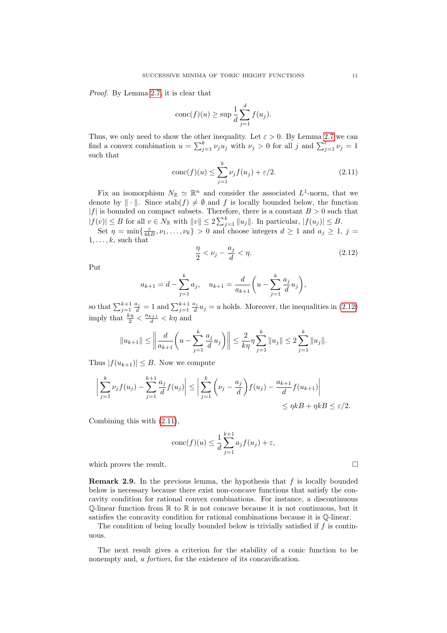Proof. By Lemma [2.7,](#page-9-0) it is clear that

$$
conc(f)(u) \ge \sup \frac{1}{d} \sum_{j=1}^{d} f(u_j).
$$

Thus, we only need to show the other inequality. Let  $\varepsilon > 0$ . By Lemma [2.7](#page-9-0) we can find a convex combination  $u = \sum_{j=1}^{k} \nu_j u_j$  with  $\nu_j > 0$  for all j and  $\sum_{j=1}^{\ell} \nu_j = 1$ such that

<span id="page-10-1"></span>
$$
conc(f)(u) \le \sum_{j=1}^{k} \nu_j f(u_j) + \varepsilon/2.
$$
\n(2.11)

Fix an isomorphism  $N_{\mathbb{R}} \simeq \mathbb{R}^n$  and consider the associated  $L^1$ -norm, that we denote by  $\|\cdot\|$ . Since  $\text{stab}(f) \neq \emptyset$  and f is locally bounded below, the function |f| is bounded on compact subsets. Therefore, there is a constant  $B > 0$  such that  $|f(v)| \leq B$  for all  $v \in N_{\mathbb{R}}$  with  $||v|| \leq 2 \sum_{j=1}^{k} ||u_j||$ . In particular,  $|f(u_j)| \leq B$ .

Set  $\eta = \min\{\frac{\varepsilon}{4kB}, \nu_1, \ldots, \nu_k\} > 0$  and choose integers  $d \ge 1$  and  $a_j \ge 1$ ,  $j =$  $1, \ldots, k$ , such that

<span id="page-10-0"></span>
$$
\frac{\eta}{2} < \nu_j - \frac{a_j}{d} < \eta. \tag{2.12}
$$

Put

$$
a_{k+1} = d - \sum_{j=1}^{k} a_j
$$
,  $u_{k+1} = \frac{d}{a_{k+1}} \left( u - \sum_{j=1}^{k} \frac{a_j}{d} u_j \right)$ ,

so that  $\sum_{j=1}^{k+1} \frac{a_j}{d} = 1$  and  $\sum_{j=1}^{k+1} \frac{a_j}{d} u_j = u$  holds. Moreover, the inequalities in  $(2.12)$ imply that  $\frac{k\eta}{2} < \frac{a_{k+1}}{d} < k\eta$  and

$$
||u_{k+1}|| \le ||\frac{d}{a_{k+1}} \left( u - \sum_{j=1}^k \frac{a_j}{d} u_j \right) || \le \frac{2}{k\eta} \eta \sum_{j=1}^k ||u_j|| \le 2 \sum_{j=1}^k ||u_j||.
$$

Thus  $|f(u_{k+1})| \leq B$ . Now we compute

$$
\left|\sum_{j=1}^k \nu_j f(u_j) - \sum_{j=1}^{k+1} \frac{a_j}{d} f(u_j)\right| \le \left|\sum_{j=1}^k \left(\nu_j - \frac{a_j}{d}\right) f(u_j) - \frac{a_{k+1}}{d} f(u_{k+1})\right| \le \eta k + \eta k \le \varepsilon/2.
$$

Combining this with [\(2.11\)](#page-10-1),

$$
conc(f)(u) \le \frac{1}{d} \sum_{j=1}^{k+1} a_j f(u_j) + \varepsilon,
$$

which proves the result.  $\hfill \square$ 

**Remark 2.9.** In the previous lemma, the hypothesis that  $f$  is locally bounded below is necessary because there exist non-concave functions that satisfy the concavity condition for rational convex combinations. For instance, a discontinuous  $\mathbb{Q}$ -linear function from  $\mathbb{R}$  to  $\mathbb{R}$  is not concave because it is not continuous, but it satisfies the concavity condition for rational combinations because it is Q-linear.

The condition of being locally bounded below is trivially satisfied if  $f$  is continuous.

The next result gives a criterion for the stability of a conic function to be nonempty and, *a fortiori*, for the existence of its concavification.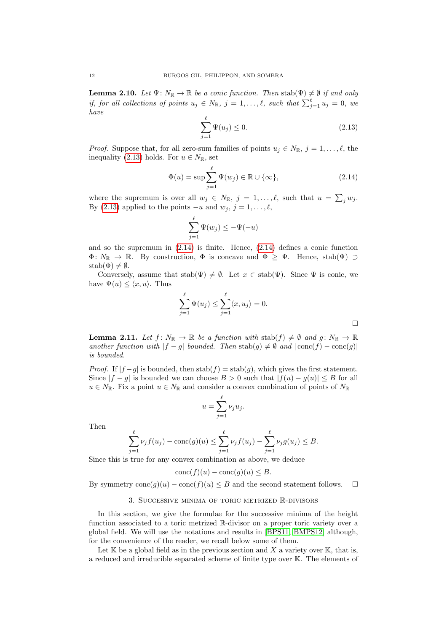<span id="page-11-3"></span>**Lemma 2.10.** Let  $\Psi: N_{\mathbb{R}} \to \mathbb{R}$  be a conic function. Then stab $(\Psi) \neq \emptyset$  if and only if, for all collections of points  $u_j \in N_{\mathbb{R}}$ ,  $j = 1, \ldots, \ell$ , such that  $\sum_{j=1}^{\ell} u_j = 0$ , we have

<span id="page-11-1"></span>
$$
\sum_{j=1}^{\ell} \Psi(u_j) \le 0. \tag{2.13}
$$

*Proof.* Suppose that, for all zero-sum families of points  $u_j \in N_{\mathbb{R}}$ ,  $j = 1, \ldots, \ell$ , the inequality [\(2.13\)](#page-11-1) holds. For  $u \in N_{\mathbb{R}}$ , set

<span id="page-11-2"></span>
$$
\Phi(u) = \sup \sum_{j=1}^{\ell} \Psi(w_j) \in \mathbb{R} \cup \{\infty\},\tag{2.14}
$$

where the supremum is over all  $w_j \in N_{\mathbb{R}}$ ,  $j = 1, \ldots, \ell$ , such that  $u = \sum_j w_j$ . By [\(2.13\)](#page-11-1) applied to the points  $-u$  and  $w_j$ ,  $j = 1, \ldots, \ell$ ,

$$
\sum_{j=1}^{\ell} \Psi(w_j) \leq -\Psi(-u)
$$

and so the supremum in [\(2.14\)](#page-11-2) is finite. Hence, [\(2.14\)](#page-11-2) defines a conic function  $\Phi\colon N_{\mathbb{R}} \to \mathbb{R}$ . By construction,  $\Phi$  is concave and  $\Phi \geq \Psi$ . Hence, stab $(\Psi) \supset$ stab $(\Phi) \neq \emptyset$ .

Conversely, assume that  $stab(\Psi) \neq \emptyset$ . Let  $x \in stab(\Psi)$ . Since  $\Psi$  is conic, we have  $\Psi(u) \leq \langle x, u \rangle$ . Thus

$$
\sum_{j=1}^{\ell} \Psi(u_j) \leq \sum_{j=1}^{\ell} \langle x, u_j \rangle = 0.
$$

 $\Box$ 

<span id="page-11-4"></span>**Lemma 2.11.** Let  $f: N_{\mathbb{R}} \to \mathbb{R}$  be a function with  $stab(f) \neq \emptyset$  and  $g: N_{\mathbb{R}} \to \mathbb{R}$ another function with  $|f - g|$  bounded. Then stab $(g) \neq \emptyset$  and  $|\text{conc}(f) - \text{conc}(g)|$ is bounded.

*Proof.* If  $|f - g|$  is bounded, then stab $(f) = \text{stab}(g)$ , which gives the first statement. Since  $|f - g|$  is bounded we can choose  $B > 0$  such that  $|f(u) - g(u)| \leq B$  for all  $u\in N_{\mathbb{R}}.$  Fix a point  $u\in N_{\mathbb{R}}$  and consider a convex combination of points of  $N_{\mathbb{R}}$ 

$$
u = \sum_{j=1}^{\ell} \nu_j u_j.
$$

Then

$$
\sum_{j=1}^{\ell} \nu_j f(u_j) - \text{conc}(g)(u) \le \sum_{j=1}^{\ell} \nu_j f(u_j) - \sum_{j=1}^{\ell} \nu_j g(u_j) \le B.
$$

Since this is true for any convex combination as above, we deduce

$$
conc(f)(u) - conc(g)(u) \leq B.
$$

By symmetry  $\text{conc}(g)(u) - \text{conc}(f)(u) \leq B$  and the second statement follows.  $\square$ 

## 3. Successive minima of toric metrized R-divisors

<span id="page-11-0"></span>In this section, we give the formulae for the successive minima of the height function associated to a toric metrized R-divisor on a proper toric variety over a global field. We will use the notations and results in [\[BPS11,](#page-38-5) [BMPS12\]](#page-38-6) although, for the convenience of the reader, we recall below some of them.

Let  $K$  be a global field as in the previous section and  $X$  a variety over  $K$ , that is, a reduced and irreducible separated scheme of finite type over K. The elements of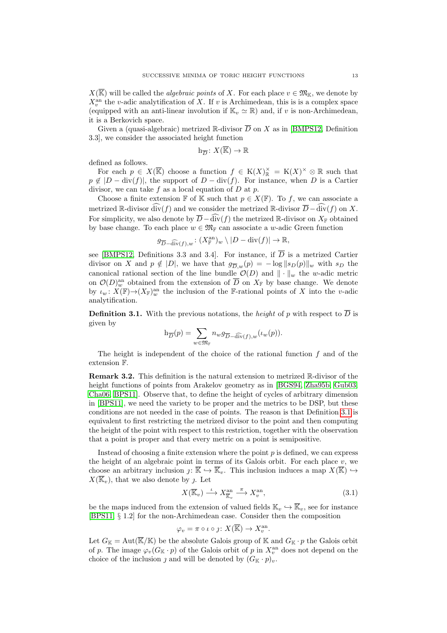$X(\overline{\mathbb{K}})$  will be called the *algebraic points* of X. For each place  $v \in \mathfrak{M}_{\mathbb{K}}$ , we denote by  $X_v^{\text{an}}$  the v-adic analytification of X. If v is Archimedean, this is is a complex space (equipped with an anti-linear involution if  $\mathbb{K}_v \simeq \mathbb{R}$ ) and, if v is non-Archimedean, it is a Berkovich space.

Given a (quasi-algebraic) metrized R-divisor  $\overline{D}$  on X as in [\[BMPS12,](#page-38-6) Definition 3.3], we consider the associated height function

$$
\mathbf{h}_{\overline{D}}\colon X(\overline{\mathbb{K}})\to\mathbb{R}
$$

defined as follows.

For each  $p \in X(\overline{\mathbb{K}})$  choose a function  $f \in K(X)_{\mathbb{R}}^{\times} = K(X)^{\times} \otimes \mathbb{R}$  such that  $p \notin |D - \text{div}(f)|$ , the support of  $D - \text{div}(f)$ . For instance, when D is a Cartier divisor, we can take f as a local equation of  $D$  at  $p$ .

Choose a finite extension F of K such that  $p \in X(\mathbb{F})$ . To f, we can associate a metrized R-divisor div(f) and we consider the metrized R-divisor  $\overline{D}$  –div(f) on X. For simplicity, we also denote by  $\overline{D} - \widehat{div}(f)$  the metrized R-divisor on  $X_{\mathbb{F}}$  obtained by base change. To each place  $w \in \mathfrak{M}_{\mathbb{F}}$  can associate a w-adic Green function

$$
g_{\overline{D}-\widehat{\mathrm{div}}(f),w} \colon (X_{\mathbb{F}}^{\mathrm{an}})_{w} \setminus |D - \mathrm{div}(f)| \to \mathbb{R},
$$

see [\[BMPS12,](#page-38-6) Definitions 3.3 and 3.4]. For instance, if  $\overline{D}$  is a metrized Cartier divisor on X and  $p \notin |D|$ , we have that  $g_{\overline{D},w}(p) = -\log ||s_D(p)||_w$  with  $s_D$  the canonical rational section of the line bundle  $\mathcal{O}(D)$  and  $\|\cdot\|_w$  the w-adic metric on  $\mathcal{O}(D)_{w}^{\text{an}}$  obtained from the extension of  $\overline{D}$  on  $X_{\mathbb{F}}$  by base change. We denote by  $\iota_w : X(\mathbb{F}) \to (X_{\mathbb{F}})_w^{\text{an}}$  the inclusion of the F-rational points of X into the v-adic analytification.

<span id="page-12-0"></span>**Definition 3.1.** With the previous notations, the *height* of p with respect to  $\overline{D}$  is given by

$$
\mathbf{h}_{\overline{D}}(p) = \sum_{w \in \mathfrak{M}_{\mathbb{F}}} n_w g_{\overline{D} - \widehat{\mathrm{div}}(f), w}(\iota_w(p)).
$$

The height is independent of the choice of the rational function  $f$  and of the extension F.

<span id="page-12-2"></span>Remark 3.2. This definition is the natural extension to metrized R-divisor of the height functions of points from Arakelov geometry as in [\[BGS94,](#page-38-21) [Zha95b,](#page-39-1) [Gub03,](#page-38-22) [Cha06,](#page-38-12) [BPS11\]](#page-38-5). Observe that, to define the height of cycles of arbitrary dimension in [\[BPS11\]](#page-38-5), we need the variety to be proper and the metrics to be DSP, but these conditions are not needed in the case of points. The reason is that Definition [3.1](#page-12-0) is equivalent to first restricting the metrized divisor to the point and then computing the height of the point with respect to this restriction, together with the observation that a point is proper and that every metric on a point is semipositive.

Instead of choosing a finite extension where the point  $p$  is defined, we can express the height of an algebraic point in terms of its Galois orbit. For each place  $v$ , we choose an arbitrary inclusion  $j: \overline{\mathbb{K}} \hookrightarrow \overline{\mathbb{K}}_v$ . This inclusion induces a map  $X(\overline{\mathbb{K}}) \hookrightarrow$  $X(\overline{\mathbb{K}}_v)$ , that we also denote by j. Let

<span id="page-12-1"></span>
$$
X(\overline{\mathbb{K}}_v) \xrightarrow{\iota} X^{\text{an}}_{\overline{\mathbb{K}}_v} \xrightarrow{\pi} X^{\text{an}}_v,\tag{3.1}
$$

be the maps induced from the extension of valued fields  $\mathbb{K}_v \hookrightarrow \overline{\mathbb{K}}_v$ , see for instance [\[BPS11,](#page-38-5) § 1.2] for the non-Archimedean case. Consider then the composition

$$
\varphi_v = \pi \circ \iota \circ \jmath \colon X(\overline{\mathbb{K}}) \to X_v^{\mathrm{an}}.
$$

Let  $G_{\mathbb{K}} = \text{Aut}(\overline{\mathbb{K}}/\mathbb{K})$  be the absolute Galois group of  $\mathbb{K}$  and  $G_{\mathbb{K}} \cdot p$  the Galois orbit of p. The image  $\varphi_v(G_{\mathbb{K}} \cdot p)$  of the Galois orbit of p in  $X_v^{\text{an}}$  does not depend on the choice of the inclusion j and will be denoted by  $(G_{\mathbb{K}} \cdot p)_v$ .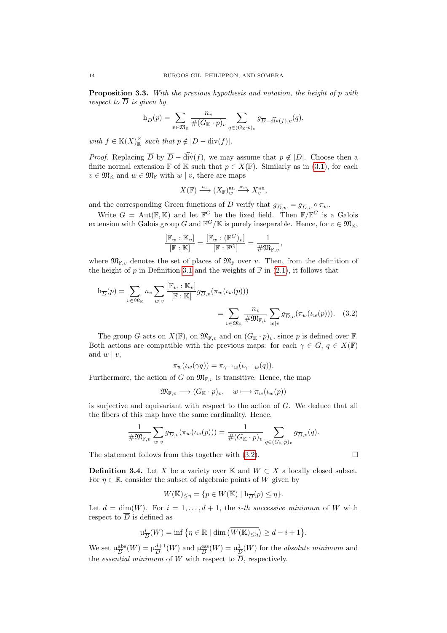Proposition 3.3. With the previous hypothesis and notation, the height of p with respect to  $\overline{D}$  is given by

$$
h_{\overline{D}}(p) = \sum_{v \in \mathfrak{M}_{\mathbb{K}}} \frac{n_v}{\#(G_{\mathbb{K}} \cdot p)_v} \sum_{q \in (G_{\mathbb{K}} \cdot p)_v} g_{\overline{D} - \widehat{\mathrm{div}}(f), v}(q),
$$

with  $f \in K(X)_{\mathbb{R}}^{\times}$  such that  $p \notin |D - \text{div}(f)|$ .

*Proof.* Replacing  $\overline{D}$  by  $\overline{D} - \widehat{\text{div}}(f)$ , we may assume that  $p \notin |D|$ . Choose then a finite normal extension F of K such that  $p \in X(\mathbb{F})$ . Similarly as in [\(3.1\)](#page-12-1), for each  $v \in \mathfrak{M}_{\mathbb{K}}$  and  $w \in \mathfrak{M}_{\mathbb{F}}$  with  $w \mid v$ , there are maps

$$
X(\mathbb{F}) \xrightarrow{\iota_w} (X_{\mathbb{F}})^{\text{an}}_w \xrightarrow{\pi_w} X_v^{\text{an}},
$$

and the corresponding Green functions of  $\overline{D}$  verify that  $g_{\overline{D},w} = g_{\overline{D},v} \circ \pi_w$ .

Write  $G = \text{Aut}(\mathbb{F}, \mathbb{K})$  and let  $\mathbb{F}^G$  be the fixed field. Then  $\mathbb{F}/\mathbb{F}^G$  is a Galois extension with Galois group G and  $\mathbb{F}^G/\mathbb{K}$  is purely inseparable. Hence, for  $v \in \mathfrak{M}_{\mathbb{K}}$ ,

$$
\frac{[\mathbb{F}_w:\mathbb{K}_v]}{[\mathbb{F}:\mathbb{K}]}=\frac{[\mathbb{F}_w:(\mathbb{F}^G)_v]}{[\mathbb{F}:\mathbb{F}^G]}=\frac{1}{\#\mathfrak{M}_{\mathbb{F},v}},
$$

where  $\mathfrak{M}_{\mathbb{F},v}$  denotes the set of places of  $\mathfrak{M}_{\mathbb{F}}$  over v. Then, from the definition of the height of p in Definition [3.1](#page-12-0) and the weights of  $\mathbb F$  in [\(2.1\)](#page-4-2), it follows that

$$
h_{\overline{D}}(p) = \sum_{v \in \mathfrak{M}_{\mathbb{K}}} n_v \sum_{w|v} \frac{[\mathbb{F}_w : \mathbb{K}_v]}{[\mathbb{F} : \mathbb{K}]} g_{\overline{D}, v}(\pi_w(\iota_w(p)))
$$
  

$$
= \sum_{v \in \mathfrak{M}_{\mathbb{K}}} \frac{n_v}{\# \mathfrak{M}_{\mathbb{F}, v}} \sum_{w|v} g_{\overline{D}, v}(\pi_w(\iota_w(p))). \quad (3.2)
$$

The group G acts on  $X(\mathbb{F})$ , on  $\mathfrak{M}_{\mathbb{F},v}$  and on  $(G_{\mathbb{K}} \cdot p)_v$ , since p is defined over  $\mathbb{F}.$ Both actions are compatible with the previous maps: for each  $\gamma \in G$ ,  $q \in X(\mathbb{F})$ and  $w | v$ ,

$$
\pi_w(\iota_w(\gamma q)) = \pi_{\gamma^{-1}w}(\iota_{\gamma^{-1}w}(q)).
$$

Furthermore, the action of G on  $\mathfrak{M}_{\mathbb{F},v}$  is transitive. Hence, the map

$$
\mathfrak{M}_{\mathbb{F},v} \longrightarrow (G_{\mathbb{K}} \cdot p)_v, \quad w \longmapsto \pi_w(\iota_w(p))
$$

is surjective and equivariant with respect to the action of G. We deduce that all the fibers of this map have the same cardinality. Hence,

$$
\frac{1}{\# \mathfrak{M}_{\mathbb{F},v}} \sum_{w \mid v} g_{\overline{D},v}(\pi_w(\iota_w(p))) = \frac{1}{\#(G_{\mathbb{K}} \cdot p)_v} \sum_{q \in (G_{\mathbb{K}} \cdot p)_v} g_{\overline{D},v}(q).
$$

The statement follows from this together with  $(3.2)$ .

**Definition 3.4.** Let X be a variety over K and  $W \subset X$  a locally closed subset. For  $\eta \in \mathbb{R}$ , consider the subset of algebraic points of W given by

$$
W(\overline{\mathbb{K}})_{\leq \eta} = \{p \in W(\overline{\mathbb{K}}) \mid \mathbf{h}_{\overline{D}}(p) \leq \eta\}.
$$

Let  $d = \dim(W)$ . For  $i = 1, \ldots, d + 1$ , the *i*-th successive minimum of W with respect to  $\overline{D}$  is defined as

$$
\mu_{\overline{D}}^i(W) = \inf \big\{ \eta \in \mathbb{R} \mid \dim \big( \overline{W(\overline{\mathbb{K}})_{\leq \eta}} \big) \geq d - i + 1 \big\}.
$$

We set  $\mu_{\overline{D}}^{\text{abs}}$  $\frac{\text{abs}}{D}(W) = \mu_{\overline{D}}^{d+1}$  $\frac{d+1}{D}(W)$  and  $\mu_{\overline{D}}^{\text{ess}}$  $\frac{\text{ess}}{D}(W) = \mu_{\overline{I}}^1$  $\frac{1}{D}(W)$  for the *absolute minimum* and the *essential minimum* of  $W$  with respect to  $D$ , respectively.

<span id="page-13-0"></span>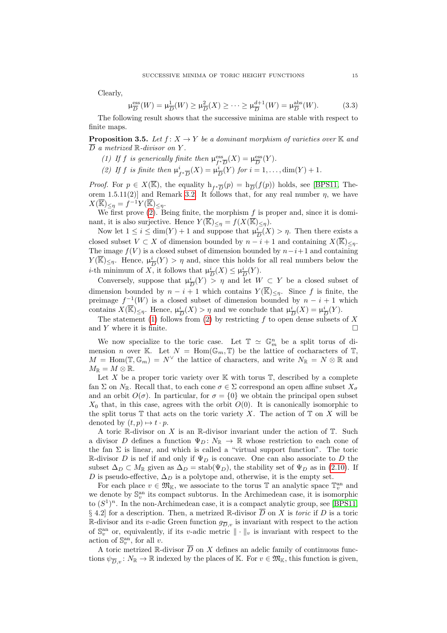Clearly,

<span id="page-14-2"></span>
$$
\mu_{\overline{D}}^{\text{ess}}(W) = \mu_{\overline{D}}^{\mathbf{1}}(W) \ge \mu_{\overline{D}}^{\mathbf{2}}(X) \ge \cdots \ge \mu_{\overline{D}}^{d+1}(W) = \mu_{\overline{D}}^{\text{abs}}(W). \tag{3.3}
$$

The following result shows that the successive minima are stable with respect to finite maps.

<span id="page-14-3"></span>**Proposition 3.5.** Let  $f: X \to Y$  be a dominant morphism of varieties over K and  $\overline{D}$  a metrized  $\mathbb{R}$ -divisor on Y.

- <span id="page-14-1"></span>(1) If f is generically finite then  $\mu_{\epsilon}^{\text{ess}}$  $\lim_{f^*\overline{D}}(X) = \mu_{\overline{D}}^{\text{ess}}$  $\frac{{\rm ess}}{D}(Y)$ .
- <span id="page-14-0"></span>(2) If f is finite then  $\mu_1^i$  $\frac{i}{f^*\overline{D}}(X)=\mu^i_{\overline{B}}$  $\frac{i}{D}(Y)$  for  $i = 1, \ldots, \dim(Y) + 1$ .

*Proof.* For  $p \in X(\overline{\mathbb{K}})$ , the equality  $h_{f^*\overline{D}}(p) = h_{\overline{D}}(f(p))$  holds, see [\[BPS11,](#page-38-5) The-orem 1.5.11(2)] and Remark [3.2.](#page-12-2) It follows that, for any real number  $\eta$ , we have  $X(\overline{\mathbb{K}})_{\leq \eta} = f^{-1}Y(\overline{\mathbb{K}})_{\leq \eta}.$ 

We first prove  $(2)$ . Being finite, the morphism f is proper and, since it is dominant, it is also surjective. Hence  $Y(\overline{\mathbb{K}})_{\leq \eta} = f(X(\overline{\mathbb{K}})_{\leq \eta}).$ 

Now let  $1 \leq i \leq \dim(Y) + 1$  and suppose that  $\mu_1^i$  $\frac{i}{D}(X) > \eta$ . Then there exists a closed subset  $V \subset X$  of dimension bounded by  $n - i + 1$  and containing  $X(\overline{\mathbb{K}})_{\leq n}$ . The image  $f(V)$  is a closed subset of dimension bounded by  $n-i+1$  and containing  $Y(\overline{\mathbb{K}})_{\leq \eta}$ . Hence,  $\mu_{\overline{\eta}}^i$  $\frac{i}{D}(Y) > \eta$  and, since this holds for all real numbers below the *i*-th minimum of X, it follows that  $\mu_7^i$  $\frac{i}{D}(X) \leq \mu_{\overline{j}}^{i}$  $\frac{i}{D}(Y).$ 

Conversely, suppose that  $\mu_{\overline{i}}^i$  $\frac{i}{D}(Y) > \eta$  and let  $W \subset Y$  be a closed subset of dimension bounded by  $n - i + 1$  which contains  $Y(\overline{\mathbb{K}})_{\leq n}$ . Since f is finite, the preimage  $f^{-1}(W)$  is a closed subset of dimension bounded by  $n-i+1$  which contains  $X(\overline{\mathbb{K}})_{\leq \eta}$ . Hence,  $\mu_{\overline{\eta}}^i$  $\frac{i}{D}(X) > \eta$  and we conclude that  $\mu_{\tilde{j}}^i$  $\frac{i}{D}(X) = \mu_{\overline{j}}^i$  $\frac{i}{D}(Y).$ 

The statement [\(1\)](#page-14-1) follows from [\(2\)](#page-14-0) by restricting f to open dense subsets of X and Y where it is finite.

We now specialize to the toric case. Let  $\mathbb{T} \simeq \mathbb{G}_m^n$  be a split torus of dimension n over K. Let  $N = \text{Hom}(\mathbb{G}_m, \mathbb{T})$  be the lattice of cocharacters of  $\mathbb{T}$ ,  $M = \text{Hom}(\mathbb{T}, \mathbb{G}_m) = N^{\vee}$  the lattice of characters, and write  $N_{\mathbb{R}} = N \otimes \mathbb{R}$  and  $M_{\mathbb{R}} = M \otimes \mathbb{R}$ .

Let X be a proper toric variety over  $\mathbb K$  with torus  $\mathbb T$ , described by a complete fan  $\Sigma$  on  $N_{\mathbb{R}}$ . Recall that, to each cone  $\sigma \in \Sigma$  correspond an open affine subset  $X_{\sigma}$ and an orbit  $O(\sigma)$ . In particular, for  $\sigma = \{0\}$  we obtain the principal open subset  $X_0$  that, in this case, agrees with the orbit  $O(0)$ . It is canonically isomorphic to the split torus  $\mathbb T$  that acts on the toric variety X. The action of  $\mathbb T$  on X will be denoted by  $(t, p) \mapsto t \cdot p$ .

A toric R-divisor on X is an R-divisor invariant under the action of  $T$ . Such a divisor D defines a function  $\Psi_D \colon N_{\mathbb{R}} \to \mathbb{R}$  whose restriction to each cone of the fan  $\Sigma$  is linear, and which is called a "virtual support function". The toric R-divisor D is nef if and only if  $\Psi_D$  is concave. One can also associate to D the subset  $\Delta_D \subset M_{\mathbb{R}}$  given as  $\Delta_D = \text{stab}(\Psi_D)$ , the stability set of  $\Psi_D$  as in [\(2.10\)](#page-9-1). If D is pseudo-effective,  $\Delta_D$  is a polytope and, otherwise, it is the empty set.

For each place  $v \in \mathfrak{M}_{\mathbb{K}}$ , we associate to the torus  $\mathbb{T}$  an analytic space  $\mathbb{T}_v^{\text{an}}$  and we denote by  $\mathbb{S}_v^{\text{an}}$  its compact subtorus. In the Archimedean case, it is isomorphic to  $(S^1)^n$ . In the non-Archimedean case, it is a compact analytic group, see [\[BPS11,](#page-38-5) § 4.2 for a description. Then, a metrized R-divisor  $\overline{D}$  on X is toric if D is a toric R-divisor and its v-adic Green function  $g_{\overline{D},v}$  is invariant with respect to the action of  $\mathbb{S}_v^{\text{an}}$  or, equivalently, if its v-adic metric  $\|\cdot\|_v$  is invariant with respect to the action of  $\mathbb{S}_v^{\text{an}}$ , for all  $v$ .

A toric metrized R-divisor  $\overline{D}$  on X defines an adelic family of continuous functions  $\psi_{\overline{D},v} : N_{\mathbb{R}} \to \mathbb{R}$  indexed by the places of K. For  $v \in \mathfrak{M}_{\mathbb{K}}$ , this function is given,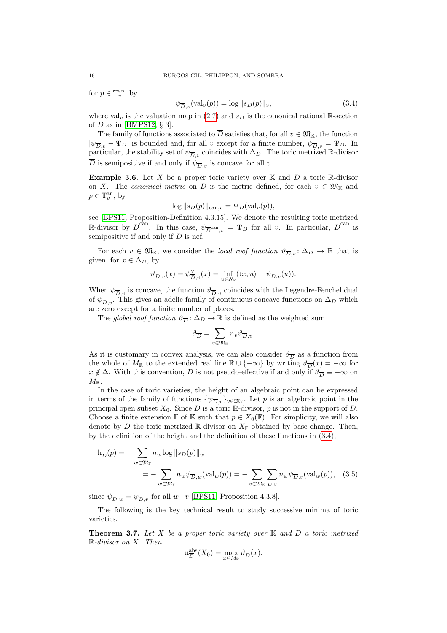for  $p \in \mathbb{T}^{\text{an}}_v$ , by

<span id="page-15-0"></span>
$$
\psi_{\overline{D},v}(\text{val}_v(p)) = \log \|s_D(p)\|_v,\tag{3.4}
$$

where val<sub>y</sub> is the valuation map in [\(2.7\)](#page-6-2) and  $s_D$  is the canonical rational R-section of D as in [\[BMPS12,](#page-38-6)  $\S$  3].

The family of functions associated to  $\overline{D}$  satisfies that, for all  $v \in \mathfrak{M}_{\mathbb{K}}$ , the function  $|\psi_{\overline{D},v} - \Psi_D|$  is bounded and, for all v except for a finite number,  $\psi_{\overline{D},v} = \Psi_D$ . In particular, the stability set of  $\psi_{\overline{D},v}$  coincides with  $\Delta_D$ . The toric metrized R-divisor  $\overline{D}$  is semipositive if and only if  $\psi_{\overline{D} v}$  is concave for all v.

<span id="page-15-2"></span>**Example 3.6.** Let X be a proper toric variety over  $\mathbb{K}$  and D a toric R-divisor on X. The canonical metric on D is the metric defined, for each  $v \in \mathfrak{M}_{\mathbb{K}}$  and  $p \in \mathbb{T}^{\text{an}}_v$ , by

$$
\log ||s_D(p)||_{\text{can},v} = \Psi_D(\text{val}_v(p)),
$$

see [\[BPS11,](#page-38-5) Proposition-Definition 4.3.15]. We denote the resulting toric metrized R-divisor by  $\overline{D}^{\text{can}}$ . In this case,  $\psi_{\overline{D}^{\text{can}}$ ,  $v = \Psi_D$  for all v. In particular,  $\overline{D}^{\text{can}}$  is semipositive if and only if  $D$  is nef.

For each  $v \in \mathfrak{M}_{\mathbb{K}}$ , we consider the local roof function  $\vartheta_{\overline{D}_v} : \Delta_D \to \mathbb{R}$  that is given, for  $x \in \Delta_D$ , by

$$
\vartheta_{\overline{D},v}(x) = \psi_{\overline{D},v}^{\vee}(x) = \inf_{u \in N_{\mathbb{R}}} (\langle x, u \rangle - \psi_{\overline{D},v}(u)).
$$

When  $\psi_{\overline{D},v}$  is concave, the function  $\vartheta_{\overline{D},v}$  coincides with the Legendre-Fenchel dual of  $\psi_{\overline{D},v}$ . This gives an adelic family of continuous concave functions on  $\Delta_D$  which are zero except for a finite number of places.

The global roof function  $\vartheta_{\overline{D}}: \Delta_D \to \mathbb{R}$  is defined as the weighted sum

$$
\vartheta_{\overline{D}}=\sum_{v\in\mathfrak{M}_{\mathbb{K}}}n_{v}\vartheta_{\overline{D},v}.
$$

As it is customary in convex analysis, we can also consider  $\vartheta_{\overline{D}}$  as a function from the whole of  $M_{\mathbb{R}}$  to the extended real line  $\mathbb{R} \cup \{-\infty\}$  by writing  $\vartheta_{\overline{D}}(x) = -\infty$  for  $x \notin \Delta$ . With this convention, D is not pseudo-effective if and only if  $\vartheta_{\overline{D}} \equiv -\infty$  on  $M_{\mathbb{R}}$ .

In the case of toric varieties, the height of an algebraic point can be expressed in terms of the family of functions  $\{\psi_{\overline{D},v}\}_{v\in\mathfrak{M}_{\mathbb{K}}}$ . Let p is an algebraic point in the principal open subset  $X_0$ . Since D is a toric R-divisor, p is not in the support of D. Choose a finite extension F of K such that  $p \in X_0(\mathbb{F})$ . For simplicity, we will also denote by  $\overline{D}$  the toric metrized R-divisor on  $X_{\mathbb{F}}$  obtained by base change. Then, by the definition of the height and the definition of these functions in [\(3.4\)](#page-15-0),

$$
h_{\overline{D}}(p) = -\sum_{w \in \mathfrak{M}_{\mathbb{F}}} n_w \log ||s_D(p)||_w
$$
  
= 
$$
-\sum_{w \in \mathfrak{M}_{\mathbb{F}}} n_w \psi_{\overline{D},w}(\text{val}_w(p)) = -\sum_{v \in \mathfrak{M}_{\mathbb{K}}} \sum_{w|v} n_w \psi_{\overline{D},v}(\text{val}_w(p)), \quad (3.5)
$$

since  $\psi_{\overline{D},w} = \psi_{\overline{D},v}$  for all w | v [\[BPS11,](#page-38-5) Proposition 4.3.8].

The following is the key technical result to study successive minima of toric varieties.

<span id="page-15-3"></span>**Theorem 3.7.** Let X be a proper toric variety over  $\mathbb{K}$  and  $\overline{D}$  a toric metrized R-divisor on X. Then

<span id="page-15-1"></span>
$$
\mu_{\overline{D}}^{\mathrm{abs}}(X_0) = \max_{x \in M_{\mathbb{R}}} \vartheta_{\overline{D}}(x).
$$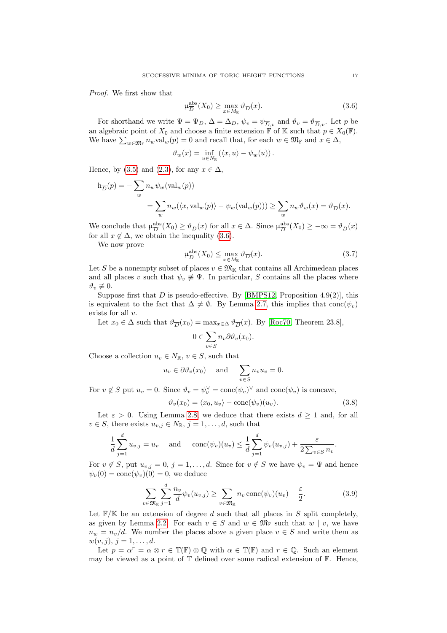Proof. We first show that

<span id="page-16-0"></span>
$$
\mu_{\overline{D}}^{\text{abs}}(X_0) \ge \max_{x \in M_{\mathbb{R}}} \vartheta_{\overline{D}}(x). \tag{3.6}
$$

For shorthand we write  $\Psi = \Psi_D$ ,  $\Delta = \Delta_D$ ,  $\psi_v = \psi_{\overline{D},v}$  and  $\vartheta_v = \vartheta_{\overline{D},v}$ . Let p be an algebraic point of  $X_0$  and choose a finite extension  $\mathbb F$  of  $\mathbb K$  such that  $p \in X_0(\mathbb F)$ . We have  $\sum_{w \in \mathfrak{M}_{\mathbb{F}}} n_w \text{val}_w(p) = 0$  and recall that, for each  $w \in \mathfrak{M}_{\mathbb{F}}$  and  $x \in \Delta$ ,

$$
\vartheta_w(x) = \inf_{u \in N_{\mathbb{R}}} (\langle x, u \rangle - \psi_w(u)).
$$

Hence, by [\(3.5\)](#page-15-1) and [\(2.3\)](#page-5-0), for any  $x \in \Delta$ ,

$$
h_{\overline{D}}(p) = -\sum_{w} n_{w} \psi_{w}(\text{val}_{w}(p))
$$
  
= 
$$
\sum_{w} n_{w} (\langle x, \text{val}_{w}(p) \rangle - \psi_{w}(\text{val}_{w}(p))) \ge \sum_{w} n_{w} \vartheta_{w}(x) = \vartheta_{\overline{D}}(x).
$$

We conclude that  $\mu_{\overline{D}}^{\text{abs}}$  $\frac{\text{abs}}{D}(X_0) \ge \vartheta_{\overline{D}}(x)$  for all  $x \in \Delta$ . Since  $\mu_{\overline{D}}^{\text{abs}}$  $\frac{\text{abs}}{D}(X_0) \geq -\infty = \vartheta_{\overline{D}}(x)$ for all  $x \notin \Delta$ , we obtain the inequality [\(3.6\)](#page-16-0).

We now prove

<span id="page-16-3"></span>
$$
\mu_D^{\text{abs}}(X_0) \le \max_{x \in M_{\mathbb{R}}} \vartheta_{\overline{D}}(x). \tag{3.7}
$$

Let S be a nonempty subset of places  $v \in \mathfrak{M}_{\mathbb{K}}$  that contains all Archimedean places and all places v such that  $\psi_v \neq \Psi$ . In particular, S contains all the places where  $\vartheta_v \not\equiv 0.$ 

Suppose first that  $D$  is pseudo-effective. By [\[BMPS12,](#page-38-6) Proposition 4.9(2)], this is equivalent to the fact that  $\Delta \neq \emptyset$ . By Lemma [2.7,](#page-9-0) this implies that conc $(\psi_v)$ exists for all  $v$ .

Let  $x_0 \in \Delta$  such that  $\vartheta_{\overline{D}}(x_0) = \max_{x \in \Delta} \vartheta_{\overline{D}}(x)$ . By [\[Roc70,](#page-38-20) Theorem 23.8],

$$
0 \in \sum_{v \in S} n_v \partial \vartheta_v(x_0).
$$

Choose a collection  $u_v \in N_{\mathbb{R}}$ ,  $v \in S$ , such that

$$
u_v \in \partial \vartheta_v(x_0)
$$
 and  $\sum_{v \in S} n_v u_v = 0$ .

For  $v \notin S$  put  $u_v = 0$ . Since  $\vartheta_v = \psi_v^{\vee} = \text{conc}(\psi_v)^{\vee}$  and  $\text{conc}(\psi_v)$  is concave,

<span id="page-16-2"></span>
$$
\vartheta_v(x_0) = \langle x_0, u_v \rangle - \text{conc}(\psi_v)(u_v). \tag{3.8}
$$

Let  $\varepsilon > 0$ . Using Lemma [2.8,](#page-9-2) we deduce that there exists  $d \ge 1$  and, for all  $v \in S$ , there exists  $u_{v,j} \in N_{\mathbb{R}}$ ,  $j = 1, \ldots, d$ , such that

$$
\frac{1}{d}\sum_{j=1}^d u_{v,j} = u_v \quad \text{and} \quad \text{conc}(\psi_v)(u_v) \le \frac{1}{d}\sum_{j=1}^d \psi_v(u_{v,j}) + \frac{\varepsilon}{2\sum_{v\in S}n_v}.
$$

For  $v \notin S$ , put  $u_{v,j} = 0$ ,  $j = 1, ..., d$ . Since for  $v \notin S$  we have  $\psi_v = \Psi$  and hence  $\psi_v(0) = \text{conc}(\psi_v)(0) = 0$ , we deduce

<span id="page-16-1"></span>
$$
\sum_{v \in \mathfrak{M}_{\mathbb{K}}} \sum_{j=1}^{d} \frac{n_v}{d} \psi_v(u_{v,j}) \ge \sum_{v \in \mathfrak{M}_{\mathbb{K}}} n_v \operatorname{conc}(\psi_v)(u_v) - \frac{\varepsilon}{2}.
$$
 (3.9)

Let  $\mathbb{F}/\mathbb{K}$  be an extension of degree d such that all places in S split completely, as given by Lemma [2.2.](#page-5-3) For each  $v \in S$  and  $w \in \mathfrak{M}_{\mathbb{F}}$  such that  $w \mid v$ , we have  $n_w = n_v/d$ . We number the places above a given place  $v \in S$  and write them as  $w(v, j), j = 1, \ldots, d.$ 

Let  $p = \alpha^r = \alpha \otimes r \in \mathbb{T}(\mathbb{F}) \otimes \mathbb{Q}$  with  $\alpha \in \mathbb{T}(\mathbb{F})$  and  $r \in \mathbb{Q}$ . Such an element may be viewed as a point of  $\mathbb T$  defined over some radical extension of  $\mathbb F$ . Hence,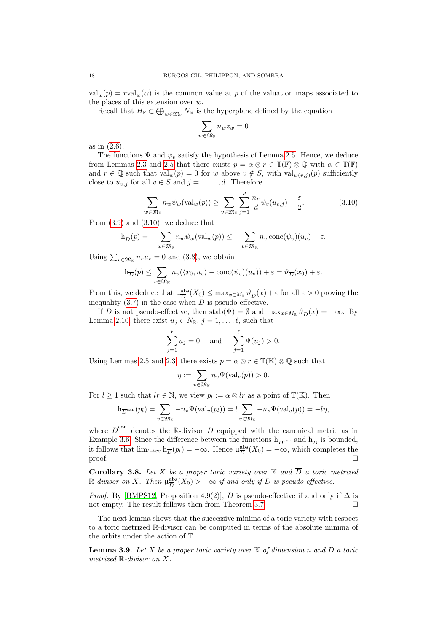$val_w(p) = rval_w(\alpha)$  is the common value at p of the valuation maps associated to the places of this extension over  $w$ .

Recall that  $H_{\mathbb{F}} \subset \bigoplus_{w \in \mathfrak{M}_{\mathbb{F}}} N_{\mathbb{R}}$  is the hyperplane defined by the equation

$$
\sum_{w \in \mathfrak{M}_{\mathbb{F}}} n_w z_w = 0
$$

as in [\(2.6\)](#page-6-3).

The functions  $\Psi$  and  $\psi_v$  satisfy the hypothesis of Lemma [2.5.](#page-8-1) Hence, we deduce from Lemmas [2.3](#page-7-1) and [2.5](#page-8-1) that there exists  $p = \alpha \otimes r \in \mathbb{T}(\mathbb{F}) \otimes \mathbb{Q}$  with  $\alpha \in \mathbb{T}(\mathbb{F})$ and  $r \in \mathbb{Q}$  such that  $val_w(p) = 0$  for w above  $v \notin S$ , with  $val_{w(v,j)}(p)$  sufficiently close to  $u_{v,j}$  for all  $v \in S$  and  $j = 1, \ldots, d$ . Therefore

<span id="page-17-0"></span>
$$
\sum_{w \in \mathfrak{M}_{\mathbb{F}}} n_w \psi_w(\text{val}_w(p)) \ge \sum_{v \in \mathfrak{M}_{\mathbb{K}}} \sum_{j=1}^d \frac{n_v}{d} \psi_v(u_{v,j}) - \frac{\varepsilon}{2}.
$$
 (3.10)

From  $(3.9)$  and  $(3.10)$ , we deduce that

$$
h_{\overline{D}}(p) = -\sum_{w \in \mathfrak{M}_{\mathbb{F}}} n_w \psi_w(\text{val}_w(p)) \leq -\sum_{v \in \mathfrak{M}_{\mathbb{K}}} n_v \operatorname{conc}(\psi_v)(u_v) + \varepsilon.
$$

Using  $\sum_{v \in \mathfrak{M}_{\mathbb{K}}} n_v u_v = 0$  and [\(3.8\)](#page-16-2), we obtain

$$
h_{\overline{D}}(p) \leq \sum_{v \in \mathfrak{M}_{\mathbb{K}}} n_v(\langle x_0, u_v \rangle - \text{conc}(\psi_v)(u_v)) + \varepsilon = \vartheta_{\overline{D}}(x_0) + \varepsilon.
$$

From this, we deduce that  $\mu_{\overline{D}}^{\text{abs}}$  $\frac{\text{abs}}{D}(X_0) \leq \max_{x \in M_{\mathbb{R}}} \vartheta_{\overline{D}}(x) + \varepsilon \text{ for all } \varepsilon > 0 \text{ proving the}$ inequality  $(3.7)$  in the case when D is pseudo-effective.

If D is not pseudo-effective, then stab $(\Psi) = \emptyset$  and  $\max_{x \in M_{\mathbb{R}}} \vartheta_{\overline{D}}(x) = -\infty$ . By Lemma [2.10,](#page-11-3) there exist  $u_j \in N_{\mathbb{R}}$ ,  $j = 1, \ldots, \ell$ , such that

$$
\sum_{j=1}^{\ell} u_j = 0
$$
 and  $\sum_{j=1}^{\ell} \Psi(u_j) > 0.$ 

Using Lemmas [2.5](#page-8-1) and [2.3,](#page-7-1) there exists  $p = \alpha \otimes r \in \mathbb{T}(\mathbb{K}) \otimes \mathbb{Q}$  such that

$$
\eta := \sum_{v \in \mathfrak{M}_{\mathbb{K}}} n_v \Psi(\text{val}_v(p)) > 0.
$$

For  $l \geq 1$  such that  $lr \in \mathbb{N}$ , we view  $p_l := \alpha \otimes lr$  as a point of  $\mathbb{T}(\mathbb{K})$ . Then

$$
h_{\overline{D}^{\mathrm{can}}}(p_l) = \sum_{v \in \mathfrak{M}_{\mathbb{K}}} -n_v \Psi(\mathrm{val}_v(p_l)) = l \sum_{v \in \mathfrak{M}_{\mathbb{K}}} -n_v \Psi(\mathrm{val}_v(p)) = -l\eta,
$$

where  $\overline{D}^{\text{can}}$  denotes the R-divisor D equipped with the canonical metric as in Example [3.6.](#page-15-2) Since the difference between the functions  $h_{\overline{D}^{\text{can}}}$  and  $h_{\overline{D}}$  is bounded, it follows that  $\lim_{l\to\infty} h_{\overline{D}}(p_l) = -\infty$ . Hence  $\mu_{\overline{D}}^{\text{abs}}$  $\frac{a b s}{D}(X_0) = -\infty$ , which completes the proof.  $\Box$ 

**Corollary 3.8.** Let X be a proper toric variety over  $\mathbb{K}$  and  $\overline{D}$  a toric metrized  $\mathbb{R}$ -divisor on X. Then  $\mu_{\overline{D}}^{\text{abs}}$  $\frac{\text{abs}}{D}(X_0) > -\infty$  if and only if D is pseudo-effective.

*Proof.* By [\[BMPS12,](#page-38-6) Proposition 4.9(2)], D is pseudo-effective if and only if  $\Delta$  is not empty. The result follows then from Theorem [3.7.](#page-15-3)  $\Box$ 

The next lemma shows that the successive minima of a toric variety with respect to a toric metrized R-divisor can be computed in terms of the absolute minima of the orbits under the action of T.

<span id="page-17-1"></span>**Lemma 3.9.** Let X be a proper toric variety over  $\mathbb{K}$  of dimension n and  $\overline{D}$  a toric metrized R-divisor on X.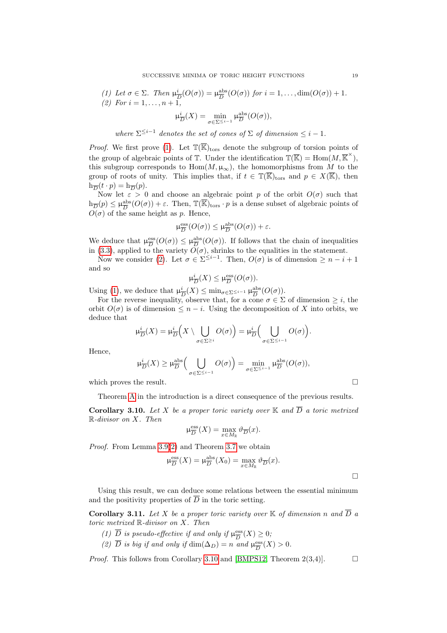<span id="page-18-1"></span>(1) Let 
$$
\sigma \in \Sigma
$$
. Then  $\mu_{\overline{D}}^i(O(\sigma)) = \mu_{\overline{D}}^{abs}(O(\sigma))$  for  $i = 1, ..., \dim(O(\sigma)) + 1$ .

<span id="page-18-2"></span>(2) For 
$$
i = 1, ..., n + 1
$$
,

$$
\mu_{\overline{D}}^{i}(X) = \min_{\sigma \in \Sigma^{\leq i-1}} \mu_{\overline{D}}^{\text{abs}}(O(\sigma)),
$$

where  $\Sigma^{\leq i-1}$  denotes the set of cones of  $\Sigma$  of dimension  $\leq i-1$ .

*Proof.* We first prove [\(1\)](#page-18-1). Let  $\mathbb{T}(\overline{\mathbb{K}})_{\text{tors}}$  denote the subgroup of torsion points of the group of algebraic points of  $\mathbb T$ . Under the identification  $\mathbb T(\overline{\mathbb K}) = \text{Hom}(M, \overline{\mathbb K}^{\times}),$ this subgroup corresponds to  $Hom(M, \mu_{\infty})$ , the homomorphisms from M to the group of roots of unity. This implies that, if  $t \in \mathbb{T}(\overline{\mathbb{K}})_{\text{tors}}$  and  $p \in X(\overline{\mathbb{K}})$ , then  $h_{\overline{D}}(t \cdot p) = h_{\overline{D}}(p).$ 

Now let  $\varepsilon > 0$  and choose an algebraic point p of the orbit  $O(\sigma)$  such that  $\mathrm{h}_{\overline{D}}(p) \leq \mu_{\overline{D}}^{\mathrm{abs}}$  $\frac{\text{abs}}{D}(O(\sigma)) + \varepsilon$ . Then,  $\mathbb{T}(\overline{\mathbb{K}})_{\text{tors}} \cdot p$  is a dense subset of algebraic points of  $O(\sigma)$  of the same height as p. Hence,

$$
\mu_{\overline{D}}^{\text{ess}}(O(\sigma)) \leq \mu_{\overline{D}}^{\text{abs}}(O(\sigma)) + \varepsilon.
$$

We deduce that  $\mu_{\overline{D}}^{\text{ess}}$  $\frac{\text{ess}}{D}(O(\sigma)) \leq \mu_D^{\text{abs}}$  $\frac{\text{abs}}{D}(O(\sigma))$ . If follows that the chain of inequalities in [\(3.3\)](#page-14-2), applied to the variety  $\tilde{O}(\sigma)$ , shrinks to the equalities in the statement.

Now we consider [\(2\)](#page-18-2). Let  $\sigma \in \Sigma^{\leq i-1}$ . Then,  $O(\sigma)$  is of dimension  $\geq n-i+1$ and so

$$
\mu_{\overline{D}}^{i}(X) \leq \mu_{\overline{D}}^{\text{ess}}(O(\sigma)).
$$

Using [\(1\)](#page-18-1), we deduce that  $\mu_{\bar{i}}^i$  $\frac{i}{D}(X) \leq \min_{\sigma \in \Sigma^{\leq i-1}} \mu_{\overline{D}}^{\text{abs}}$  $rac{\text{abs}}{D}(O(\sigma))$ .

For the reverse inequality, observe that, for a cone  $\sigma \in \Sigma$  of dimension  $\geq i$ , the orbit  $O(\sigma)$  is of dimension  $\leq n-i$ . Using the decomposition of X into orbits, we deduce that

$$
\mu_{\overline{D}}^{i}(X) = \mu_{\overline{D}}^{i}\Big(X \setminus \bigcup_{\sigma \in \Sigma^{\geq i}} O(\sigma)\Big) = \mu_{\overline{D}}^{i}\Big(\bigcup_{\sigma \in \Sigma^{\leq i-1}} O(\sigma)\Big).
$$

Hence,

$$
\mu_{\overline{D}}^{i}(X) \geq \mu_{\overline{D}}^{\text{abs}}\Big(\bigcup_{\sigma \in \Sigma^{\leq i-1}} O(\sigma)\Big) = \min_{\sigma \in \Sigma^{\leq i-1}} \mu_{\overline{D}}^{\text{abs}}(O(\sigma)),
$$

which proves the result.  $\Box$ 

Theorem [A](#page-1-0) in the introduction is a direct consequence of the previous results.

<span id="page-18-0"></span>**Corollary 3.10.** Let X be a proper toric variety over  $\mathbb{K}$  and  $\overline{D}$  a toric metrized R-divisor on X. Then

$$
\mu_{\overline{D}}^{\mathrm{ess}}(X)=\max_{x\in M_{\mathbb{R}}}\vartheta_{\overline{D}}(x).
$$

Proof. From Lemma [3.9\(](#page-17-1)[2\)](#page-18-2) and Theorem [3.7](#page-15-3) we obtain

$$
\mu_{\overline{D}}^{\text{ess}}(X) = \mu_{\overline{D}}^{\text{abs}}(X_0) = \max_{x \in M_{\mathbb{R}}} \vartheta_{\overline{D}}(x).
$$

 $\Box$ 

Using this result, we can deduce some relations between the essential minimum and the positivity properties of  $\overline{D}$  in the toric setting.

<span id="page-18-3"></span>**Corollary 3.11.** Let X be a proper toric variety over  $\mathbb K$  of dimension n and  $\overline{D}$  a toric metrized R-divisor on X. Then

- <span id="page-18-4"></span>(1)  $\overline{D}$  is pseudo-effective if and only if  $\mu_{\overline{D}}^{\text{ess}}$  $\frac{\text{ess}}{D}(X) \geq 0;$
- <span id="page-18-5"></span>(2)  $\overline{D}$  is big if and only if  $\dim(\Delta_D) = n$  and  $\mu_{\overline{D}}^{\text{ess}}$  $\frac{\text{ess}}{D}(X) > 0.$

*Proof.* This follows from Corollary [3.10](#page-18-0) and [\[BMPS12,](#page-38-6) Theorem 2(3,4)].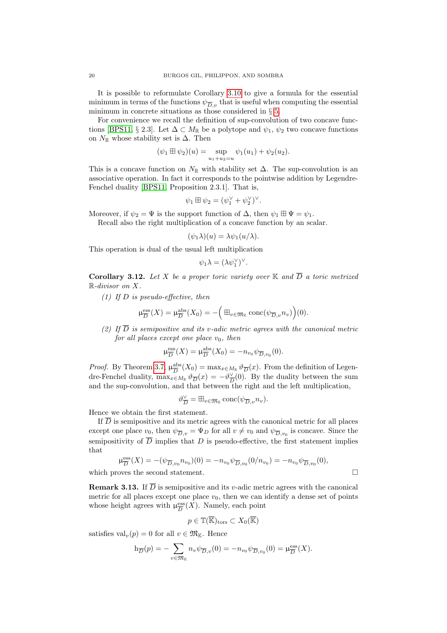It is possible to reformulate Corollary [3.10](#page-18-0) to give a formula for the essential minimum in terms of the functions  $\psi_{\overline{D},v}$  that is useful when computing the essential minimum in concrete situations as those considered in § [5.](#page-27-0)

For convenience we recall the definition of sup-convolution of two concave func-tions [\[BPS11,](#page-38-5) § 2.3]. Let  $\Delta \subset M_{\mathbb{R}}$  be a polytope and  $\psi_1$ ,  $\psi_2$  two concave functions on  $N_{\mathbb{R}}$  whose stability set is  $\Delta$ . Then

$$
(\psi_1 \boxplus \psi_2)(u) = \sup_{u_1 + u_2 = u} \psi_1(u_1) + \psi_2(u_2).
$$

This is a concave function on  $N_{\mathbb{R}}$  with stability set  $\Delta$ . The sup-convolution is an associative operation. In fact it corresponds to the pointwise addition by Legendre-Fenchel duality [\[BPS11,](#page-38-5) Proposition 2.3.1]. That is,

$$
\psi_1 \boxplus \psi_2 = (\psi_1^{\vee} + \psi_2^{\vee})^{\vee}.
$$

Moreover, if  $\psi_2 = \Psi$  is the support function of  $\Delta$ , then  $\psi_1 \boxplus \Psi = \psi_1$ . Recall also the right multiplication of a concave function by an scalar.

$$
(\psi_1 \lambda)(u) = \lambda \psi_1(u/\lambda).
$$

This operation is dual of the usual left multiplication

$$
\psi_1 \lambda = (\lambda \psi_1^{\vee})^{\vee}.
$$

<span id="page-19-0"></span>**Corollary 3.12.** Let X be a proper toric variety over K and  $\overline{D}$  a toric metrized R-divisor on X.

(1) If D is pseudo-effective, then

$$
\mu_{\overline{D}}^{\text{ess}}(X) = \mu_{\overline{D}}^{\text{abs}}(X_0) = -\Big(\boxplus_{v \in \mathfrak{M}_{\mathbb{K}}} \text{conc}(\psi_{\overline{D},v} n_v)\Big)(0).
$$

<span id="page-19-1"></span>(2) If  $\overline{D}$  is semipositive and its v-adic metric agrees with the canonical metric for all places except one place  $v_0$ , then

$$
\mu_{\overline{D}}^{\text{ess}}(X) = \mu_{\overline{D}}^{\text{abs}}(X_0) = -n_{v_0} \psi_{\overline{D}, v_0}(0).
$$

*Proof.* By Theorem [3.7,](#page-15-3)  $\mu_{\overline{D}}^{\text{abs}}$  $\frac{\text{abs}}{D}(X_0) = \max_{x \in M_{\mathbb{R}}} \vartheta_{\overline{D}}(x)$ . From the definition of Legendre-Fenchel duality,  $\max_{x \in M_{\mathbb{R}}} \vartheta_{\overline{D}}(x) = -\vartheta_{\overline{L}}^{\vee}$  $\frac{\sqrt{D}}{D}$ (0). By the duality between the sum and the sup-convolution, and that between the right and the left multiplication,

$$
\vartheta_{\overline{D}}^{\vee} = \boxplus_{v \in \mathfrak{M}_{\mathbb{K}}} \text{conc}(\psi_{\overline{D},v} n_v).
$$

Hence we obtain the first statement.

If  $D$  is semipositive and its metric agrees with the canonical metric for all places except one place  $v_0$ , then  $\psi_{\overline{D},v} = \Psi_D$  for all  $v \neq v_0$  and  $\psi_{\overline{D},v_0}$  is concave. Since the semipositivity of  $\overline{D}$  implies that D is pseudo-effective, the first statement implies that

$$
\mu_{\overline{D}}^{\text{ess}}(X) = -(\psi_{\overline{D},v_0} n_{v_0})(0) = -n_{v_0} \psi_{\overline{D},v_0}(0/n_{v_0}) = -n_{v_0} \psi_{\overline{D},v_0}(0),
$$
\nwhich proves the second statement.

**Remark 3.13.** If  $\overline{D}$  is semipositive and its v-adic metric agrees with the canonical metric for all places except one place  $v_0$ , then we can identify a dense set of points whose height agrees with  $\mu_{\overline{D}}^{\text{ess}}$  $\frac{\text{ess}}{D}(X)$ . Namely, each point

$$
p \in \mathbb{T}(\overline{\mathbb{K}})_{\text{tors}} \subset X_0(\overline{\mathbb{K}})
$$

satisfies val<sub>v</sub> $(p) = 0$  for all  $v \in \mathfrak{M}_{\mathbb{K}}$ . Hence

$$
h_{\overline{D}}(p) = -\sum_{v \in \mathfrak{M}_{K}} n_{v} \psi_{\overline{D}, v}(0) = -n_{v_{0}} \psi_{\overline{D}, v_{0}}(0) = \mu_{\overline{D}}^{\text{ess}}(X).
$$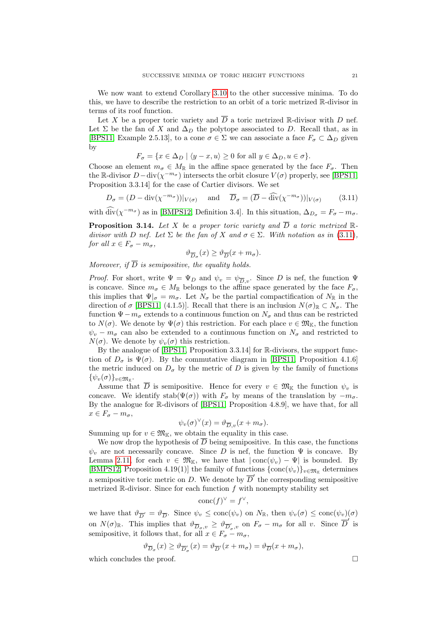We now want to extend Corollary [3.10](#page-18-0) to the other successive minima. To do this, we have to describe the restriction to an orbit of a toric metrized R-divisor in terms of its roof function.

Let X be a proper toric variety and  $\overline{D}$  a toric metrized R-divisor with D nef. Let  $\Sigma$  be the fan of X and  $\Delta_D$  the polytope associated to D. Recall that, as in [\[BPS11,](#page-38-5) Example 2.5.13], to a cone  $\sigma \in \Sigma$  we can associate a face  $F_{\sigma} \subset \Delta_D$  given by

$$
F_{\sigma} = \{ x \in \Delta_D \mid \langle y - x, u \rangle \ge 0 \text{ for all } y \in \Delta_D, u \in \sigma \}.
$$

Choose an element  $m_{\sigma} \in M_{\mathbb{R}}$  in the affine space generated by the face  $F_{\sigma}$ . Then the R-divisor  $D-\text{div}(\chi^{-m_{\sigma}})$  intersects the orbit closure  $V(\sigma)$  properly, see [\[BPS11,](#page-38-5) Proposition 3.3.14] for the case of Cartier divisors. We set

<span id="page-20-0"></span> $D_{\sigma} = (D - \text{div}(\chi^{-m_{\sigma}}))|_{V(\sigma)}$  and  $\overline{D}_{\sigma} = (\overline{D} - \widehat{\text{div}}(\chi^{-m_{\sigma}}))|_{V(\sigma)}$  (3.11)

with  $\widehat{\text{div}}(\chi^{-m_\sigma})$  as in [\[BMPS12,](#page-38-6) Definition 3.4]. In this situation,  $\Delta_{D_\sigma} = F_\sigma - m_\sigma$ .

<span id="page-20-1"></span>**Proposition 3.14.** Let X be a proper toric variety and  $\overline{D}$  a toric metrized  $\mathbb{R}$ divisor with D nef. Let  $\Sigma$  be the fan of X and  $\sigma \in \Sigma$ . With notation as in [\(3.11\)](#page-20-0), for all  $x \in F_{\sigma} - m_{\sigma}$ ,

$$
\vartheta_{\overline{D}_{\sigma}}(x) \ge \vartheta_{\overline{D}}(x + m_{\sigma}).
$$

Moreover, if  $\overline{D}$  is semipositive, the equality holds.

*Proof.* For short, write  $\Psi = \Psi_D$  and  $\psi_v = \psi_{\overline{D},v}$ . Since D is nef, the function  $\Psi$ is concave. Since  $m_{\sigma} \in M_{\mathbb{R}}$  belongs to the affine space generated by the face  $F_{\sigma}$ . this implies that  $\Psi|_{\sigma} = m_{\sigma}$ . Let  $N_{\sigma}$  be the partial compactification of  $N_{\mathbb{R}}$  in the direction of  $\sigma$  [\[BPS11,](#page-38-5) (4.1.5)]. Recall that there is an inclusion  $N(\sigma)_{\mathbb{R}} \subset N_{\sigma}$ . The function  $\Psi - m_{\sigma}$  extends to a continuous function on  $N_{\sigma}$  and thus can be restricted to  $N(\sigma)$ . We denote by  $\Psi(\sigma)$  this restriction. For each place  $v \in \mathfrak{M}_{\mathbb{K}}$ , the function  $\psi_v - m_\sigma$  can also be extended to a continuous function on  $N_\sigma$  and restricted to  $N(\sigma)$ . We denote by  $\psi_v(\sigma)$  this restriction.

By the analogue of [\[BPS11,](#page-38-5) Proposition 3.3.14] for R-divisors, the support function of  $D_{\sigma}$  is  $\Psi(\sigma)$ . By the commutative diagram in [\[BPS11,](#page-38-5) Proposition 4.1.6] the metric induced on  $D_{\sigma}$  by the metric of D is given by the family of functions  $\{\psi_v(\sigma)\}_{v\in\mathfrak{M}_\mathbb{K}}.$ 

Assume that  $\overline{D}$  is semipositive. Hence for every  $v \in \mathfrak{M}_{\mathbb{K}}$  the function  $\psi_v$  is concave. We identify stab( $\Psi(\sigma)$ ) with  $F_{\sigma}$  by means of the translation by  $-m_{\sigma}$ . By the analogue for R-divisors of [\[BPS11,](#page-38-5) Proposition 4.8.9], we have that, for all  $x \in F_{\sigma} - m_{\sigma}$ ,

$$
\psi_v(\sigma)^{\vee}(x) = \vartheta_{\overline{D},v}(x + m_{\sigma}).
$$

Summing up for  $v \in \mathfrak{M}_{\mathbb{K}}$ , we obtain the equality in this case.

We now drop the hypothesis of  $\overline{D}$  being semipositive. In this case, the functions  $\psi_v$  are not necessarily concave. Since D is nef, the function  $\Psi$  is concave. By Lemma [2.11,](#page-11-4) for each  $v \in \mathfrak{M}_{\mathbb{K}}$ , we have that  $|\text{conc}(\psi_v) - \Psi|$  is bounded. By [\[BMPS12,](#page-38-6) Proposition 4.19(1)] the family of functions  $\{\text{conc}(\psi_v)\}_{v \in \mathfrak{M}_{\mathbb{K}}}$  determines a semipositive toric metric on D. We denote by  $\overline{D}'$  the corresponding semipositive metrized  $\mathbb{R}$ -divisor. Since for each function f with nonempty stability set

$$
\operatorname{conc}(f)^{\vee} = f^{\vee},
$$

we have that  $\vartheta_{\overline{D}'} = \vartheta_{\overline{D}}$ . Since  $\psi_v \leq \text{conc}(\psi_v)$  on  $N_{\mathbb{R}}$ , then  $\psi_v(\sigma) \leq \text{conc}(\psi_v)(\sigma)$ on  $N(\sigma)_{\mathbb{R}}$ . This implies that  $\vartheta_{\overline{D}_{\sigma},v} \geq \vartheta_{\overline{D}'_{\sigma},v}$  on  $F_{\sigma} - m_{\sigma}$  for all v. Since  $\overline{D}'$  is semipositive, it follows that, for all  $x \in F_{\sigma} - m_{\sigma}$ ,

$$
\vartheta_{\overline{D}_{\sigma}}(x) \ge \vartheta_{\overline{D}'_{\sigma}}(x) = \vartheta_{\overline{D}'}(x + m_{\sigma}) = \vartheta_{\overline{D}}(x + m_{\sigma}),
$$

which concludes the proof.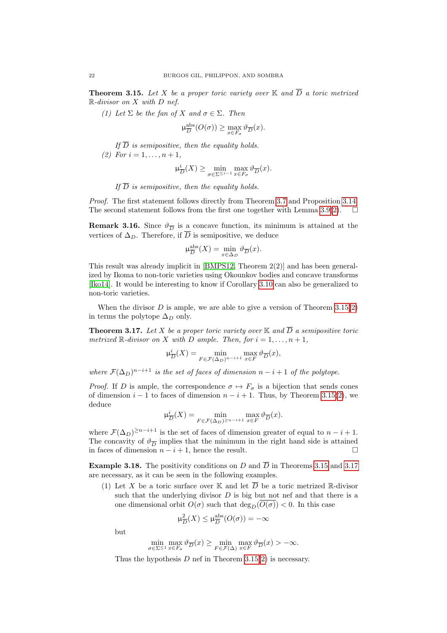<span id="page-21-1"></span>**Theorem 3.15.** Let X be a proper toric variety over K and  $\overline{D}$  a toric metrized  $\mathbb{R}\text{-divisor}$  on X with D nef.

(1) Let  $\Sigma$  be the fan of X and  $\sigma \in \Sigma$ . Then

$$
\mu_{\overline{D}}^{\text{abs}}(O(\sigma)) \ge \max_{x \in F_{\sigma}} \vartheta_{\overline{D}}(x).
$$

If  $\overline{D}$  is semipositive, then the equality holds.

<span id="page-21-2"></span>(2) For  $i = 1, \ldots, n + 1$ ,

$$
\mu_{\overline{D}}^{i}(X) \ge \min_{\sigma \in \Sigma^{\leq i-1}} \max_{x \in F_{\sigma}} \vartheta_{\overline{D}}(x).
$$

If  $\overline{D}$  is semipositive, then the equality holds.

Proof. The first statement follows directly from Theorem [3.7](#page-15-3) and Proposition [3.14.](#page-20-1) The second statement follows from the first one together with Lemma [3.9\(](#page-17-1)[2\)](#page-18-2).

**Remark 3.16.** Since  $\vartheta_{\overline{D}}$  is a concave function, its minimum is attained at the vertices of  $\Delta_D$ . Therefore, if  $\overline{D}$  is semipositive, we deduce

$$
\mu_{\overline{D}}^{\text{abs}}(X) = \min_{x \in \Delta_D} \vartheta_{\overline{D}}(x).
$$

This result was already implicit in [\[BMPS12,](#page-38-6) Theorem 2(2)] and has been generalized by Ikoma to non-toric varieties using Okounkov bodies and concave transforms [\[Iko14\]](#page-38-23). It would be interesting to know if Corollary [3.10](#page-18-0) can also be generalized to non-toric varieties.

When the divisor  $D$  is ample, we are able to give a version of Theorem  $3.15(2)$  $3.15(2)$ in terms the polytope  $\Delta_D$  only.

<span id="page-21-0"></span>**Theorem 3.17.** Let X be a proper toric variety over  $\mathbb{K}$  and  $\overline{D}$  a semipositive toric metrized  $\mathbb{R}$ -divisor on X with D ample. Then, for  $i = 1, \ldots, n + 1$ ,

$$
\mu_{\overline{D}}^{i}(X) = \min_{F \in \mathcal{F}(\Delta_D)^{n-i+1}} \max_{x \in F} \vartheta_{\overline{D}}(x),
$$

where  $\mathcal{F}(\Delta_D)^{n-i+1}$  is the set of faces of dimension  $n-i+1$  of the polytope.

*Proof.* If D is ample, the correspondence  $\sigma \mapsto F_{\sigma}$  is a bijection that sends cones of dimension  $i - 1$  to faces of dimension  $n - i + 1$ . Thus, by Theorem [3.15\(](#page-21-1)[2\)](#page-21-2), we deduce

$$
\mu_{\overline{D}}^{i}(X) = \min_{F \in \mathcal{F}(\Delta_D)^{\ge n-i+1}} \max_{x \in F} \vartheta_{\overline{D}}(x).
$$

where  $\mathcal{F}(\Delta_D)^{\geq n-i+1}$  is the set of faces of dimension greater of equal to  $n-i+1$ . The concavity of  $\vartheta_{\overline{D}}$  implies that the minimum in the right hand side is attained<br>in faces of dimension  $n - i + 1$  hence the result in faces of dimension  $n - i + 1$ , hence the result.

**Example 3.18.** The positivity conditions on D and  $\overline{D}$  in Theorems [3.15](#page-21-1) and [3.17](#page-21-0) are necessary, as it can be seen in the following examples.

(1) Let X be a toric surface over K and let  $\overline{D}$  be a toric metrized R-divisor such that the underlying divisor  $D$  is big but not nef and that there is a one dimensional orbit  $O(\sigma)$  such that  $\deg_D(\overline{O(\sigma)}) < 0$ . In this case

$$
\mu_{\overline{D}}^2(X) \le \mu_{\overline{D}}^{\text{abs}}(O(\sigma)) = -\infty
$$

but

$$
\min_{\sigma \in \Sigma^{\leq 1}} \max_{x \in F_{\sigma}} \vartheta_{\overline{D}}(x) \geq \min_{F \in \mathcal{F}(\Delta)} \max_{x \in F} \vartheta_{\overline{D}}(x) > -\infty.
$$

Thus the hypothesis  $D$  nef in Theorem [3.15\(](#page-21-1)[2\)](#page-21-2) is necessary.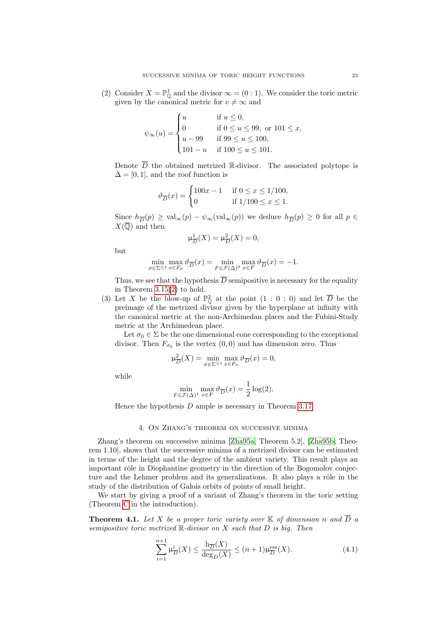(2) Consider  $X = \mathbb{P}_{\mathbb{Q}}^1$  and the divisor  $\infty = (0:1)$ . We consider the toric metric given by the canonical metric for  $v \neq \infty$  and

$$
\psi_{\infty}(u) = \begin{cases}\nu & \text{if } u \leq 0, \\
0 & \text{if } 0 \leq u \leq 99, \text{ or } 101 \leq x, \\
u - 99 & \text{if } 99 \leq u \leq 100, \\
101 - u & \text{if } 100 \leq u \leq 101.\n\end{cases}
$$

Denote  $\overline{D}$  the obtained metrized R-divisor. The associated polytope is  $\Delta = [0, 1]$ , and the roof function is

$$
\vartheta_{\overline{D}}(x) = \begin{cases} 100x - 1 & \text{if } 0 \le x \le 1/100, \\ 0 & \text{if } 1/100 \le x \le 1. \end{cases}
$$

Since  $h_{\overline{D}}(p) \geq \text{val}_{\infty}(p) - \psi_{\infty}(\text{val}_{\infty}(p))$  we deduce  $h_{\overline{D}}(p) \geq 0$  for all  $p \in$  $X(\overline{\mathbb{Q}})$  and then

$$
\mu_{\overline{D}}^1(X) = \mu_{\overline{D}}^2(X) = 0,
$$

but

$$
\min_{\sigma \in \Sigma^{\leq 1}} \max_{x \in F_{\sigma}} \vartheta_{\overline{D}}(x) = \min_{F \in \mathcal{F}(\Delta)^0} \max_{x \in F} \vartheta_{\overline{D}}(x) = -1.
$$

Thus, we see that the hypothesis  $\overline{D}$  semipositive is necessary for the equality in Theorem  $3.15(2)$  $3.15(2)$  to hold.

(3) Let X be the blow-up of  $\mathbb{P}^2_{\mathbb{O}}$  at the point  $(1:0:0)$  and let  $\overline{D}$  be the preimage of the metrized divisor given by the hyperplane at infinity with the canonical metric at the non-Archimedan places and the Fubini-Study metric at the Archimedean place.

Let  $\sigma_0 \in \Sigma$  be the one dimensional cone corresponding to the exceptional divisor. Then  $F_{\sigma_0}$  is the vertex  $(0,0)$  and has dimension zero. Thus

$$
\mu_{\overline{D}}^2(X) = \min_{\sigma \in \Sigma^{\le 1}} \max_{x \in F_{\sigma}} \vartheta_{\overline{D}}(x) = 0,
$$

while

$$
\min_{F \in \mathcal{F}(\Delta)^1} \max_{x \in F} \vartheta_{\overline{D}}(x) = \frac{1}{2} \log(2).
$$

Hence the hypothesis  $D$  ample is necessary in Theorem [3.17.](#page-21-0)

## 4. On Zhang's theorem on successive minima

<span id="page-22-0"></span>Zhang's theorem on successive minima [\[Zha95a,](#page-39-0) Theorem 5.2], [\[Zha95b,](#page-39-1) Theorem 1.10], shows that the successive minima of a metrized divisor can be estimated in terms of the height and the degree of the ambient variety. This result plays an important rôle in Diophantine geometry in the direction of the Bogomolov conjecture and the Lehmer problem and its generalizations. It also plays a rôle in the study of the distribution of Galois orbits of points of small height.

We start by giving a proof of a variant of Zhang's theorem in the toric setting (Theorem [C](#page-3-1) in the introduction).

<span id="page-22-1"></span>**Theorem 4.1.** Let X be a proper toric variety over  $\mathbb K$  of dimension n and  $\overline{D}$  a semipositive toric metrized  $\mathbb R$ -divisor on X such that D is big. Then

<span id="page-22-2"></span>
$$
\sum_{i=1}^{n+1} \mu_{\overline{D}}^i(X) \le \frac{\mathbf{h}_{\overline{D}}(X)}{\deg_D(X)} \le (n+1)\mu_{\overline{D}}^{\text{ess}}(X). \tag{4.1}
$$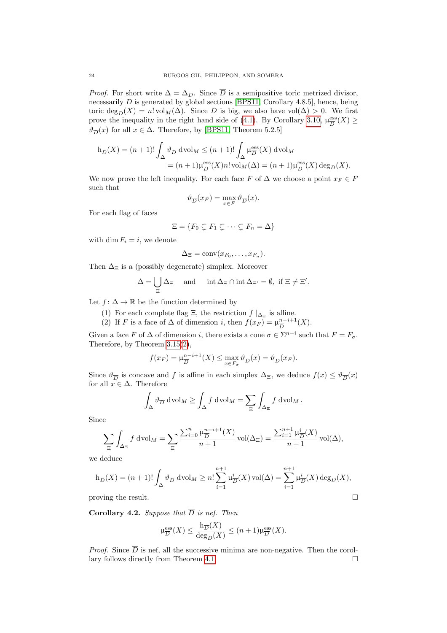*Proof.* For short write  $\Delta = \Delta_D$ . Since  $\overline{D}$  is a semipositive toric metrized divisor, necessarily D is generated by global sections [\[BPS11,](#page-38-5) Corollary 4.8.5], hence, being toric deg<sub>D</sub>(X) = n! vol<sub>M</sub>( $\Delta$ ). Since D is big, we also have vol( $\Delta$ ) > 0. We first prove the inequality in the right hand side of [\(4.1\)](#page-22-2). By Corollary [3.10,](#page-18-0)  $\mu_{\overline{D}}^{\text{ess}}$  $\frac{\text{ess}}{D}(X) \geq$  $\vartheta_{\overline{D}}(x)$  for all  $x \in \Delta$ . Therefore, by [\[BPS11,](#page-38-5) Theorem 5.2.5]

$$
h_{\overline{D}}(X) = (n+1)! \int_{\Delta} \vartheta_{\overline{D}} \, dvol_M \leq (n+1)! \int_{\Delta} \mu_{\overline{D}}^{\text{ess}}(X) \, dvol_M
$$
  
= 
$$
(n+1) \mu_{\overline{D}}^{\text{ess}}(X) n! \, vol_M(\Delta) = (n+1) \mu_{\overline{D}}^{\text{ess}}(X) \deg_D(X).
$$

We now prove the left inequality. For each face F of  $\Delta$  we choose a point  $x_F \in F$ such that

$$
\vartheta_{\overline{D}}(x_F) = \max_{x \in F} \vartheta_{\overline{D}}(x).
$$

For each flag of faces

$$
\Xi = \{ F_0 \subsetneq F_1 \subsetneq \cdots \subsetneq F_n = \Delta \}
$$

with dim  $F_i = i$ , we denote

$$
\Delta_{\Xi} = \text{conv}(x_{F_0}, \ldots, x_{F_n}).
$$

Then  $\Delta$ <sub>Ξ</sub> is a (possibly degenerate) simplex. Moreover

$$
\Delta = \bigcup_{\Xi} \Delta_{\Xi} \quad \text{ and } \quad \text{int } \Delta_{\Xi} \cap \text{int } \Delta_{\Xi'} = \emptyset, \text{ if } \Xi \neq \Xi'.
$$

Let  $f: \Delta \to \mathbb{R}$  be the function determined by

- (1) For each complete flag  $\Xi$ , the restriction  $f|_{\Delta_{\Xi}}$  is affine.
- (2) If F is a face of  $\Delta$  of dimension i, then  $f(x_F) = \mu_{\overline{D}}^{n-i+1}$  $\frac{n-i+1}{D}(X).$

Given a face F of  $\Delta$  of dimension i, there exists a cone  $\sigma \in \Sigma^{n-i}$  such that  $F = F_{\sigma}$ . Therefore, by Theorem [3.15\(](#page-21-1)[2\)](#page-21-2),

$$
f(x_F) = \mu_{\overline{D}}^{n-i+1}(X) \le \max_{x \in F_{\sigma}} \vartheta_{\overline{D}}(x) = \vartheta_{\overline{D}}(x_F).
$$

Since  $\vartheta_{\overline{D}}$  is concave and f is affine in each simplex  $\Delta_{\Xi}$ , we deduce  $f(x) \leq \vartheta_{\overline{D}}(x)$ for all  $x \in \Delta$ . Therefore

$$
\int_{\Delta} \vartheta_{\overline{D}} \, \mathrm{d} \mathrm{vol}_M \ge \int_{\Delta} f \, \mathrm{d} \mathrm{vol}_M = \sum_{\Xi} \int_{\Delta_{\Xi}} f \, \mathrm{d} \mathrm{vol}_M \, .
$$

Since

$$
\sum_{\Xi} \int_{\Delta_{\Xi}} f \, \mathrm{d} \mathrm{vol}_M = \sum_{\Xi} \frac{\sum_{i=0}^n \mu_{\overline{D}}^{n-i+1}(X)}{n+1} \mathrm{vol}(\Delta_{\Xi}) = \frac{\sum_{i=1}^{n+1} \mu_{\overline{D}}^i(X)}{n+1} \mathrm{vol}(\Delta),
$$

we deduce

$$
h_{\overline{D}}(X) = (n+1)! \int_{\Delta} \vartheta_{\overline{D}} \, \mathrm{d} \mathrm{vol}_M \ge n! \sum_{i=1}^{n+1} \mu_{\overline{D}}^i(X) \, \mathrm{vol}(\Delta) = \sum_{i=1}^{n+1} \mu_{\overline{D}}^i(X) \, \mathrm{deg}_D(X),
$$
 proving the result.

Corollary 4.2. Suppose that  $\overline{D}$  is nef. Then

$$
\mu_{\overline{D}}^{\text{ess}}(X)\leq \frac{\text{h}_{\overline{D}}(X)}{\deg_D(X)}\leq (n+1)\mu_{\overline{D}}^{\text{ess}}(X).
$$

*Proof.* Since  $\overline{D}$  is nef, all the successive minima are non-negative. Then the corollary follows directly from Theorem [4.1.](#page-22-1)

$$
\overline{}
$$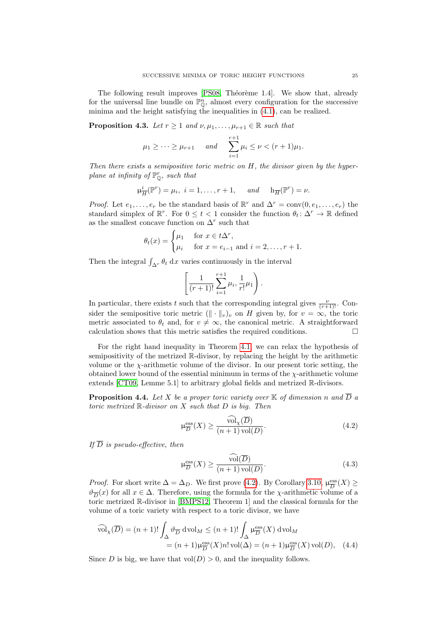The following result improves [\[PS08,](#page-38-24) Théorème 1.4]. We show that, already for the universal line bundle on  $\mathbb{P}^n_{\mathbb{Q}}$ , almost every configuration for the successive minima and the height satisfying the inequalities in [\(4.1\)](#page-22-2), can be realized.

<span id="page-24-0"></span>**Proposition 4.3.** Let  $r \geq 1$  and  $\nu, \mu_1, \ldots, \mu_{r+1} \in \mathbb{R}$  such that

$$
\mu_1 \ge \cdots \ge \mu_{r+1}
$$
 and  $\sum_{i=1}^{r+1} \mu_i \le \nu < (r+1)\mu_1$ .

Then there exists a semipositive toric metric on  $H$ , the divisor given by the hyperplane at infinity of  $\mathbb{P}^r_{\mathbb{Q}}$ , such that

$$
\mu_{\overline{H}}^i(\mathbb{P}^r) = \mu_i, \ i = 1, \dots, r+1, \quad \text{and} \quad \mathbf{h}_{\overline{H}}(\mathbb{P}^r) = \nu.
$$

*Proof.* Let  $e_1, \ldots, e_r$  be the standard basis of  $\mathbb{R}^r$  and  $\Delta^r = \text{conv}(0, e_1, \ldots, e_r)$  the standard simplex of  $\mathbb{R}^r$ . For  $0 \leq t < 1$  consider the function  $\theta_t \colon \Delta^r \to \mathbb{R}$  defined as the smallest concave function on  $\Delta^r$  such that

$$
\theta_t(x) = \begin{cases} \mu_1 & \text{for } x \in t\Delta^r, \\ \mu_i & \text{for } x = e_{i-1} \text{ and } i = 2, \dots, r+1. \end{cases}
$$

Then the integral  $\int_{\Delta^r} \theta_t \, dx$  varies continuously in the interval

$$
\left[\frac{1}{(r+1)!} \sum_{i=1}^{r+1} \mu_i, \frac{1}{r!} \mu_1\right).
$$

In particular, there exists t such that the corresponding integral gives  $\frac{\nu}{(r+1)!}$ . Consider the semipositive toric metric  $(\|\cdot\|_v)_v$  on H given by, for  $v = \infty$ , the toric metric associated to  $\theta_t$  and, for  $v \neq \infty$ , the canonical metric. A straightforward calculation shows that this metric satisfies the required conditions.  $\Box$ 

For the right hand inequality in Theorem [4.1,](#page-22-1) we can relax the hypothesis of semipositivity of the metrized R-divisor, by replacing the height by the arithmetic volume or the χ-arithmetic volume of the divisor. In our present toric setting, the obtained lower bound of the essential minimum in terms of the  $\chi$ -arithmetic volume extends [\[CT09,](#page-38-9) Lemme 5.1] to arbitrary global fields and metrized R-divisors.

<span id="page-24-1"></span>**Proposition 4.4.** Let X be a proper toric variety over  $\mathbb K$  of dimension n and  $\overline{D}$  a toric metrized  $\mathbb{R}$ -divisor on X such that  $D$  is big. Then

<span id="page-24-2"></span>
$$
\mu_{\overline{D}}^{\text{ess}}(X) \ge \frac{\text{vol}_{\chi}(\overline{D})}{(n+1)\,\text{vol}(D)}.\tag{4.2}
$$

If  $\overline{D}$  is pseudo-effective, then

<span id="page-24-4"></span><span id="page-24-3"></span>
$$
\mu_{\overline{D}}^{\text{ess}}(X) \ge \frac{\widehat{\text{vol}}(\overline{D})}{(n+1)\,\text{vol}(D)}.\tag{4.3}
$$

*Proof.* For short write  $\Delta = \Delta_D$ . We first prove [\(4.2\)](#page-24-2). By Corollary [3.10,](#page-18-0)  $\mu_{\overline{D}}^{\text{ess}}$  $\frac{\text{ess}}{D}(X) \geq$  $\vartheta_{\overline{D}}(x)$  for all  $x \in \Delta$ . Therefore, using the formula for the *χ*-arithmetic volume of a toric metrized R-divisor in [\[BMPS12,](#page-38-6) Theorem 1] and the classical formula for the volume of a toric variety with respect to a toric divisor, we have

$$
\widehat{\text{vol}}_{\chi}(\overline{D}) = (n+1)! \int_{\Delta} \vartheta_{\overline{D}} \, \text{dvol}_M \le (n+1)! \int_{\Delta} \mu_{\overline{D}}^{\text{ess}}(X) \, \text{dvol}_M
$$
\n
$$
= (n+1) \mu_{\overline{D}}^{\text{ess}}(X) n! \text{vol}(\Delta) = (n+1) \mu_{\overline{D}}^{\text{ess}}(X) \text{vol}(D), \quad (4.4)
$$

Since D is big, we have that  $vol(D) > 0$ , and the inequality follows.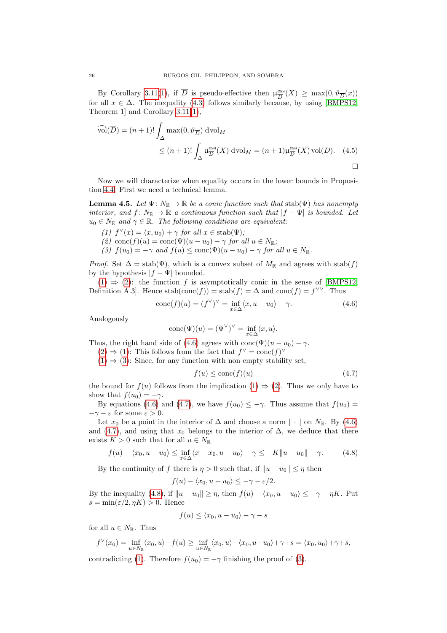By Corollary [3.11](#page-18-3)[\(1\)](#page-18-4), if  $\overline{D}$  is pseudo-effective then  $\mu_{\overline{D}}^{\text{ess}}$  $\frac{\text{ess}}{D}(X) \geq \max(0, \vartheta_{\overline{D}}(x))$ for all  $x \in \Delta$ . The inequality [\(4.3\)](#page-24-3) follows similarly because, by using [\[BMPS12,](#page-38-6) Theorem 1] and Corollary [3.11\(](#page-18-3)[1\)](#page-18-4),

$$
\widehat{\text{vol}}(\overline{D}) = (n+1)! \int_{\Delta} \max(0, \vartheta_{\overline{D}}) \, \text{dvol}_M
$$
  

$$
\leq (n+1)! \int_{\Delta} \mu_{\overline{D}}^{\text{ess}}(X) \, \text{dvol}_M = (n+1) \mu_{\overline{D}}^{\text{ess}}(X) \, \text{vol}(D). \quad (4.5)
$$

Now we will characterize when equality occurs in the lower bounds in Proposition [4.4.](#page-24-1) First we need a technical lemma.

<span id="page-25-6"></span>**Lemma 4.5.** Let  $\Psi: N_{\mathbb{R}} \to \mathbb{R}$  be a conic function such that stab( $\Psi$ ) has nonempty interior, and  $f: N_{\mathbb{R}} \to \mathbb{R}$  a continuous function such that  $|f - \Psi|$  is bounded. Let  $u_0 \in N_{\mathbb{R}}$  and  $\gamma \in \mathbb{R}$ . The following conditions are equivalent:

- <span id="page-25-0"></span>(1)  $f^{\vee}(x) = \langle x, u_0 \rangle + \gamma$  for all  $x \in \text{stab}(\Psi)$ ;
- <span id="page-25-1"></span>(2) conc $(f)(u) = \text{conc}(\Psi)(u - u_0) - \gamma$  for all  $u \in N_{\mathbb{R}}$ ;
- <span id="page-25-3"></span>(3)  $f(u_0) = -\gamma$  and  $f(u) \leq \text{conc}(\Psi)(u - u_0) - \gamma$  for all  $u \in N_{\mathbb{R}}$ .

*Proof.* Set  $\Delta = \text{stab}(\Psi)$ , which is a convex subset of  $M_{\mathbb{R}}$  and agrees with  $\text{stab}(f)$ by the hypothesis  $|f - \Psi|$  bounded.

 $(1) \Rightarrow (2)$  $(1) \Rightarrow (2)$  $(1) \Rightarrow (2)$ : the function f is asymptotically conic in the sense of [\[BMPS12,](#page-38-6) Definition A.3]. Hence stab $(\text{conc}(f)) = \text{stab}(f) = \Delta$  and  $\text{conc}(f) = f^{\vee \vee}$ . Thus

<span id="page-25-7"></span><span id="page-25-2"></span>
$$
\operatorname{conc}(f)(u) = (f^{\vee})^{\vee} = \inf_{x \in \Delta} \langle x, u - u_0 \rangle - \gamma.
$$
 (4.6)

Analogously

$$
\text{conc}(\Psi)(u) = (\Psi^{\vee})^{\vee} = \inf_{x \in \Delta} \langle x, u \rangle.
$$

Thus, the right hand side of [\(4.6\)](#page-25-2) agrees with conc( $\Psi$ )( $u - u_0$ ) –  $\gamma$ .

 $(2) \Rightarrow (1)$  $(2) \Rightarrow (1)$  $(2) \Rightarrow (1)$ : This follows from the fact that  $f^{\vee} = \text{conc}(f)^{\vee}$ 

 $(1) \Rightarrow (3)$  $(1) \Rightarrow (3)$  $(1) \Rightarrow (3)$ : Since, for any function with non empty stability set,

<span id="page-25-5"></span><span id="page-25-4"></span>
$$
f(u) \le \operatorname{conc}(f)(u) \tag{4.7}
$$

the bound for  $f(u)$  follows from the implication  $(1) \Rightarrow (2)$  $(1) \Rightarrow (2)$  $(1) \Rightarrow (2)$ . Thus we only have to show that  $f(u_0) = -\gamma$ .

By equations [\(4.6\)](#page-25-2) and [\(4.7\)](#page-25-4), we have  $f(u_0) \leq -\gamma$ . Thus assume that  $f(u_0)$  $-\gamma - \varepsilon$  for some  $\varepsilon > 0$ .

Let  $x_0$  be a point in the interior of  $\Delta$  and choose a norm  $\|\cdot\|$  on  $N_{\mathbb{R}}$ . By [\(4.6\)](#page-25-2) and [\(4.7\)](#page-25-4), and using that  $x_0$  belongs to the interior of  $\Delta$ , we deduce that there exists  $K > 0$  such that for all  $u \in N_{\mathbb{R}}$ 

$$
f(u) - \langle x_0, u - u_0 \rangle \le \inf_{x \in \Delta} \langle x - x_0, u - u_0 \rangle - \gamma \le -K \|u - u_0\| - \gamma. \tag{4.8}
$$

By the continuity of f there is  $\eta > 0$  such that, if  $||u - u_0|| \leq \eta$  then

$$
f(u) - \langle x_0, u - u_0 \rangle \le -\gamma - \varepsilon/2.
$$

By the inequality [\(4.8\)](#page-25-5), if  $||u - u_0|| \ge \eta$ , then  $f(u) - \langle x_0, u - u_0 \rangle \le -\gamma - \eta K$ . Put  $s = \min(\varepsilon/2, \eta K) > 0$ . Hence

$$
f(u) \le \langle x_0, u - u_0 \rangle - \gamma - s
$$

for all  $u \in N_{\mathbb{R}}$ . Thus

$$
f^{\vee}(x_0) = \inf_{u \in N_{\mathbb{R}}} \langle x_0, u \rangle - f(u) \ge \inf_{u \in N_{\mathbb{R}}} \langle x_0, u \rangle - \langle x_0, u - u_0 \rangle + \gamma + s = \langle x_0, u_0 \rangle + \gamma + s,
$$

contradicting [\(1\)](#page-25-0). Therefore  $f(u_0) = -\gamma$  finishing the proof of [\(3\)](#page-25-3).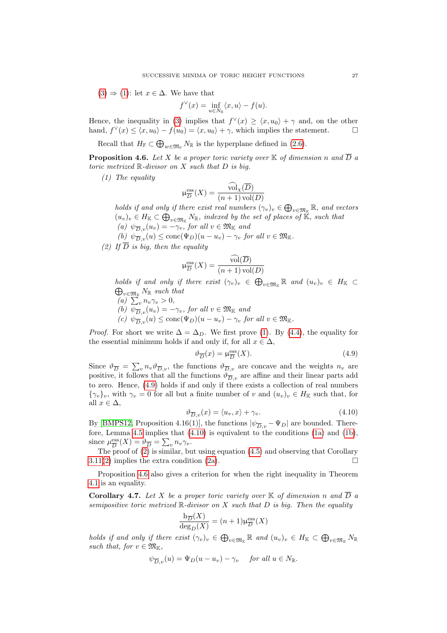$(3) \Rightarrow (1)$  $(3) \Rightarrow (1)$  $(3) \Rightarrow (1)$ : let  $x \in \Delta$ . We have that

$$
f^{\vee}(x) = \inf_{u \in N_{\mathbb{R}}} \langle x, u \rangle - f(u).
$$

Hence, the inequality in [\(3\)](#page-25-3) implies that  $f^{\vee}(x) \ge \langle x, u_0 \rangle + \gamma$  and, on the other hand,  $f^{\vee}(x) \le \langle x, u_0 \rangle - f(u_0) = \langle x, u_0 \rangle + \gamma$ , which implies the statement.

Recall that  $H_{\mathbb{F}} \subset \bigoplus_{w \in \mathfrak{M}_{\mathbb{F}}} N_{\mathbb{R}}$  is the hyperplane defined in [\(2.6\)](#page-6-3).

<span id="page-26-0"></span>**Proposition 4.6.** Let X be a proper toric variety over  $\mathbb K$  of dimension n and  $\overline{D}$  a toric metrized  $\mathbb R$ -divisor on  $X$  such that  $D$  is big.

<span id="page-26-1"></span>(1) The equality

$$
\mu_{\overline{D}}^{\text{ess}}(X) = \frac{\text{vol}_{\chi}(\overline{D})}{(n+1)\,\text{vol}(D)}
$$

holds if and only if there exist real numbers  $(\gamma_v)_v \in \bigoplus_{v \in \mathfrak{M}_{\mathbb{K}}} \mathbb{R}$ , and vectors  $(u_v)_v \in H_{\mathbb{K}} \subset \bigoplus_{v \in \mathfrak{M}_{\mathbb{K}}} N_{\mathbb{R}}$ , indexed by the set of places of  $\mathbb{K}$ , such that (a)  $\psi_{\overline{D},v}(u_v) = -\gamma_v$ , for all  $v \in \mathfrak{M}_{\mathbb{K}}$  and

(b)  $\psi_{\overline{D},v}(u) \leq \text{conc}(\Psi_D)(u - u_v) - \gamma_v$  for all  $v \in \mathfrak{M}_{\mathbb{K}}$ .

 $\mu$ 

<span id="page-26-6"></span><span id="page-26-5"></span><span id="page-26-4"></span>(2) If  $\overline{D}$  is big, then the equality

$$
\frac{\text{ess}}{D}(X) = \frac{\text{vol}(\overline{D})}{(n+1)\,\text{vol}(D)}
$$

<span id="page-26-7"></span>holds if and only if there exist  $(\gamma_v)_v \in \bigoplus_{v \in \mathfrak{M}_{\mathbb{K}}} \mathbb{R}$  and  $(u_v)_v \in H_{\mathbb{K}} \subset \bigoplus_{v \in \mathfrak{M}_{\mathbb{K}}} \mathbb{R}$  such that  $v \in \mathfrak{M}_{\mathbb K}$   $N_{\mathbb R}$  such that (a)  $\sum_{v} n_v \gamma_v > 0$ , (b)  $\psi_{\overline{D},v}(u_v) = -\gamma_v$ , for all  $v \in \mathfrak{M}_{\mathbb{K}}$  and

 $(c)$   $\psi_{\overline{D}_v}(u) \leq \text{conc}(\Psi_D)(u - u_v) - \gamma_v$  for all  $v \in \mathfrak{M}_{\mathbb{K}}$ .

*Proof.* For short we write  $\Delta = \Delta_D$ . We first prove [\(1\)](#page-26-1). By [\(4.4\)](#page-24-4), the equality for the essential minimum holds if and only if, for all  $x \in \Delta$ ,

<span id="page-26-2"></span>
$$
\vartheta_{\overline{D}}(x) = \mu_{\overline{D}}^{\text{ess}}(X). \tag{4.9}
$$

Since  $\vartheta_{\overline{D}} = \sum_{v} n_v \vartheta_{\overline{D},v}$ , the functions  $\vartheta_{\overline{D},v}$  are concave and the weights  $n_v$  are positive, it follows that all the functions  $\vartheta_{D,v}$  are affine and their linear parts add to zero. Hence, [\(4.9\)](#page-26-2) holds if and only if there exists a collection of real numbers  ${\gamma_v}_v$ , with  $\gamma_v = 0$  for all but a finite number of v and  $(u_v)_v \in H_K$  such that, for all  $x \in \Delta$ ,

<span id="page-26-3"></span>
$$
\vartheta_{\overline{D},v}(x) = \langle u_v, x \rangle + \gamma_v. \tag{4.10}
$$

By [\[BMPS12,](#page-38-6) Proposition 4.16(1)], the functions  $|\psi_{\overline{D}_v} - \Psi_D|$  are bounded. Therefore, Lemma [4.5](#page-25-6) implies that [\(4.10\)](#page-26-3) is equivalent to the conditions [\(1a\)](#page-26-4) and [\(1b\)](#page-26-5), since  $\mu_{\overline{D}}^{\text{ess}}$  $\frac{\text{ess}}{D}(X) = \vartheta_{\overline{D}} = \sum_{v} n_v \gamma_v.$ 

The proof of [\(2\)](#page-26-6) is similar, but using equation [\(4.5\)](#page-25-7) and observing that Corollary [3.11\(](#page-18-3)[2\)](#page-18-5) implies the extra condition [\(2a\)](#page-26-7).

Proposition [4.6](#page-26-0) also gives a criterion for when the right inequality in Theorem [4.1](#page-22-1) is an equality.

<span id="page-26-8"></span>**Corollary 4.7.** Let X be a proper toric variety over  $\mathbb K$  of dimension n and  $\overline{D}$  a semipositive toric metrized  $\mathbb R$ -divisor on X such that  $D$  is big. Then the equality

$$
\frac{\mathbf{h}_{\overline{D}}(X)}{\deg_D(X)} = (n+1)\mu_{\overline{D}}^{\text{ess}}(X)
$$

holds if and only if there exist  $(\gamma_v)_v \in \bigoplus_{v \in \mathfrak{M}_{\mathbb{K}}} \mathbb{R}$  and  $(u_v)_v \in H_{\mathbb{K}} \subset \bigoplus_{v \in \mathfrak{M}_{\mathbb{K}}} N_{\mathbb{R}}$ such that, for  $v \in \mathfrak{M}_{\mathbb{K}}$ ,

$$
\psi_{\overline{D},v}(u) = \Psi_D(u - u_v) - \gamma_v \quad \text{ for all } u \in N_{\mathbb{R}}.
$$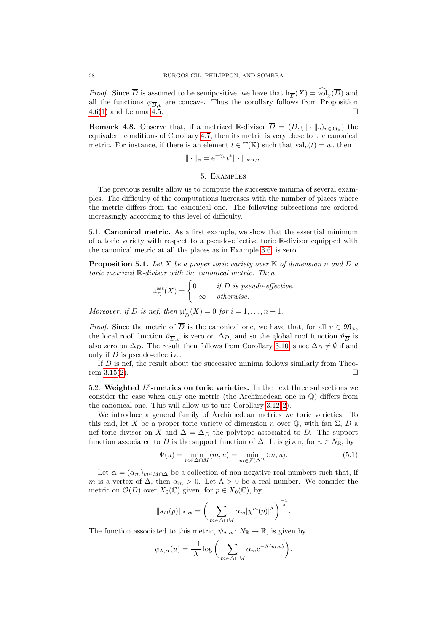*Proof.* Since  $\overline{D}$  is assumed to be semipositive, we have that  $h_{\overline{D}}(X) = \text{vol}_{\chi}(\overline{D})$  and all the functions  $\psi_{\overline{D},v}$  are concave. Thus the corollary follows from Proposition [4.6\(](#page-26-0)[1\)](#page-26-1) and Lemma [4.5.](#page-25-6)

<span id="page-27-1"></span>**Remark 4.8.** Observe that, if a metrized R-divisor  $\overline{D} = (D, (\|\cdot\|_v)_{v \in \mathfrak{M}_{\mathbb{K}}})$  the equivalent conditions of Corollary [4.7,](#page-26-8) then its metric is very close to the canonical metric. For instance, if there is an element  $t \in \mathbb{T}(\mathbb{K})$  such that  $val_v(t) = u_v$  then

$$
\|\cdot\|_v = e^{-\gamma_v} t^* \|\cdot\|_{\mathrm{can},v}.
$$

### 5. Examples

<span id="page-27-0"></span>The previous results allow us to compute the successive minima of several examples. The difficulty of the computations increases with the number of places where the metric differs from the canonical one. The following subsections are ordered increasingly according to this level of difficulty.

5.1. Canonical metric. As a first example, we show that the essential minimum of a toric variety with respect to a pseudo-effective toric R-divisor equipped with the canonical metric at all the places as in Example [3.6,](#page-15-2) is zero.

**Proposition 5.1.** Let X be a proper toric variety over  $\mathbb{K}$  of dimension n and  $\overline{D}$  a toric metrized R-divisor with the canonical metric. Then

$$
\mu_{\overline{D}}^{\text{ess}}(X) = \begin{cases} 0 & \text{if } D \text{ is pseudo-effective,} \\ -\infty & \text{otherwise.} \end{cases}
$$

Moreover, if D is nef, then  $\mu_1^i$  $\frac{i}{D}(X) = 0$  for  $i = 1, ..., n + 1$ .

*Proof.* Since the metric of  $\overline{D}$  is the canonical one, we have that, for all  $v \in \mathfrak{M}_{\mathbb{K}}$ , the local roof function  $\vartheta_{\overline{D},v}$  is zero on  $\Delta_D$ , and so the global roof function  $\vartheta_{\overline{D}}$  is also zero on  $\Delta_D$ . The result then follows from Corollary [3.10,](#page-18-0) since  $\Delta_D \neq \emptyset$  if and only if D is pseudo-effective.

If D is nef, the result about the successive minima follows similarly from Theo-rem [3.15\(](#page-21-1)[2\)](#page-21-2).

<span id="page-27-3"></span>5.2. Weighted  $L^p$ -metrics on toric varieties. In the next three subsections we consider the case when only one metric (the Archimedean one in Q) differs from the canonical one. This will allow us to use Corollary [3.12\(](#page-19-0)[2\)](#page-19-1).

We introduce a general family of Archimedean metrics we toric varieties. To this end, let X be a proper toric variety of dimension n over  $\mathbb{Q}$ , with fan  $\Sigma$ , D a nef toric divisor on X and  $\Delta = \Delta_D$  the polytope associated to D. The support function associated to D is the support function of  $\Delta$ . It is given, for  $u \in N_{\mathbb{R}}$ , by

<span id="page-27-2"></span>
$$
\Psi(u) = \min_{m \in \Delta \cap M} \langle m, u \rangle = \min_{m \in \mathcal{F}(\Delta)^0} \langle m, u \rangle.
$$
 (5.1)

Let  $\alpha = (\alpha_m)_{m \in M \cap \Delta}$  be a collection of non-negative real numbers such that, if m is a vertex of  $\Delta$ , then  $\alpha_m > 0$ . Let  $\Lambda > 0$  be a real number. We consider the metric on  $\mathcal{O}(D)$  over  $X_0(\mathbb{C})$  given, for  $p \in X_0(\mathbb{C})$ , by

$$
||s_D(p)||_{\Lambda,\alpha} = \bigg(\sum_{m \in \Delta \cap M} \alpha_m |\chi^m(p)|^{\Lambda}\bigg)^{\frac{-1}{\Lambda}}.
$$

The function associated to this metric,  $\psi_{\Lambda,\alpha} : N_{\mathbb{R}} \to \mathbb{R}$ , is given by

$$
\psi_{\Lambda,\alpha}(u) = \frac{-1}{\Lambda} \log \bigg( \sum_{m \in \Delta \cap M} \alpha_m e^{-\Lambda \langle m, u \rangle} \bigg).
$$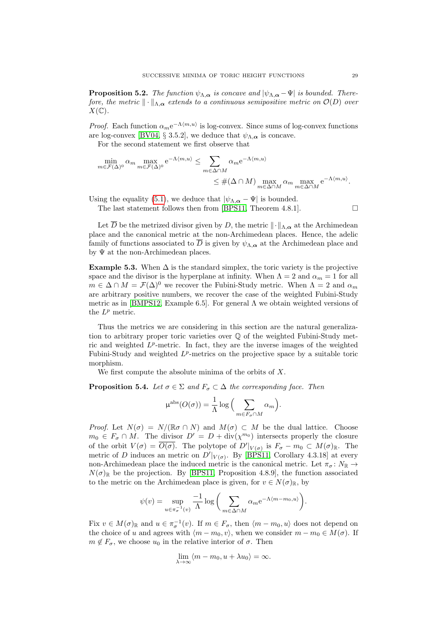**Proposition 5.2.** The function  $\psi_{\Lambda,\alpha}$  is concave and  $|\psi_{\Lambda,\alpha}-\Psi|$  is bounded. Therefore, the metric  $\|\cdot\|_{\Lambda,\alpha}$  extends to a continuous semipositive metric on  $\mathcal{O}(D)$  over  $X(\mathbb{C})$ .

*Proof.* Each function  $\alpha_m e^{-\Lambda \langle m, u \rangle}$  is log-convex. Since sums of log-convex functions are log-convex [\[BV04,](#page-38-25) § 3.5.2], we deduce that  $\psi_{\Lambda,\alpha}$  is concave.

For the second statement we first observe that

$$
\min_{m \in \mathcal{F}(\Delta)^0} \alpha_m \max_{m \in \mathcal{F}(\Delta)^0} e^{-\Lambda \langle m, u \rangle} \le \sum_{m \in \Delta \cap M} \alpha_m e^{-\Lambda \langle m, u \rangle} \le \#(\Delta \cap M) \max_{m \in \Delta \cap M} \alpha_m \max_{m \in \Delta \cap M} e^{-\Lambda \langle m, u \rangle}.
$$

Using the equality [\(5.1\)](#page-27-2), we deduce that  $|\psi_{\Lambda,\alpha}-\Psi|$  is bounded.

The last statement follows then from [\[BPS11,](#page-38-5) Theorem 4.8.1].  $\Box$ 

Let  $\overline{D}$  be the metrized divisor given by D, the metric  $\|\cdot\|_{\Lambda,\alpha}$  at the Archimedean place and the canonical metric at the non-Archimedean places. Hence, the adelic family of functions associated to  $\overline{D}$  is given by  $\psi_{\Lambda,\alpha}$  at the Archimedean place and by  $\Psi$  at the non-Archimedean places.

<span id="page-28-1"></span>Example 5.3. When  $\Delta$  is the standard simplex, the toric variety is the projective space and the divisor is the hyperplane at infinity. When  $\Lambda = 2$  and  $\alpha_m = 1$  for all  $m \in \Delta \cap M = \mathcal{F}(\Delta)^0$  we recover the Fubini-Study metric. When  $\Lambda = 2$  and  $\alpha_m$ are arbitrary positive numbers, we recover the case of the weighted Fubini-Study metric as in [\[BMPS12,](#page-38-6) Example 6.5]. For general  $\Lambda$  we obtain weighted versions of the  $L^p$  metric.

Thus the metrics we are considering in this section are the natural generalization to arbitrary proper toric varieties over Q of the weighted Fubini-Study metric and weighted  $L^p$ -metric. In fact, they are the inverse images of the weighted Fubini-Study and weighted  $L^p$ -metrics on the projective space by a suitable toric morphism.

We first compute the absolute minima of the orbits of  $X$ .

<span id="page-28-0"></span>**Proposition 5.4.** Let  $\sigma \in \Sigma$  and  $F_{\sigma} \subset \Delta$  the corresponding face. Then

$$
\mu^{\rm abs}(O(\sigma)) = \frac{1}{\Lambda} \log \Big( \sum_{m \in F_{\sigma} \cap M} \alpha_m \Big).
$$

*Proof.* Let  $N(\sigma) = N/(\mathbb{R}\sigma \cap N)$  and  $M(\sigma) \subset M$  be the dual lattice. Choose  $m_0 \in F_{\sigma} \cap M$ . The divisor  $D' = D + \text{div}(\chi^{m_0})$  intersects properly the closure of the orbit  $V(\sigma) = \overline{O(\sigma)}$ . The polytope of  $D'|_{V(\sigma)}$  is  $F_{\sigma} - m_0 \subset M(\sigma)_{\mathbb{R}}$ . The metric of D induces an metric on  $D'|_{V(\sigma)}$ . By [\[BPS11,](#page-38-5) Corollary 4.3.18] at every non-Archimedean place the induced metric is the canonical metric. Let  $\pi_{\sigma} \colon N_{\mathbb{R}} \to$  $N(\sigma)_{\mathbb{R}}$  be the projection. By [\[BPS11,](#page-38-5) Proposition 4.8.9], the function associated to the metric on the Archimedean place is given, for  $v \in N(\sigma)_{\mathbb{R}}$ , by

$$
\psi(v) = \sup_{u \in \pi_{\sigma}^{-1}(v)} \frac{-1}{\Lambda} \log \bigg( \sum_{m \in \Delta \cap M} \alpha_m e^{-\Lambda \langle m - m_0, u \rangle} \bigg).
$$

Fix  $v \in M(\sigma)_{\mathbb{R}}$  and  $u \in \pi_{\sigma}^{-1}(v)$ . If  $m \in F_{\sigma}$ , then  $\langle m - m_0, u \rangle$  does not depend on the choice of u and agrees with  $\langle m - m_0, v \rangle$ , when we consider  $m - m_0 \in M(\sigma)$ . If  $m \notin F_{\sigma}$ , we choose  $u_0$  in the relative interior of  $\sigma$ . Then

$$
\lim_{\lambda \to \infty} \langle m - m_0, u + \lambda u_0 \rangle = \infty.
$$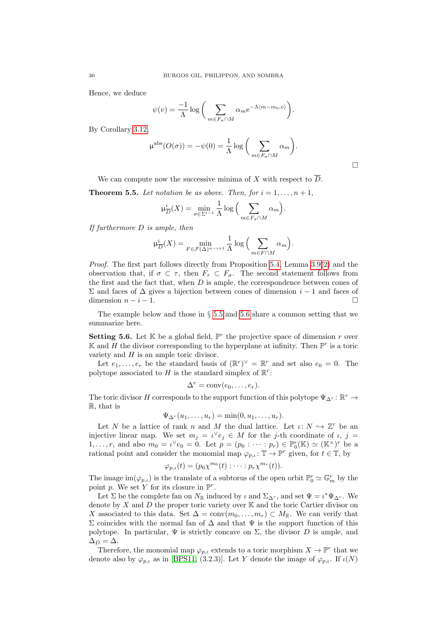Hence, we deduce

$$
\psi(v) = \frac{-1}{\Lambda} \log \bigg( \sum_{m \in F_{\sigma} \cap M} \alpha_m e^{-\Lambda \langle m - m_0, v \rangle} \bigg).
$$

By Corollary [3.12,](#page-19-0)

$$
\mu^{\rm abs}(O(\sigma)) = -\psi(0) = \frac{1}{\Lambda} \log \bigg( \sum_{m \in F_{\sigma} \cap M} \alpha_m \bigg).
$$

 $\Box$ 

We can compute now the successive minima of X with respect to  $\overline{D}$ .

<span id="page-29-1"></span>**Theorem 5.5.** Let notation be as above. Then, for  $i = 1, \ldots, n + 1$ ,

$$
\mu_{\overline{D}}^{i}(X) = \min_{\sigma \in \Sigma^{i-1}} \frac{1}{\Lambda} \log \Big( \sum_{m \in F_{\sigma} \cap M} \alpha_m \Big).
$$

If furthermore D is ample, then

$$
\mu_{\overline{D}}^{i}(X)=\min_{F\in\mathcal{F}(\Delta)^{n-i+1}}\frac{1}{\Lambda}\log\Big(\sum_{m\in F\cap M}\alpha_m\Big).
$$

Proof. The first part follows directly from Proposition [5.4,](#page-28-0) Lemma [3.9\(](#page-17-1)[2\)](#page-18-2) and the observation that, if  $\sigma \subset \tau$ , then  $F_{\tau} \subset F_{\sigma}$ . The second statement follows from the first and the fact that, when  $D$  is ample, the correspondence between cones of Σ and faces of  $\Delta$  gives a bijection between cones of dimension  $i-1$  and faces of dimension  $n - i - 1$ .

The example below and those in  $\S 5.5$  $\S 5.5$  and [5.6](#page-35-0) share a common setting that we summarize here.

<span id="page-29-0"></span>**Setting 5.6.** Let  $K$  be a global field,  $\mathbb{P}^r$  the projective space of dimension r over  $\mathbb K$  and  $H$  the divisor corresponding to the hyperplane at infinity. Then  $\mathbb P^r$  is a toric variety and  $H$  is an ample toric divisor.

Let  $e_1, \ldots, e_r$  be the standard basis of  $(\mathbb{R}^r)^{\vee} = \mathbb{R}^r$  and set also  $e_0 = 0$ . The polytope associated to H is the standard simplex of  $\mathbb{R}^r$ :

$$
\Delta^r = \text{conv}(e_0, \ldots, e_r).
$$

The toric divisor H corresponds to the support function of this polytope  $\Psi_{\Delta^r}$ :  $\mathbb{R}^r \to$ R, that is

 $\Psi_{\Delta^r}(u_1, \ldots, u_r) = \min(0, u_1, \ldots, u_r).$ 

Let N be a lattice of rank n and M the dual lattice. Let  $\iota: N \hookrightarrow \mathbb{Z}^r$  be an injective linear map. We set  $m_j = \iota^{\vee} e_j \in M$  for the j-th coordinate of  $\iota, j =$  $1, \ldots, r$ , and also  $m_0 = \iota^{\vee} e_0 = 0$ . Let  $p = (p_0 : \cdots : p_r) \in \mathbb{P}^r_0(\mathbb{K}) \simeq (\mathbb{K}^{\times})^r$  be a rational point and consider the monomial map  $\varphi_{p,\iota} : \mathbb{T} \to \mathbb{P}^r$  given, for  $t \in \mathbb{T}$ , by

$$
\varphi_{p,\iota}(t)=(p_0\chi^{m_0}(t):\cdots:p_r\chi^{m_r}(t)).
$$

The image  $\text{im}(\varphi_{p,\iota})$  is the translate of a subtorus of the open orbit  $\mathbb{P}^r_0 \simeq \mathbb{G}_m^r$  by the point p. We set Y for its closure in  $\mathbb{P}^r$ .

Let  $\Sigma$  be the complete fan on  $N_{\mathbb{R}}$  induced by  $\iota$  and  $\Sigma_{\Delta^r}$ , and set  $\Psi = \iota^* \Psi_{\Delta^r}$ . We denote by  $X$  and  $D$  the proper toric variety over  $\mathbb K$  and the toric Cartier divisor on X associated to this data. Set  $\Delta = \text{conv}(m_0, \ldots, m_r) \subset M_{\mathbb{R}}$ . We can verify that Σ coincides with the normal fan of  $\Delta$  and that  $\Psi$  is the support function of this polytope. In particular,  $\Psi$  is strictly concave on  $\Sigma$ , the divisor D is ample, and  $\Delta_D = \Delta$ .

Therefore, the monomial map  $\varphi_{p,\iota}$  extends to a toric morphism  $X \to \mathbb{P}^r$  that we denote also by  $\varphi_{p,\iota}$  as in [\[BPS11,](#page-38-5) (3.2.3)]. Let Y denote the image of  $\varphi_{p,\iota}$ . If  $\iota(N)$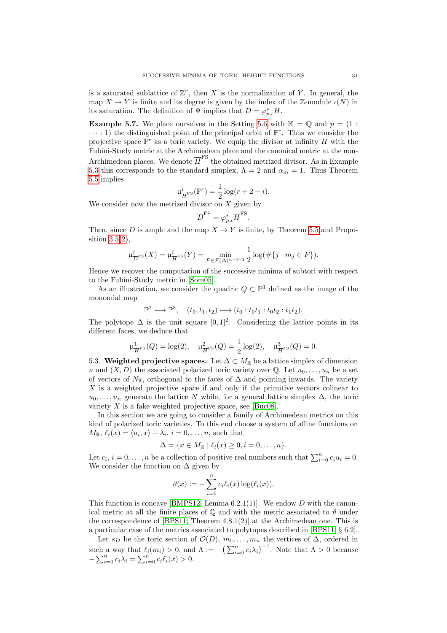is a saturated sublattice of  $\mathbb{Z}^r$ , then X is the normalization of Y. In general, the map  $X \to Y$  is finite and its degree is given by the index of the Z-module  $\iota(N)$  in its saturation. The definition of  $\Psi$  implies that  $D = \varphi_{p,\iota}^* H$ .

**Example 5.7.** We place ourselves in the Setting [5.6](#page-29-0) with  $\mathbb{K} = \mathbb{Q}$  and  $p = (1 :$  $\cdots$ : 1) the distinguished point of the principal orbit of  $\mathbb{P}^r$ . Thus we consider the projective space  $\mathbb{P}^r$  as a toric variety. We equip the divisor at infinity H with the Fubini-Study metric at the Archimedean place and the canonical metric at the non-Archimedean places. We denote  $\overline{H}^{\text{FS}}$  the obtained metrized divisor. As in Example [5.3](#page-28-1) this corresponds to the standard simplex,  $\Lambda = 2$  and  $\alpha_m = 1$ . Thus Theorem [5.5](#page-29-1) implies

$$
\mu_{\overline{H}^{\text{FS}}}^i(\mathbb{P}^r) = \frac{1}{2}\log(r+2-i).
$$

We consider now the metrized divisor on  $X$  given by

$$
\overline{D}^{\text{FS}} = \varphi_{p,\iota}^* \overline{H}^{\text{FS}}.
$$

Then, since D is ample and the map  $X \to Y$  is finite, by Theorem [5.5](#page-29-1) and Proposition [3.5](#page-14-3)[\(2\)](#page-14-0),

$$
\mu_{\overline{D}^{FS}}^i(X) = \mu_{\overline{H}^{FS}}^i(Y) = \min_{F \in \mathcal{F}(\Delta)^{n-i+1}} \frac{1}{2} \log(\#\{j \mid m_j \in F\}).
$$

Hence we recover the computation of the successive minima of subtori with respect to the Fubini-Study metric in [\[Som05\]](#page-38-7).

As an illustration, we consider the quadric  $Q \subset \mathbb{P}^3$  defined as the image of the monomial map

$$
\mathbb{P}^2 \longrightarrow \mathbb{P}^3, \quad (t_0, t_1, t_2) \longmapsto (t_0 : t_0 t_1 : t_0 t_2 : t_1 t_2).
$$

The polytope  $\Delta$  is the unit square  $[0,1]^2$ . Considering the lattice points in its different faces, we deduce that

$$
\mu_{\overline{H}^{FS}}^1(Q) = \log(2), \quad \mu_{\overline{H}^{FS}}^2(Q) = \frac{1}{2}\log(2), \quad \mu_{\overline{H}^{FS}}^3(Q) = 0.
$$

<span id="page-30-0"></span>5.3. Weighted projective spaces. Let  $\Delta \subset M_{\mathbb{R}}$  be a lattice simplex of dimension n and  $(X, D)$  the associated polarized toric variety over Q. Let  $u_0, \ldots, u_n$  be a set of vectors of  $N_{\mathbb{R}}$ , orthogonal to the faces of  $\Delta$  and pointing inwards. The variety  $X$  is a weighted projective space if and only if the primitive vectors colinear to  $u_0, \ldots, u_n$  generate the lattice N while, for a general lattice simplex  $\Delta$ , the toric variety  $X$  is a fake weighted projective space, see [\[Buc08\]](#page-38-26).

In this section we are going to consider a family of Archimedean metrics on this kind of polarized toric varieties. To this end choose a system of affine functions on  $M_{\mathbb{R}}$ ,  $\ell_i(x) = \langle u_i, x \rangle - \lambda_i$ ,  $i = 0, \ldots, n$ , such that

$$
\Delta = \{x \in M_{\mathbb{R}} \mid \ell_i(x) \geq 0, i = 0, \ldots, n\}.
$$

Let  $c_i$ ,  $i = 0, ..., n$  be a collection of positive real numbers such that  $\sum_{i=0}^{n} c_i u_i = 0$ . We consider the function on  $\Delta$  given by

$$
\vartheta(x) := -\sum_{i=0}^n c_i \ell_i(x) \log(\ell_i(x)).
$$

This function is concave [\[BMPS12,](#page-38-6) Lemma  $6.2.1(1)$ ]. We endow D with the canonical metric at all the finite places of  $\mathbb Q$  and with the metric associated to  $\vartheta$  under the correspondence of [\[BPS11,](#page-38-5) Theorem 4.8.1(2)] at the Archimedean one. This is a particular case of the metrics associated to polytopes described in [\[BPS11,](#page-38-5) § 6.2].

Let  $s_D$  be the toric section of  $\mathcal{O}(D)$ ,  $m_0, \ldots, m_n$  the vertices of  $\Delta$ , ordered in such a way that  $\ell_i(m_i) > 0$ , and  $\Lambda := -\left(\sum_{i=0}^n c_i \lambda_i\right)^{-1}$ . Note that  $\Lambda > 0$  because  $-\sum_{i=0}^{n} c_i \lambda_i = \sum_{i=0}^{n} c_i \ell_i(x) > 0.$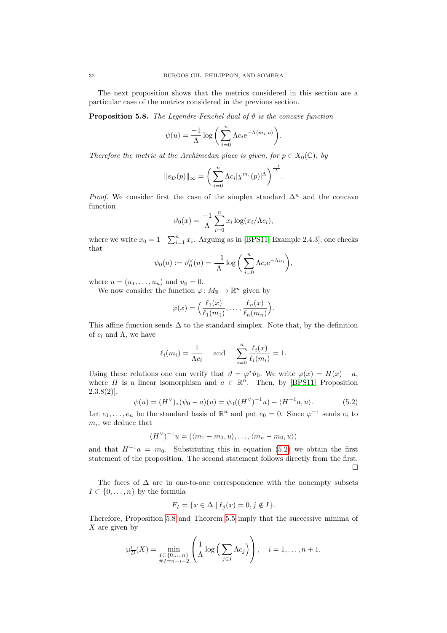The next proposition shows that the metrics considered in this section are a particular case of the metrics considered in the previous section.

<span id="page-31-1"></span>**Proposition 5.8.** The Legendre-Fenchel dual of  $\vartheta$  is the concave function

$$
\psi(u) = \frac{-1}{\Lambda} \log \bigg( \sum_{i=0}^{n} \Lambda c_i e^{-\Lambda \langle m_i, u \rangle} \bigg).
$$

Therefore the metric at the Archimedan place is given, for  $p \in X_0(\mathbb{C})$ , by

$$
||s_D(p)||_{\infty} = \left(\sum_{i=0}^n \Lambda c_i |\chi^{m_i}(p)|^{\Lambda}\right)^{\frac{-1}{\Lambda}}.
$$

*Proof.* We consider first the case of the simplex standard  $\Delta^n$  and the concave function

$$
\vartheta_0(x) = \frac{-1}{\Lambda} \sum_{i=0}^n x_i \log(x_i/\Lambda c_i),
$$

where we write  $x_0 = 1 - \sum_{i=1}^n x_i$ . Arguing as in [\[BPS11,](#page-38-5) Example 2.4.3], one checks that

$$
\psi_0(u) := \vartheta_0^{\vee}(u) = \frac{-1}{\Lambda} \log \bigg( \sum_{i=0}^n \Lambda c_i e^{-\Lambda u_i} \bigg),
$$

where  $u = (u_1, ..., u_n)$  and  $u_0 = 0$ .

We now consider the function  $\varphi \colon M_{\mathbb{R}} \to {\mathbb{R}}^n$  given by

$$
\varphi(x) = \Big(\frac{\ell_1(x)}{\ell_1(m_1)}, \dots, \frac{\ell_n(x)}{\ell_n(m_n)}\Big).
$$

This affine function sends  $\Delta$  to the standard simplex. Note that, by the definition of  $c_i$  and  $\Lambda$ , we have

$$
\ell_i(m_i) = \frac{1}{\Lambda c_i} \quad \text{and} \quad \sum_{i=0}^n \frac{\ell_i(x)}{\ell_i(m_i)} = 1.
$$

Using these relations one can verify that  $\vartheta = \varphi^* \vartheta_0$ . We write  $\varphi(x) = H(x) + a$ , where H is a linear isomorphism and  $a \in \mathbb{R}^n$ . Then, by [\[BPS11,](#page-38-5) Proposition  $2.3.8(2)$ ],

<span id="page-31-0"></span>
$$
\psi(u) = (H^{\vee})_{*}(\psi_{0} - a)(u) = \psi_{0}((H^{\vee})^{-1}u) - \langle H^{-1}a, u \rangle.
$$
 (5.2)

Let  $e_1, \ldots, e_n$  be the standard basis of  $\mathbb{R}^n$  and put  $e_0 = 0$ . Since  $\varphi^{-1}$  sends  $e_i$  to  $m_i$ , we deduce that

$$
(H^{\vee})^{-1}u = (\langle m_1 - m_0, u \rangle, \dots, \langle m_n - m_0, u \rangle)
$$

and that  $H^{-1}a = m_0$ . Substituting this in equation [\(5.2\)](#page-31-0) we obtain the first statement of the proposition. The second statement follows directly from the first.  $\Box$ 

The faces of  $\Delta$  are in one-to-one correspondence with the nonempty subsets  $I \subset \{0, \ldots, n\}$  by the formula

$$
F_I = \{ x \in \Delta \mid \ell_j(x) = 0, j \notin I \}.
$$

Therefore, Proposition [5.8](#page-31-1) and Theorem [5.5](#page-29-1) imply that the successive minima of  $X$  are given by

$$
\mu_{\overline{D}}^{i}(X) = \min_{\substack{I \subset \{0,\ldots,n\} \\ \#I = n-i+2}} \left( \frac{1}{\Lambda} \log \left( \sum_{j \in I} \Lambda c_j \right) \right), \quad i = 1,\ldots,n+1.
$$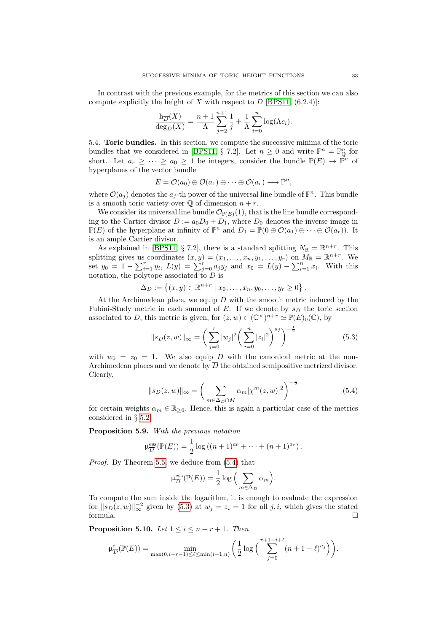In contrast with the previous example, for the metrics of this section we can also compute explicitly the height of X with respect to  $D$  [\[BPS11,](#page-38-5) (6.2.4)]:

$$
\frac{\mathbf{h}_{\overline{D}}(X)}{\deg_D(X)} = \frac{n+1}{\Lambda} \sum_{j=2}^{n+1} \frac{1}{j} + \frac{1}{\Lambda} \sum_{i=0}^{n} \log(\Lambda c_i).
$$

5.4. Toric bundles. In this section, we compute the successive minima of the toric bundles that we considered in [\[BPS11,](#page-38-5) § 7.2]. Let  $n \geq 0$  and write  $\mathbb{P}^n = \mathbb{P}^n_0$  for short. Let  $a_r \geq \cdots \geq a_0 \geq 1$  be integers, consider the bundle  $\mathbb{P}(E) \to \mathbb{P}^n$  of hyperplanes of the vector bundle

$$
E = \mathcal{O}(a_0) \oplus \mathcal{O}(a_1) \oplus \cdots \oplus \mathcal{O}(a_r) \longrightarrow \mathbb{P}^n,
$$

where  $\mathcal{O}(a_j)$  denotes the  $a_j$ -th power of the universal line bundle of  $\mathbb{P}^n$ . This bundle is a smooth toric variety over  $\mathbb Q$  of dimension  $n + r$ .

We consider its universal line bundle  $\mathcal{O}_{\mathbb{P}(E)}(1)$ , that is the line bundle corresponding to the Cartier divisor  $D := a_0 D_0 + D_1$ , where  $D_0$  denotes the inverse image in  $\mathbb{P}(E)$  of the hyperplane at infinity of  $\mathbb{P}^n$  and  $D_1 = \mathbb{P}(0 \oplus \mathcal{O}(a_1) \oplus \cdots \oplus \mathcal{O}(a_r)).$  It is an ample Cartier divisor.

As explained in [\[BPS11,](#page-38-5) § 7.2], there is a standard splitting  $N_{\mathbb{R}} = \mathbb{R}^{n+r}$ . This splitting gives us coordinates  $(x, y) = (x_1, \ldots, x_n, y_1, \ldots, y_r)$  on  $M_{\mathbb{R}} = \mathbb{R}^{n+r}$ . We set  $y_0 = 1 - \sum_{i=1}^r y_i$ ,  $L(y) = \sum_{j=0}^r a_j y_j$  and  $x_0 = L(y) - \sum_{i=1}^n x_i$ . With this notation, the polytope associated to  $D$  is

$$
\Delta_D := \{(x, y) \in \mathbb{R}^{n+r} \mid x_0, \dots, x_n, y_0, \dots, y_r \ge 0\}.
$$

At the Archimedean place, we equip  $D$  with the smooth metric induced by the Fubini-Study metric in each sumand of E. If we denote by  $s_D$  the toric section associated to D, this metric is given, for  $(z, w) \in (\mathbb{C}^{\times})^{n+r} \simeq \mathbb{P}(E)_0(\mathbb{C})$ , by

<span id="page-32-1"></span>
$$
||s_D(z, w)||_{\infty} = \left(\sum_{j=0}^{r} |w_j|^2 \left(\sum_{i=0}^{n} |z_i|^2\right)^{a_j}\right)^{-\frac{1}{2}}
$$
(5.3)

with  $w_0 = z_0 = 1$ . We also equip D with the canonical metric at the non-Archimedean places and we denote by  $\overline{D}$  the obtained semipositive metrized divisor. Clearly,

<span id="page-32-0"></span>
$$
||s_D(z, w)||_{\infty} = \left(\sum_{m \in \Delta_D \cap M} \alpha_m |\chi^m(z, w)|^2\right)^{-\frac{1}{2}} \tag{5.4}
$$

for certain weights  $\alpha_m \in \mathbb{R}_{\geq 0}$ . Hence, this is again a particular case of the metrics considered in § [5.2.](#page-27-3)

<span id="page-32-2"></span>Proposition 5.9. With the previous notation

$$
\mu_{\overline{D}}^{\text{ess}}(\mathbb{P}(E)) = \frac{1}{2}\log((n+1)^{a_0} + \cdots + (n+1)^{a_r}).
$$

Proof. By Theorem [5.5,](#page-29-1) we deduce from [\(5.4\)](#page-32-0) that

$$
\mu_{\overline{D}}^{\text{ess}}(\mathbb{P}(E)) = \frac{1}{2} \log \left( \sum_{m \in \Delta_D} \alpha_m \right).
$$

To compute the sum inside the logarithm, it is enough to evaluate the expression for  $||s_D(z, w)||_{\infty}^{-2}$  given by [\(5.3\)](#page-32-1) at  $w_j = z_i = 1$  for all j, i, which gives the stated formula.

**Proposition 5.10.** Let  $1 \leq i \leq n + r + 1$ . Then

$$
\mu_{\overline{D}}^{i}(\mathbb{P}(E)) = \min_{\max(0, i-r-1) \leq \ell \leq \min(i-1,n)} \left( \frac{1}{2} \log \left( \sum_{j=0}^{r+1-i+\ell} (n+1-\ell)^{a_j} \right) \right).
$$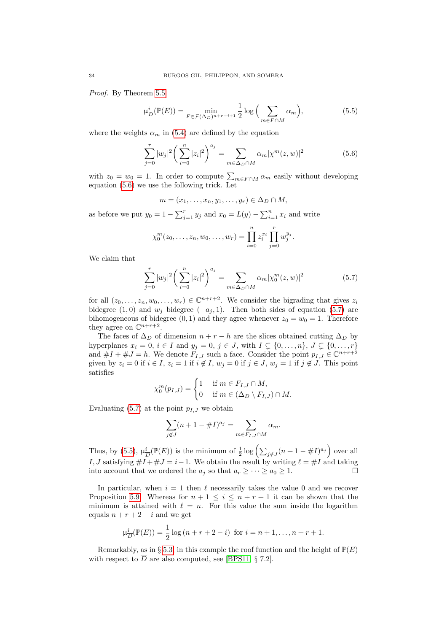Proof. By Theorem [5.5](#page-29-1)

<span id="page-33-2"></span>
$$
\mu_{\overline{D}}^{i}(\mathbb{P}(E)) = \min_{F \in \mathcal{F}(\Delta_D)^{n+r-i+1}} \frac{1}{2} \log \left( \sum_{m \in F \cap M} \alpha_m \right),\tag{5.5}
$$

where the weights  $\alpha_m$  in [\(5.4\)](#page-32-0) are defined by the equation

<span id="page-33-0"></span>
$$
\sum_{j=0}^{r} |w_j|^2 \left(\sum_{i=0}^{n} |z_i|^2\right)^{a_j} = \sum_{m \in \Delta_D \cap M} \alpha_m |\chi^m(z, w)|^2 \tag{5.6}
$$

with  $z_0 = w_0 = 1$ . In order to compute  $\sum_{m \in F \cap M} \alpha_m$  easily without developing equation [\(5.6\)](#page-33-0) we use the following trick. Let

$$
m=(x_1,\ldots,x_n,y_1,\ldots,y_r)\in\Delta_D\cap M,
$$

as before we put  $y_0 = 1 - \sum_{j=1}^r y_j$  and  $x_0 = L(y) - \sum_{i=1}^n x_i$  and write

$$
\chi_0^m(z_0,\ldots,z_n,w_0,\ldots,w_r) = \prod_{i=0}^n z_i^{x_i} \prod_{j=0}^r w_j^{y_j}.
$$

We claim that

<span id="page-33-1"></span>
$$
\sum_{j=0}^{r} |w_j|^2 \left(\sum_{i=0}^{n} |z_i|^2\right)^{a_j} = \sum_{m \in \Delta_D \cap M} \alpha_m |\chi_0^m(z, w)|^2 \tag{5.7}
$$

for all  $(z_0, \ldots, z_n, w_0, \ldots, w_r) \in \mathbb{C}^{n+r+2}$ . We consider the bigrading that gives  $z_i$ bidegree  $(1,0)$  and  $w_i$  bidegree  $(-a_i, 1)$ . Then both sides of equation [\(5.7\)](#page-33-1) are bihomogeneous of bidegree  $(0, 1)$  and they agree whenever  $z_0 = w_0 = 1$ . Therefore they agree on  $\mathbb{C}^{n+r+2}$ .

The faces of  $\Delta_D$  of dimension  $n + r - h$  are the slices obtained cutting  $\Delta_D$  by hyperplanes  $x_i = 0, i \in I$  and  $y_j = 0, j \in J$ , with  $I \subsetneq \{0, ..., n\}, J \subsetneq \{0, ..., r\}$ and  $\#I + \#J = h$ . We denote  $F_{I,J}$  such a face. Consider the point  $p_{I,J} \in \mathbb{C}^{n+r+2}$ given by  $z_i = 0$  if  $i \in I$ ,  $z_i = 1$  if  $i \notin I$ ,  $w_j = 0$  if  $j \in J$ ,  $w_j = 1$  if  $j \notin J$ . This point satisfies

$$
\chi_0^m(p_{I,J}) = \begin{cases} 1 & \text{if } m \in F_{I,J} \cap M, \\ 0 & \text{if } m \in (\Delta_D \setminus F_{I,J}) \cap M. \end{cases}
$$

Evaluating [\(5.7\)](#page-33-1) at the point  $p_{I,J}$  we obtain

$$
\sum_{j \notin J} (n+1 - \#I)^{a_j} = \sum_{m \in F_{I,J} \cap M} \alpha_m.
$$

Thus, by  $(5.5)$ ,  $\mu_{\overline{i}}^i$  $\frac{i}{D}(\mathbb{P}(E))$  is the minimum of  $\frac{1}{2}\log\left(\sum_{j\notin J}(n+1-\#I)^{a_j}\right)$  over all I, J satisfying  $\#I + \#J = i - 1$ . We obtain the result by writing  $\ell = \#I$  and taking into account that we ordered the  $a_j$  so that  $a_r \geq \cdots \geq a_0 \geq 1$ .

In particular, when  $i = 1$  then  $\ell$  necessarily takes the value 0 and we recover Proposition [5.9.](#page-32-2) Whereas for  $n + 1 \leq i \leq n + r + 1$  it can be shown that the minimum is attained with  $\ell = n$ . For this value the sum inside the logarithm equals  $n + r + 2 - i$  and we get

$$
\mu_{\overline{D}}^{i}(\mathbb{P}(E)) = \frac{1}{2}\log(n+r+2-i) \text{ for } i = n+1,\dots,n+r+1.
$$

Remarkably, as in § [5.3,](#page-30-0) in this example the roof function and the height of  $\mathbb{P}(E)$ with respect to  $\overline{D}$  are also computed, see [\[BPS11,](#page-38-5) § 7.2].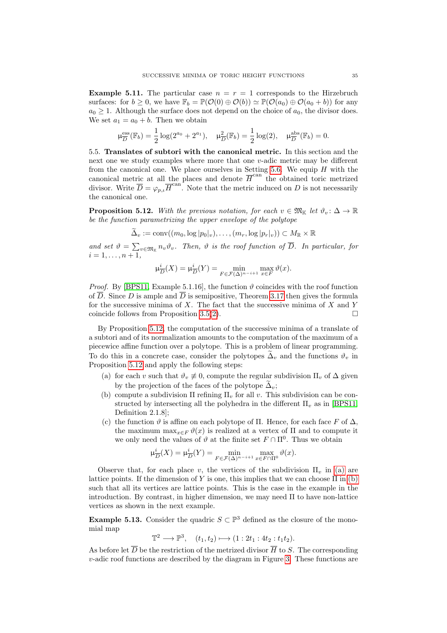**Example 5.11.** The particular case  $n = r = 1$  corresponds to the Hirzebruch surfaces: for  $b \geq 0$ , we have  $\mathbb{F}_b = \mathbb{P}(\mathcal{O}(0) \oplus \mathcal{O}(b)) \simeq \mathbb{P}(\mathcal{O}(a_0) \oplus \mathcal{O}(a_0 + b))$  for any  $a_0 \geq 1$ . Although the surface does not depend on the choice of  $a_0$ , the divisor does. We set  $a_1 = a_0 + b$ . Then we obtain

$$
\mu_{\overline{D}}^{\text{ess}}(\mathbb{F}_b) = \frac{1}{2}\log(2^{a_0} + 2^{a_1}), \quad \mu_{\overline{D}}^2(\mathbb{F}_b) = \frac{1}{2}\log(2), \quad \mu_{\overline{D}}^{\text{abs}}(\mathbb{F}_b) = 0.
$$

<span id="page-34-1"></span>5.5. Translates of subtori with the canonical metric. In this section and the next one we study examples where more that one v-adic metric may be different from the canonical one. We place ourselves in Setting [5.6.](#page-29-0) We equip  $H$  with the canonical metric at all the places and denote  $\overline{H}^{\text{can}}$  the obtained toric metrized divisor. Write  $\overline{D} = \varphi_{p,\iota} \overline{H}^{\text{can}}$ . Note that the metric induced on D is not necessarily the canonical one.

<span id="page-34-0"></span>**Proposition 5.12.** With the previous notation, for each  $v \in \mathfrak{M}_{\mathbb{K}}$  let  $\vartheta_v : \Delta \to \mathbb{R}$ be the function parametrizing the upper envelope of the polytope

$$
\widetilde{\Delta}_v := \mathrm{conv}((m_0, \log |p_0|_v), \ldots, (m_r, \log |p_r|_v)) \subset M_{\mathbb{R}} \times \mathbb{R}
$$

and set  $\vartheta = \sum_{v \in \mathfrak{M}_{\mathbb{K}}} n_v \vartheta_v$ . Then,  $\vartheta$  is the roof function of  $\overline{D}$ . In particular, for  $i = 1, \ldots, n + 1,$ 

$$
\mu_{\overline{D}}^{i}(X) = \mu_{\overline{D}}^{i}(Y) = \min_{F \in \mathcal{F}(\Delta)^{n-i+1}} \max_{x \in F} \vartheta(x).
$$

*Proof.* By [\[BPS11,](#page-38-5) Example 5.1.16], the function  $\vartheta$  coincides with the roof function of  $\overline{D}$ . Since D is ample and  $\overline{D}$  is semipositive, Theorem [3.17](#page-21-0) then gives the formula for the successive minima of  $X$ . The fact that the successive minima of  $X$  and  $Y$ coincide follows from Proposition [3.5\(](#page-14-3)[2\)](#page-14-0).  $\Box$ 

By Proposition [5.12,](#page-34-0) the computation of the successive minima of a translate of a subtori and of its normalization amounts to the computation of the maximum of a piecewice affine function over a polytope. This is a problem of linear programming. To do this in a concrete case, consider the polytopes  $\Delta_v$  and the functions  $\vartheta_v$  in Proposition [5.12](#page-34-0) and apply the following steps:

- <span id="page-34-2"></span>(a) for each v such that  $\vartheta_v \neq 0$ , compute the regular subdivision  $\Pi_v$  of  $\Delta$  given by the projection of the faces of the polytope  $\Delta_v$ ;
- <span id="page-34-3"></span>(b) compute a subdivision  $\Pi$  refining  $\Pi_v$  for all v. This subdivision can be constructed by intersecting all the polyhedra in the different  $\Pi_v$  as in [\[BPS11,](#page-38-5) Definition 2.1.8];
- (c) the function  $\vartheta$  is affine on each polytope of Π. Hence, for each face F of  $\Delta$ , the maximum  $\max_{x \in F} \vartheta(x)$  is realized at a vertex of  $\Pi$  and to compute it we only need the values of  $\vartheta$  at the finite set  $F \cap \Pi^0$ . Thus we obtain

$$
\mu_{\overline{D}}^{i}(X) = \mu_{\overline{D}}^{i}(Y) = \min_{F \in \mathcal{F}(\Delta)^{n-i+1}} \max_{x \in F \cap \Pi^{0}} \vartheta(x).
$$

Observe that, for each place v, the vertices of the subdivision  $\Pi_v$  in [\(a\)](#page-34-2) are lattice points. If the dimension of Y is one, this implies that we can choose  $\Pi$  in [\(b\)](#page-34-3) such that all its vertices are lattice points. This is the case in the example in the introduction. By contrast, in higher dimension, we may need  $\Pi$  to have non-lattice vertices as shown in the next example.

<span id="page-34-4"></span>**Example 5.13.** Consider the quadric  $S \subset \mathbb{P}^3$  defined as the closure of the monomial map

 $\mathbb{T}^2 \longrightarrow \mathbb{P}^3$ ,  $(t_1, t_2) \longmapsto (1 : 2t_1 : 4t_2 : t_1t_2).$ 

As before let  $\overline{D}$  be the restriction of the metrized divisor  $\overline{H}$  to S. The corresponding  $v$ -adic roof functions are described by the diagram in Figure [3.](#page-35-1) These functions are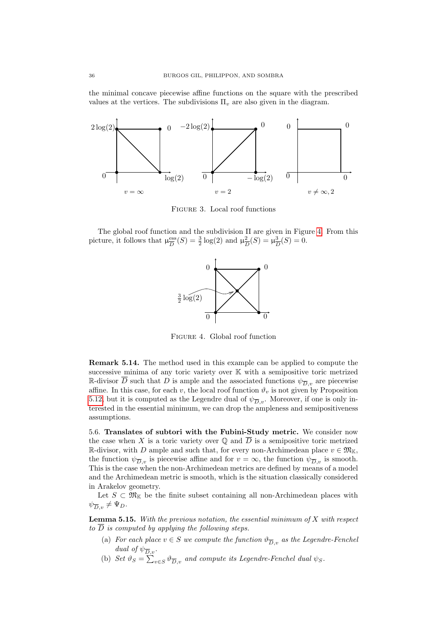the minimal concave piecewise affine functions on the square with the prescribed values at the vertices. The subdivisions  $\Pi_v$  are also given in the diagram.

<span id="page-35-1"></span>

Figure 3. Local roof functions

<span id="page-35-2"></span>The global roof function and the subdivision Π are given in Figure [4.](#page-35-2) From this picture, it follows that  $\mu_{\overline{D}}^{\text{ess}}$  $\frac{\text{ess}}{D}(S) = \frac{3}{2} \log(2)$  and  $\mu_{\overline{I}}^2$  $\frac{2}{D}(S) = \mu_{\overline{I}}^3$  $\frac{3}{D}(S) = 0.$ 



Figure 4. Global roof function

Remark 5.14. The method used in this example can be applied to compute the successive minima of any toric variety over  $\mathbb K$  with a semipositive toric metrized R-divisor  $\overline{D}$  such that D is ample and the associated functions  $\psi_{\overline{D},v}$  are piecewise affine. In this case, for each v, the local roof function  $\vartheta_v$  is not given by Proposition [5.12,](#page-34-0) but it is computed as the Legendre dual of  $\psi_{\overline{D},v}$ . Moreover, if one is only interested in the essential minimum, we can drop the ampleness and semipositiveness assumptions.

<span id="page-35-0"></span>5.6. Translates of subtori with the Fubini-Study metric. We consider now the case when X is a toric variety over  $\mathbb Q$  and  $\overline{D}$  is a semipositive toric metrized R-divisor, with D ample and such that, for every non-Archimedean place  $v \in \mathfrak{M}_{\mathbb{K}}$ , the function  $\psi_{\overline{D},v}$  is piecewise affine and for  $v = \infty$ , the function  $\psi_{\overline{D},v}$  is smooth. This is the case when the non-Archimedean metrics are defined by means of a model and the Archimedean metric is smooth, which is the situation classically considered in Arakelov geometry.

Let  $S \subset \mathfrak{M}_{\mathbb{K}}$  be the finite subset containing all non-Archimedean places with  $\psi_{\overline{D},v} \neq \Psi_D.$ 

<span id="page-35-3"></span>**Lemma 5.15.** With the previous notation, the essential minimum of  $X$  with respect to  $\overline{D}$  is computed by applying the following steps.

- <span id="page-35-4"></span>(a) For each place  $v \in S$  we compute the function  $\vartheta_{\overline{D},v}$  as the Legendre-Fenchel dual of  $\psi_{\overline{D},v}$ .
- (b) Set  $\vartheta_S = \sum_{v \in S} \vartheta_{\overline{D}, v}$  and compute its Legendre-Fenchel dual  $\psi_S$ .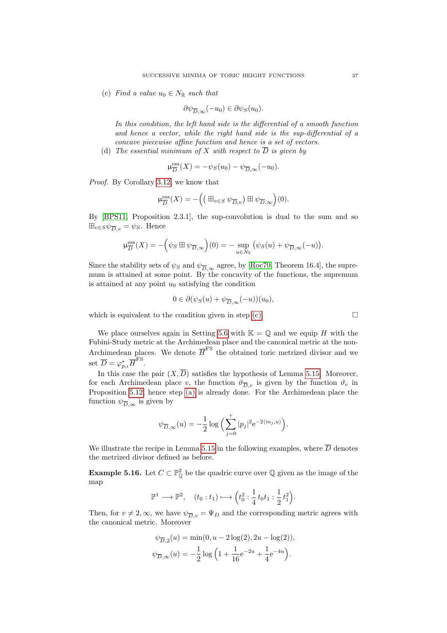<span id="page-36-0"></span>(c) Find a value  $u_0 \in N_{\mathbb{R}}$  such that

$$
\partial \psi_{\overline{D},\infty}(-u_0) \in \partial \psi_S(u_0).
$$

In this condition, the left hand side is the differential of a smooth function and hence a vector, while the right hand side is the sup-differential of a concave piecewise affine function and hence is a set of vectors.

(d) The essential minimum of X with respect to  $\overline{D}$  is given by

$$
\mu_{\overline{D}}^{\text{ess}}(X) = -\psi_S(u_0) - \psi_{\overline{D},\infty}(-u_0).
$$

Proof. By Corollary [3.12,](#page-19-0) we know that

$$
\mu_{\overline{D}}^{\text{ess}}(X) = -\Big(\big(\boxplus_{v \in S} \psi_{\overline{D},v}\big) \boxplus \psi_{\overline{D},\infty}\Big)(0).
$$

By [\[BPS11,](#page-38-5) Proposition 2.3.1], the sup-convolution is dual to the sum and so  $\boxplus_{v\in S}\psi_{\overline{D},v}=\psi_S$ . Hence

$$
\mu_{\overline{D}}^{\mathrm{ess}}(X) = -\Big(\psi_S \boxplus \psi_{\overline{D},\infty}\Big)(0) = -\sup_{u \in N_{\mathbb{R}}} \big(\psi_S(u) + \psi_{\overline{D},\infty}(-u)\big).
$$

Since the stability sets of  $\psi_S$  and  $\psi_{\overline{D}, \infty}$  agree, by [\[Roc70,](#page-38-20) Theorem 16.4], the supremum is attained at some point. By the concavity of the functions, the supremum is attained at any point  $u_0$  satisfying the condition

$$
0 \in \partial(\psi_S(u) + \psi_{\overline{D}, \infty}(-u))(u_0),
$$

which is equivalent to the condition given in step [\(c\).](#page-36-0)  $\Box$ 

We place ourselves again in Setting [5.6](#page-29-0) with  $\mathbb{K} = \mathbb{Q}$  and we equip H with the Fubini-Study metric at the Archimedean place and the canonical metric at the non-Archimedean places. We denote  $\overline{H}^{\text{FS}}$  the obtained toric metrized divisor and we set  $\overline{D} = \varphi_{p,\iota}^* \overline{H}^{\text{FS}}$ .

In this case the pair  $(X,\overline{D})$  satisfies the hypothesis of Lemma [5.15.](#page-35-3) Moreover, for each Archimedean place v, the function  $\vartheta_{\overline{D},v}$  is given by the function  $\vartheta_v$  in Proposition [5.12,](#page-34-0) hence step [\(a\)](#page-35-4) is already done. For the Archimedean place the function  $\psi_{\overline{D}, \infty}$  is given by

$$
\psi_{\overline{D},\infty}(u) = -\frac{1}{2} \log \Big( \sum_{j=0}^r |p_j|^2 e^{-2\langle m_j, u \rangle} \Big).
$$

We illustrate the recipe in Lemma [5.15](#page-35-3) in the following examples, where  $\overline{D}$  denotes the metrized divisor defined as before.

**Example 5.16.** Let  $C \subset \mathbb{P}_{\mathbb{Q}}^2$  be the quadric curve over  $\mathbb{Q}$  given as the image of the map

$$
\mathbb{P}^1 \longrightarrow \mathbb{P}^2, \quad (t_0 : t_1) \longmapsto \left(t_0^2 : \frac{1}{4} t_0 t_1 : \frac{1}{2} t_1^2\right).
$$

Then, for  $v \neq 2, \infty$ , we have  $\psi_{\overline{D},v} = \Psi_D$  and the corresponding metric agrees with the canonical metric. Moreover

$$
\psi_{\overline{D},2}(u) = \min(0, u - 2\log(2), 2u - \log(2)),
$$
  

$$
\psi_{\overline{D},\infty}(u) = -\frac{1}{2}\log\left(1 + \frac{1}{16}e^{-2u} + \frac{1}{4}e^{-4u}\right).
$$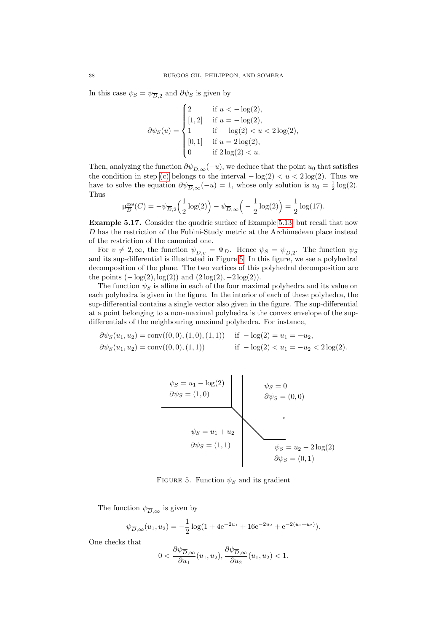In this case  $\psi_S = \psi_{\overline{D},2}$  and  $\partial \psi_S$  is given by

$$
\partial \psi_S(u) = \begin{cases}\n2 & \text{if } u < -\log(2), \\
[1, 2] & \text{if } u = -\log(2), \\
1 & \text{if } -\log(2) < u < 2\log(2), \\
[0, 1] & \text{if } u = 2\log(2), \\
0 & \text{if } 2\log(2) < u.\n\end{cases}
$$

Then, analyzing the function  $\partial \psi_{\overline{D},\infty}(-u)$ , we deduce that the point  $u_0$  that satisfies the condition in step [\(c\)](#page-36-0) belongs to the interval  $-\log(2) < u < 2\log(2)$ . Thus we have to solve the equation  $\partial \psi_{\overline{D}, \infty}(-u) = 1$ , whose only solution is  $u_0 = \frac{1}{2} \log(2)$ . Thus

$$
\mu_{\overline{D}}^{\text{ess}}(C) = -\psi_{\overline{D},2}\left(\frac{1}{2}\log(2)\right) - \psi_{\overline{D},\infty}\left(-\frac{1}{2}\log(2)\right) = \frac{1}{2}\log(17).
$$

Example 5.17. Consider the quadric surface of Example [5.13,](#page-34-4) but recall that now  $\overline{D}$  has the restriction of the Fubini-Study metric at the Archimedean place instead of the restriction of the canonical one.

For  $v \neq 2, \infty$ , the function  $\psi_{\overline{D},v} = \Psi_D$ . Hence  $\psi_S = \psi_{\overline{D},2}$ . The function  $\psi_S$ and its sup-differential is illustrated in Figure [5.](#page-37-0) In this figure, we see a polyhedral decomposition of the plane. The two vertices of this polyhedral decomposition are the points  $(-\log(2), \log(2))$  and  $(2\log(2), -2\log(2)).$ 

The function  $\psi_S$  is affine in each of the four maximal polyhedra and its value on each polyhedra is given in the figure. In the interior of each of these polyhedra, the sup-differential contains a single vector also given in the figure. The sup-differential at a point belonging to a non-maximal polyhedra is the convex envelope of the supdifferentials of the neighbouring maximal polyhedra. For instance,

<span id="page-37-0"></span>
$$
\partial \psi_S(u_1, u_2) = \text{conv}((0, 0), (1, 0), (1, 1)) \quad \text{if} \quad -\log(2) = u_1 = -u_2,
$$
  

$$
\partial \psi_S(u_1, u_2) = \text{conv}((0, 0), (1, 1)) \quad \text{if} \quad -\log(2) < u_1 = -u_2 < 2\log(2).
$$

$$
\psi_S = u_1 - \log(2)
$$
\n
$$
\partial \psi_S = (1, 0)
$$
\n
$$
\psi_S = 0
$$
\n
$$
\partial \psi_S = (0, 0)
$$
\n
$$
\psi_S = u_1 + u_2
$$
\n
$$
\partial \psi_S = (1, 1)
$$
\n
$$
\psi_S = u_2 - 2 \log(2)
$$
\n
$$
\partial \psi_S = (0, 1)
$$

FIGURE 5. Function  $\psi_S$  and its gradient

The function  $\psi_{\overline{D}, \infty}$  is given by

$$
\psi_{\overline{D},\infty}(u_1, u_2) = -\frac{1}{2}\log(1 + 4e^{-2u_1} + 16e^{-2u_2} + e^{-2(u_1 + u_2)}).
$$

One checks that

$$
0 < \frac{\partial \psi_{\overline{D}, \infty}}{\partial u_1}(u_1, u_2), \frac{\partial \psi_{\overline{D}, \infty}}{\partial u_2}(u_1, u_2) < 1.
$$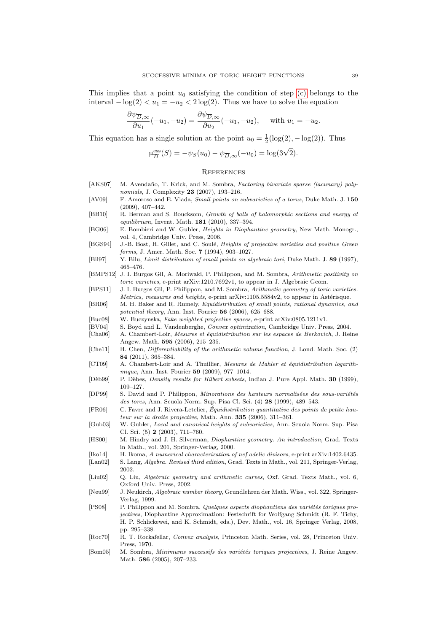This implies that a point  $u_0$  satisfying the condition of step [\(c\)](#page-36-0) belongs to the interval  $-\log(2) < u_1 = -u_2 < 2\log(2)$ . Thus we have to solve the equation

$$
\frac{\partial \psi_{\overline{D},\infty}}{\partial u_1}(-u_1,-u_2) = \frac{\partial \psi_{\overline{D},\infty}}{\partial u_2}(-u_1,-u_2), \quad \text{with } u_1 = -u_2.
$$

This equation has a single solution at the point  $u_0 = \frac{1}{2}(\log(2), -\log(2))$ . Thus

$$
\mu_{\overline{D}}^{\text{ess}}(S) = -\psi_S(u_0) - \psi_{\overline{D},\infty}(-u_0) = \log(3\sqrt{2}).
$$

#### <span id="page-38-0"></span>**REFERENCES**

- <span id="page-38-3"></span>[AKS07] M. Avendaño, T. Krick, and M. Sombra, Factoring bivariate sparse (lacunary) polynomials, J. Complexity 23 (2007), 193–216.
- <span id="page-38-4"></span>[AV09] F. Amoroso and E. Viada, Small points on subvarieties of a torus, Duke Math. J. 150 (2009), 407–442.
- <span id="page-38-14"></span>[BB10] R. Berman and S. Boucksom, Growth of balls of holomorphic sections and energy at equilibrium, Invent. Math. 181 (2010), 337–394.
- <span id="page-38-2"></span>[BG06] E. Bombieri and W. Gubler, Heights in Diophantine geometry, New Math. Monogr., vol. 4, Cambridge Univ. Press, 2006.
- <span id="page-38-21"></span>[BGS94] J.-B. Bost, H. Gillet, and C. Soulé, *Heights of projective varieties and positive Green* forms, J. Amer. Math. Soc. 7 (1994), 903–1027.
- <span id="page-38-10"></span>[Bil97] Y. Bilu, Limit distribution of small points on algebraic tori, Duke Math. J. 89 (1997), 465–476.
- <span id="page-38-6"></span>[BMPS12] J. I. Burgos Gil, A. Moriwaki, P. Philippon, and M. Sombra, Arithmetic positivity on toric varieties, e-print arXiv:1210.7692v1, to appear in J. Algebraic Geom.
- <span id="page-38-5"></span>[BPS11] J. I. Burgos Gil, P. Philippon, and M. Sombra, *Arithmetic geometry of toric varieties*. Metrics, measures and heights, e-print arXiv:1105.5584v2, to appear in Astérisque.
- <span id="page-38-13"></span>[BR06] M. H. Baker and R. Rumely, Equidistribution of small points, rational dynamics, and potential theory, Ann. Inst. Fourier 56 (2006), 625–688.
- <span id="page-38-26"></span>[Buc08] W. Buczynska, Fake weighted projective spaces, e-print arXiv:0805.1211v1.
- <span id="page-38-25"></span>[BV04] S. Boyd and L. Vandenberghe, Convex optimization, Cambridge Univ. Press, 2004.
- <span id="page-38-12"></span>[Cha06] A. Chambert-Loir, Mesures et équidistribution sur les espaces de Berkovich, J. Reine Angew. Math. 595 (2006), 215–235.
- <span id="page-38-15"></span>[Che11] H. Chen, Differentiability of the arithmetic volume function, J. Lond. Math. Soc. (2) 84 (2011), 365–384.
- <span id="page-38-9"></span>[CT09] A. Chambert-Loir and A. Thuillier, Mesures de Mahler et équidistribution logarithmique, Ann. Inst. Fourier 59 (2009), 977–1014.
- <span id="page-38-18"></span>[Dèb99] P. Dèbes, *Density results for Hilbert subsets*, Indian J. Pure Appl. Math. 30 (1999). 109–127.
- <span id="page-38-8"></span>[DP99] S. David and P. Philippon, Minorations des hauteurs normalisées des sous-variétés des tores, Ann. Scuola Norm. Sup. Pisa Cl. Sci. (4) 28 (1999), 489–543.
- <span id="page-38-11"></span> $[FR06]$  C. Favre and J. Rivera-Letelier, Equidistribution quantitative des points de petite hauteur sur la droite projective, Math. Ann. 335 (2006), 311–361.
- <span id="page-38-22"></span>[Gub03] W. Gubler, Local and canonical heights of subvarieties, Ann. Scuola Norm. Sup. Pisa Cl. Sci. (5) 2 (2003), 711–760.
- <span id="page-38-1"></span>[HS00] M. Hindry and J. H. Silverman, Diophantine geometry. An introduction, Grad. Texts in Math., vol. 201, Springer-Verlag, 2000.
- <span id="page-38-23"></span>[Iko14] H. Ikoma, A numerical characterization of nef adelic divisors, e-print arXiv:1402.6435.
- <span id="page-38-16"></span>[Lan02] S. Lang, Algebra. Revised third edition, Grad. Texts in Math., vol. 211, Springer-Verlag, 2002.
- <span id="page-38-17"></span>[Liu02] Q. Liu, Algebraic geometry and arithmetic curves, Oxf. Grad. Texts Math., vol. 6, Oxford Univ. Press, 2002.
- <span id="page-38-19"></span>[Neu99] J. Neukirch, Algebraic number theory, Grundlehren der Math. Wiss., vol. 322, Springer-Verlag, 1999.
- <span id="page-38-24"></span>[PS08] P. Philippon and M. Sombra, Quelques aspects diophantiens des variétés toriques projectives, Diophantine Approximation: Festschrift for Wolfgang Schmidt (R. F. Tichy, H. P. Schlickewei, and K. Schmidt, eds.), Dev. Math., vol. 16, Springer Verlag, 2008, pp. 295–338.
- <span id="page-38-20"></span>[Roc70] R. T. Rockafellar, Convex analysis, Princeton Math. Series, vol. 28, Princeton Univ. Press, 1970.
- <span id="page-38-7"></span>[Som05] M. Sombra, Minimums successifs des variétés toriques projectives, J. Reine Angew. Math. 586 (2005), 207–233.